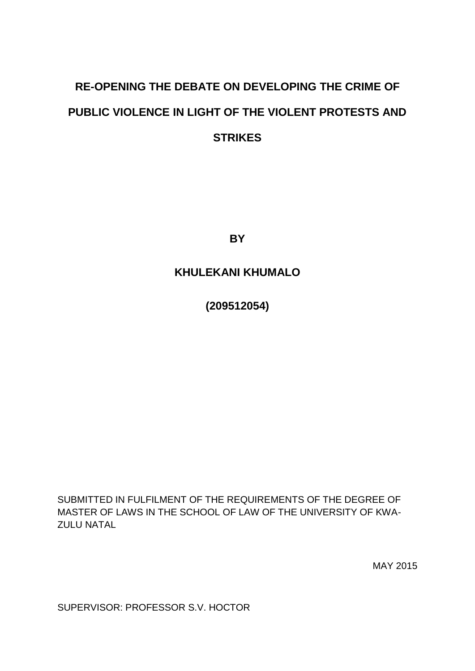# **RE-OPENING THE DEBATE ON DEVELOPING THE CRIME OF PUBLIC VIOLENCE IN LIGHT OF THE VIOLENT PROTESTS AND STRIKES**

**BY**

# **KHULEKANI KHUMALO**

**(209512054)**

SUBMITTED IN FULFILMENT OF THE REQUIREMENTS OF THE DEGREE OF MASTER OF LAWS IN THE SCHOOL OF LAW OF THE UNIVERSITY OF KWA- ZULU NATAL

MAY 2015

SUPERVISOR: PROFESSOR S.V. HOCTOR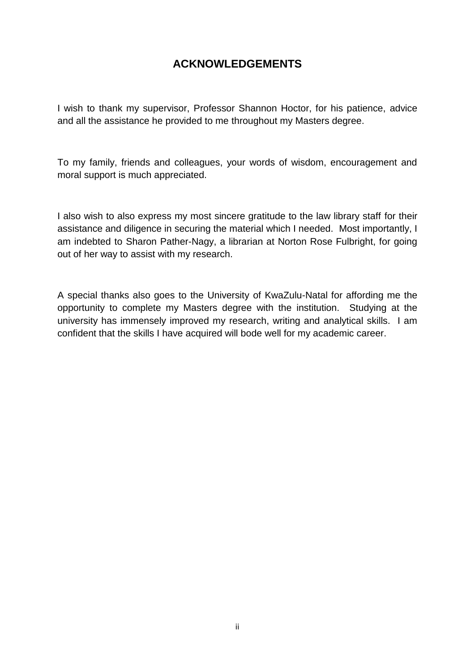# **ACKNOWLEDGEMENTS**

I wish to thank my supervisor, Professor Shannon Hoctor, for his patience, advice and all the assistance he provided to me throughout my Masters degree.

To my family, friends and colleagues, your words of wisdom, encouragement and moral support is much appreciated.

I also wish to also express my most sincere gratitude to the law library staff for their assistance and diligence in securing the material which I needed. Most importantly, I am indebted to Sharon Pather-Nagy, a librarian at Norton Rose Fulbright, for going out of her way to assist with my research.

A special thanks also goes to the University of KwaZulu-Natal for affording me the opportunity to complete my Masters degree with the institution. Studying at the university has immensely improved my research, writing and analytical skills. I am confident that the skills I have acquired will bode well for my academic career.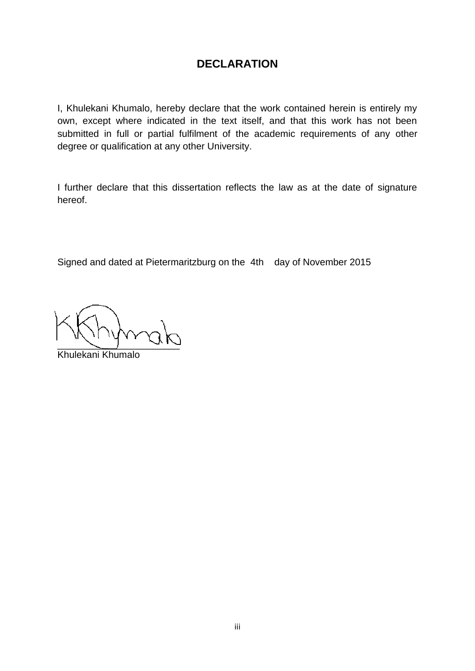# **DECLARATION**

I, Khulekani Khumalo, hereby declare that the work contained herein is entirely my own, except where indicated in the text itself, and that this work has not been submitted in full or partial fulfilment of the academic requirements of any other degree or qualification at any other University.

I further declare that this dissertation reflects the law as at the date of signature hereof.

Signed and dated at Pietermaritzburg on the 4th day of November 2015

 $\sim$ 

Khulekani Khumalo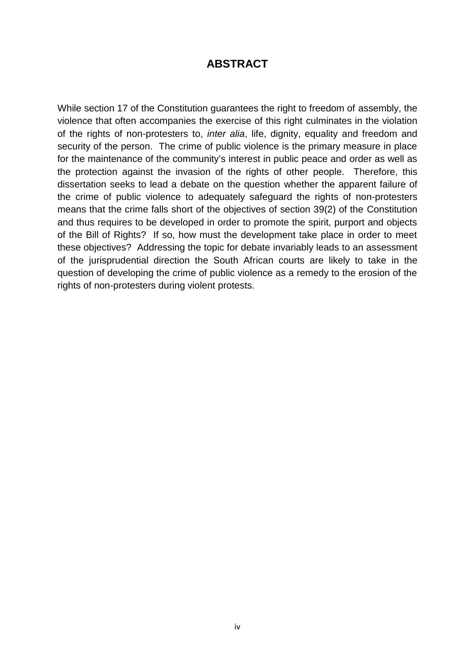### **ABSTRACT**

While section 17 of the Constitution guarantees the right to freedom of assembly, the violence that often accompanies the exercise of this right culminates in the violation of the rights of non-protesters to, *inter alia*, life, dignity, equality and freedom and security of the person. The crime of public violence is the primary measure in place for the maintenance of the community's interest in public peace and order as well as the protection against the invasion of the rights of other people. Therefore, this dissertation seeks to lead a debate on the question whether the apparent failure of the crime of public violence to adequately safeguard the rights of non-protesters means that the crime falls short of the objectives of section 39(2) of the Constitution and thus requires to be developed in order to promote the spirit, purport and objects of the Bill of Rights? If so, how must the development take place in order to meet these objectives? Addressing the topic for debate invariably leads to an assessment of the jurisprudential direction the South African courts are likely to take in the question of developing the crime of public violence as a remedy to the erosion of the rights of non-protesters during violent protests.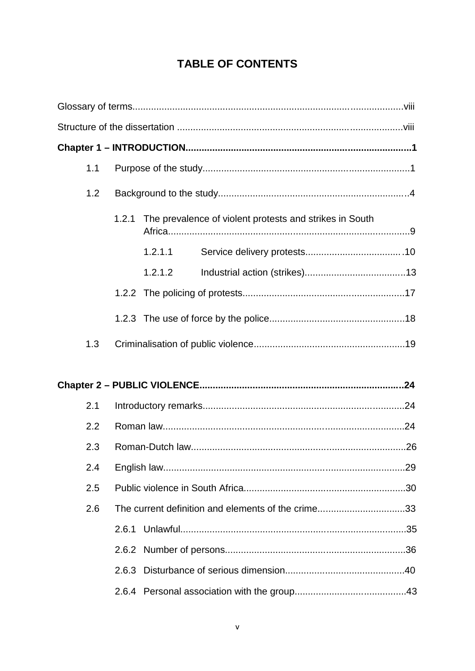# **TABLE OF CONTENTS**

| 1.1 |                                                                  |         |  |  |  |  |
|-----|------------------------------------------------------------------|---------|--|--|--|--|
| 1.2 |                                                                  |         |  |  |  |  |
|     | The prevalence of violent protests and strikes in South<br>1.2.1 |         |  |  |  |  |
|     |                                                                  | 1.2.1.1 |  |  |  |  |
|     |                                                                  | 1.2.1.2 |  |  |  |  |
|     |                                                                  |         |  |  |  |  |
|     |                                                                  |         |  |  |  |  |
| 1.3 |                                                                  |         |  |  |  |  |
|     |                                                                  |         |  |  |  |  |
| 2.1 |                                                                  |         |  |  |  |  |
| 2.2 |                                                                  |         |  |  |  |  |
| 2.3 |                                                                  |         |  |  |  |  |
| 2.4 | .29                                                              |         |  |  |  |  |
| 2.5 |                                                                  |         |  |  |  |  |
| 2.6 | The current definition and elements of the crime33               |         |  |  |  |  |
|     |                                                                  |         |  |  |  |  |
|     |                                                                  |         |  |  |  |  |
|     |                                                                  |         |  |  |  |  |
|     |                                                                  |         |  |  |  |  |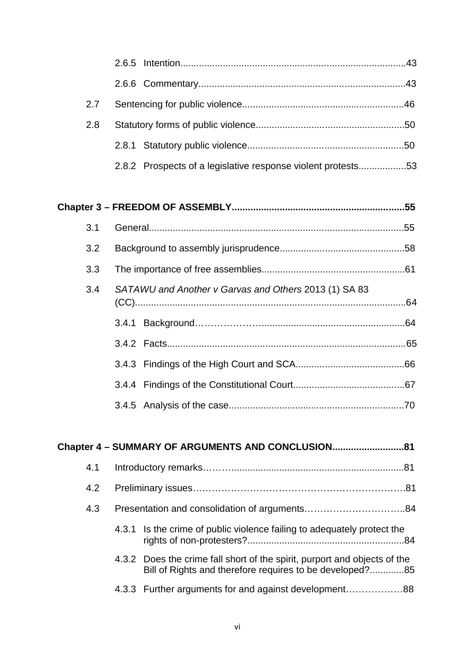| 2.7 |                                                                                                                                       |  |  |  |  |
|-----|---------------------------------------------------------------------------------------------------------------------------------------|--|--|--|--|
| 2.8 |                                                                                                                                       |  |  |  |  |
|     |                                                                                                                                       |  |  |  |  |
|     | 2.8.2 Prospects of a legislative response violent protests53                                                                          |  |  |  |  |
|     |                                                                                                                                       |  |  |  |  |
|     |                                                                                                                                       |  |  |  |  |
| 3.1 |                                                                                                                                       |  |  |  |  |
| 3.2 |                                                                                                                                       |  |  |  |  |
| 3.3 |                                                                                                                                       |  |  |  |  |
| 3.4 | SATAWU and Another v Garvas and Others 2013 (1) SA 83                                                                                 |  |  |  |  |
|     |                                                                                                                                       |  |  |  |  |
|     |                                                                                                                                       |  |  |  |  |
|     |                                                                                                                                       |  |  |  |  |
|     |                                                                                                                                       |  |  |  |  |
|     |                                                                                                                                       |  |  |  |  |
|     |                                                                                                                                       |  |  |  |  |
|     | Chapter 4 - SUMMARY OF ARGUMENTS AND CONCLUSION81                                                                                     |  |  |  |  |
| 4.1 |                                                                                                                                       |  |  |  |  |
| 4.2 |                                                                                                                                       |  |  |  |  |
| 4.3 |                                                                                                                                       |  |  |  |  |
|     | Is the crime of public violence failing to adequately protect the<br>4.3.1                                                            |  |  |  |  |
|     | 4.3.2 Does the crime fall short of the spirit, purport and objects of the<br>Bill of Rights and therefore requires to be developed?85 |  |  |  |  |

4.3.3 Further arguments for and against development………………88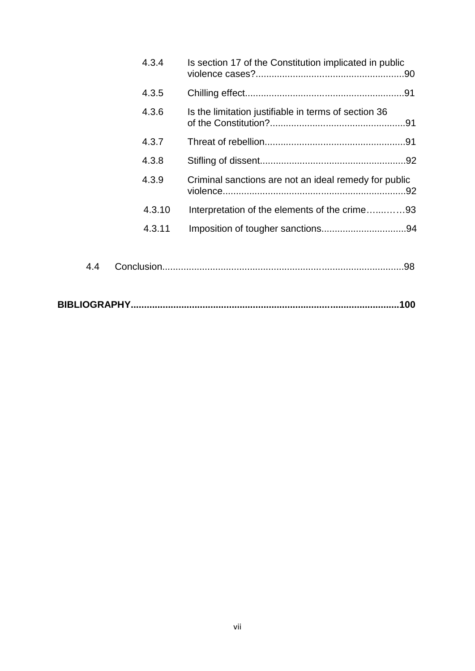|     | 4.3.4  | Is section 17 of the Constitution implicated in public |  |
|-----|--------|--------------------------------------------------------|--|
|     | 4.3.5  |                                                        |  |
|     | 4.3.6  | Is the limitation justifiable in terms of section 36   |  |
|     | 4.3.7  |                                                        |  |
|     | 4.3.8  |                                                        |  |
|     | 4.3.9  | Criminal sanctions are not an ideal remedy for public  |  |
|     | 4.3.10 | Interpretation of the elements of the crime93          |  |
|     | 4.3.11 |                                                        |  |
| 4.4 |        |                                                        |  |
|     |        | .100                                                   |  |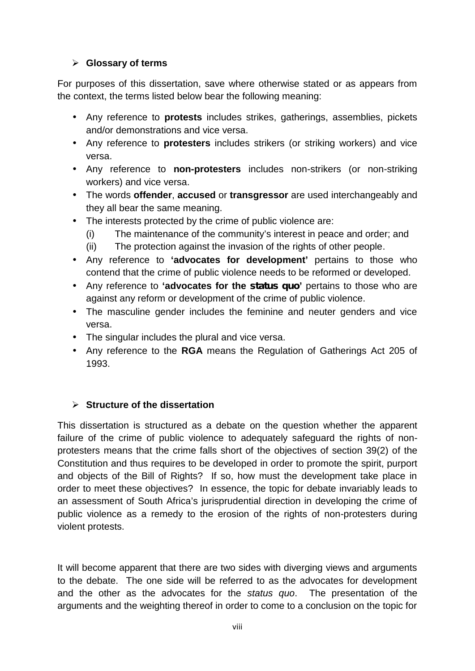#### **Glossary of terms**

For purposes of this dissertation, save where otherwise stated or as appears from the context, the terms listed below bear the following meaning:

- Any reference to **protests** includes strikes, gatherings, assemblies, pickets and/or demonstrations and vice versa.
- Any reference to **protesters** includes strikers (or striking workers) and vice versa.
- Any reference to **non-protesters** includes non-strikers (or non-striking workers) and vice versa.
- The words **offender**, **accused** or **transgressor** are used interchangeably and they all bear the same meaning.
- The interests protected by the crime of public violence are:
	- (i) The maintenance of the community's interest in peace and order; and
	- (ii) The protection against the invasion of the rights of other people.
- Any reference to **'advocates for development'** pertains to those who contend that the crime of public violence needs to be reformed or developed.
- Any reference to **'advocates for the** *status quo***'** pertains to those who are against any reform or development of the crime of public violence.
- The masculine gender includes the feminine and neuter genders and vice versa.
- The singular includes the plural and vice versa.
- Any reference to the **RGA** means the Regulation of Gatherings Act 205 of 1993.

#### **Structure of the dissertation**

This dissertation is structured as a debate on the question whether the apparent failure of the crime of public violence to adequately safeguard the rights of non protesters means that the crime falls short of the objectives of section 39(2) of the Constitution and thus requires to be developed in order to promote the spirit, purport and objects of the Bill of Rights? If so, how must the development take place in order to meet these objectives? In essence, the topic for debate invariably leads to an assessment of South Africa's jurisprudential direction in developing the crime of public violence as a remedy to the erosion of the rights of non-protesters during violent protests.

It will become apparent that there are two sides with diverging views and arguments to the debate. The one side will be referred to as the advocates for development and the other as the advocates for the *status quo*. The presentation of the arguments and the weighting thereof in order to come to a conclusion on the topic for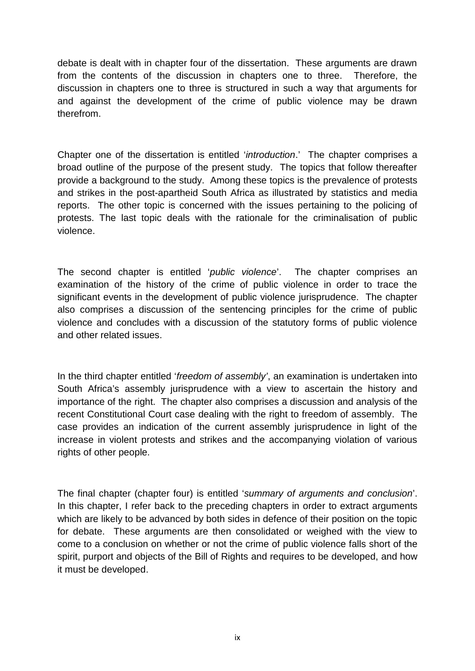debate is dealt with in chapter four of the dissertation. These arguments are drawn from the contents of the discussion in chapters one to three. Therefore, the discussion in chapters one to three is structured in such a way that arguments for and against the development of the crime of public violence may be drawn therefrom.

Chapter one of the dissertation is entitled '*introduction*.' The chapter comprises a broad outline of the purpose of the present study. The topics that follow thereafter provide a background to the study. Among these topics is the prevalence of protests and strikes in the post-apartheid South Africa as illustrated by statistics and media reports. The other topic is concerned with the issues pertaining to the policing of protests. The last topic deals with the rationale for the criminalisation of public violence.

The second chapter is entitled '*public violence*'. The chapter comprises an examination of the history of the crime of public violence in order to trace the significant events in the development of public violence jurisprudence. The chapter also comprises a discussion of the sentencing principles for the crime of public violence and concludes with a discussion of the statutory forms of public violence and other related issues.

In the third chapter entitled '*freedom of assembly'*, an examination is undertaken into South Africa's assembly jurisprudence with a view to ascertain the history and importance of the right. The chapter also comprises a discussion and analysis of the recent Constitutional Court case dealing with the right to freedom of assembly. The case provides an indication of the current assembly jurisprudence in light of the increase in violent protests and strikes and the accompanying violation of various rights of other people.

The final chapter (chapter four) is entitled '*summary of arguments and conclusion*'. In this chapter, I refer back to the preceding chapters in order to extract arguments which are likely to be advanced by both sides in defence of their position on the topic for debate. These arguments are then consolidated or weighed with the view to come to a conclusion on whether or not the crime of public violence falls short of the spirit, purport and objects of the Bill of Rights and requires to be developed, and how it must be developed.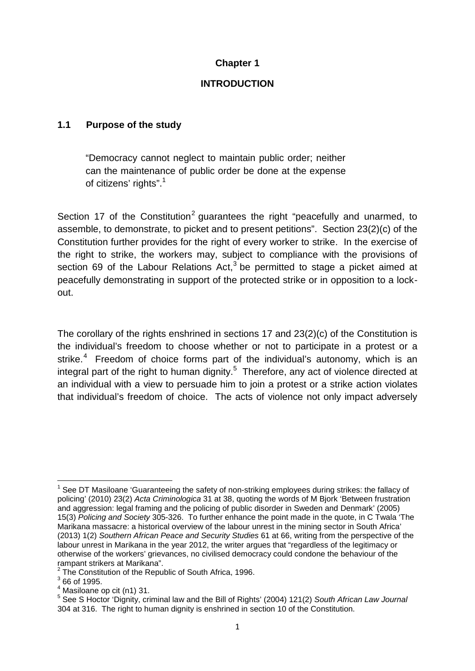#### **Chapter 1**

#### **INTRODUCTION**

#### **1.1 Purpose of the study**

"Democracy cannot neglect to maintain public order; neither can the maintenance of public order be done at the expense of citizens' rights".<sup>1</sup>

Section 17 of the Constitution<sup>2</sup> guarantees the right "peacefully and unarmed, to assemble, to demonstrate, to picket and to present petitions". Section 23(2)(c) of the Constitution further provides for the right of every worker to strike. In the exercise of the right to strike, the workers may, subject to compliance with the provisions of section 69 of the Labour Relations  $Act<sub>1</sub><sup>3</sup>$  be permitted to stage a picket aimed at peacefully demonstrating in support of the protected strike or in opposition to a lock out.

The corollary of the rights enshrined in sections 17 and 23(2)(c) of the Constitution is the individual's freedom to choose whether or not to participate in a protest or a strike.<sup>4</sup> Freedom of choice forms part of the individual's autonomy, which is an integral part of the right to human dignity.<sup>5</sup> Therefore, any act of violence directed at an individual with a view to persuade him to join a protest or a strike action violates that individual's freedom of choice. The acts of violence not only impact adversely

 $1$  See DT Masiloane 'Guaranteeing the safety of non-striking employees during strikes: the fallacy of policing' (2010) 23(2) *Acta Criminologica* 31 at 38, quoting the words of M Bjork 'Between frustration and aggression: legal framing and the policing of public disorder in Sweden and Denmark' (2005) 15(3) *Policing and Society* 305-326. To further enhance the point made in the quote, in C Twala 'The Marikana massacre: a historical overview of the labour unrest in the mining sector in South Africa' (2013) 1(2) *Southern African Peace and Security Studies* 61 at 66, writing from the perspective of the labour unrest in Marikana in the year 2012, the writer argues that "regardless of the legitimacy or otherwise of the workers' grievances, no civilised democracy could condone the behaviour of the

<sup>&</sup>lt;sup>2</sup> The Constitution of the Republic of South Africa, 1996.<br> $\frac{3}{100}$  66 of 1995.<br><sup>4</sup> Masiloane op cit (n1) 31.

<sup>&</sup>lt;sup>5</sup> See S Hoctor 'Dignity, criminal law and the Bill of Rights' (2004) 121(2) South African Law Journal 304 at 316. The right to human dignity is enshrined in section 10 of the Constitution.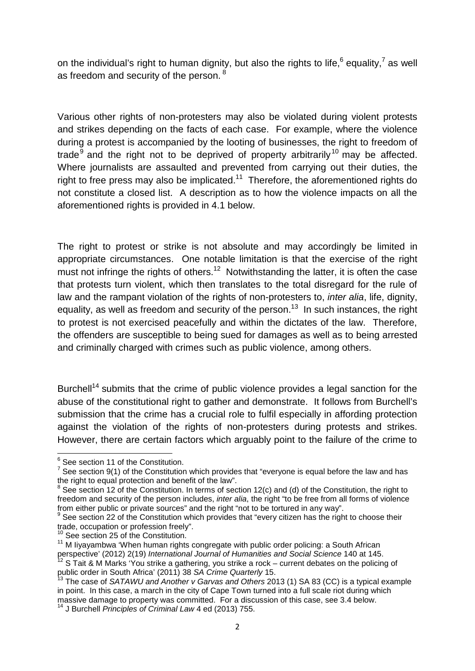on the individual's right to human dignity, but also the rights to life,<sup>6</sup> equality,<sup>7</sup> as well as freedom and security of the person. <sup>8</sup>

Various other rights of non-protesters may also be violated during violent protests and strikes depending on the facts of each case. For example, where the violence during a protest is accompanied by the looting of businesses, the right to freedom of trade<sup>9</sup> and the right not to be deprived of property arbitrarily<sup>10</sup> may be affected. Where journalists are assaulted and prevented from carrying out their duties, the right to free press may also be implicated.<sup>11</sup> Therefore, the aforementioned rights do not constitute a closed list. A description as to how the violence impacts on all the aforementioned rights is provided in 4.1 below.

The right to protest or strike is not absolute and may accordingly be limited in appropriate circumstances. One notable limitation is that the exercise of the right must not infringe the rights of others.<sup>12</sup> Notwithstanding the latter, it is often the case that protests turn violent, which then translates to the total disregard for the rule of law and the rampant violation of the rights of non-protesters to, *inter alia*, life, dignity, equality, as well as freedom and security of the person.<sup>13</sup> In such instances, the right to protest is not exercised peacefully and within the dictates of the law. Therefore, the offenders are susceptible to being sued for damages as well as to being arrested and criminally charged with crimes such as public violence, among others.

Burchell<sup>14</sup> submits that the crime of public violence provides a legal sanction for the abuse of the constitutional right to gather and demonstrate. It follows from Burchell's submission that the crime has a crucial role to fulfil especially in affording protection against the violation of the rights of non-protesters during protests and strikes. However, there are certain factors which arguably point to the failure of the crime to

<sup>&</sup>lt;sup>6</sup> See section 11 of the Constitution.<br><sup>7</sup> See section 9(1) of the Constitution which provides that "everyone is equal before the law and has the right to equal protection and benefit of the law".

 $8$  See section 12 of the Constitution. In terms of section 12(c) and (d) of the Constitution, the right to freedom and security of the person includes, *inter alia*, the right "to be free from all forms of violence from either public or private sources" and the right "not to be tortured in any way".<br><sup>9</sup> See section 22 of the Constitution which provides that "every citizen has the right to choose their

trade, occupation or profession freely".<br><sup>10</sup> See section 25 of the Constitution.

<sup>&</sup>lt;sup>11</sup> M liyayambwa 'When human rights congregate with public order policing: a South African perspective' (2012) 2(19) *International Journal of Humanities and Social Science* 140 at 145.  $12$  S Tait & M Marks 'You strike a gathering, you strike a rock – current debates on the policing of public order in South Africa' (2011) 38 *SA Crime Quarterly* 15.

<sup>&</sup>lt;sup>13</sup> The case of *SATAWU and Another v Garvas and Others* 2013 (1) SA 83 (CC) is a typical example in point. In this case, a march in the city of Cape Town turned into a full scale riot during which massive damage to property was committed. For a discussion of this case, see 3.4 below.<br><sup>14</sup> J Burchell *Principles of Criminal Law* 4 ed (2013) 755.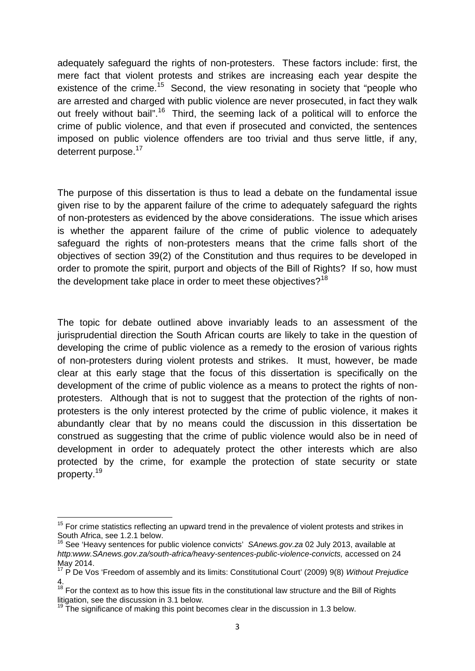adequately safeguard the rights of non-protesters. These factors include: first, the mere fact that violent protests and strikes are increasing each year despite the existence of the crime.<sup>15</sup> Second, the view resonating in society that "people who are arrested and charged with public violence are never prosecuted, in fact they walk out freely without bail".<sup>16</sup> Third, the seeming lack of a political will to enforce the crime of public violence, and that even if prosecuted and convicted, the sentences imposed on public violence offenders are too trivial and thus serve little, if any, deterrent purpose.<sup>17</sup>

The purpose of this dissertation is thus to lead a debate on the fundamental issue given rise to by the apparent failure of the crime to adequately safeguard the rights of non-protesters as evidenced by the above considerations. The issue which arises is whether the apparent failure of the crime of public violence to adequately safeguard the rights of non-protesters means that the crime falls short of the objectives of section 39(2) of the Constitution and thus requires to be developed in order to promote the spirit, purport and objects of the Bill of Rights? If so, how must the development take place in order to meet these objectives?<sup>18</sup>

The topic for debate outlined above invariably leads to an assessment of the jurisprudential direction the South African courts are likely to take in the question of developing the crime of public violence as a remedy to the erosion of various rights of non-protesters during violent protests and strikes. It must, however, be made clear at this early stage that the focus of this dissertation is specifically on the development of the crime of public violence as a means to protect the rights of non protesters. Although that is not to suggest that the protection of the rights of non protesters is the only interest protected by the crime of public violence, it makes it abundantly clear that by no means could the discussion in this dissertation be construed as suggesting that the crime of public violence would also be in need of development in order to adequately protect the other interests which are also protected by the crime, for example the protection of state security or state property.<sup>19</sup>

 $15$  For crime statistics reflecting an upward trend in the prevalence of violent protests and strikes in South Africa, see 1.2.1 below.

<sup>16</sup> See 'Heavy sentences for public violence convicts' *SAnews.gov.za* 02 July 2013, available at *http:www.SAnews.gov.za/south-africa/heavy-sentences-public-violence-convicts,* accessed on 24

<sup>&</sup>lt;sup>17</sup> P De Vos 'Freedom of assembly and its limits: Constitutional Court' (2009) 9(8) *Without Prejudice* 4.

 $18$  For the context as to how this issue fits in the constitutional law structure and the Bill of Rights litigation, see the discussion in 3.1 below.<br><sup>19</sup> The significance of making this point becomes clear in the discussion in 1.3 below.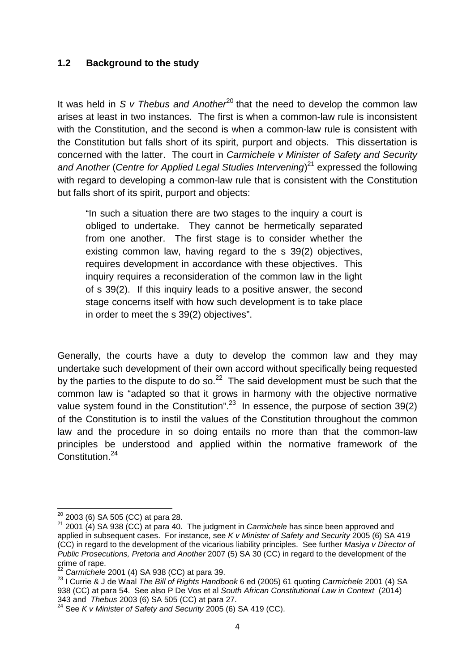#### **1.2 Background to the study**

It was held in *S v Thebus and Another*<sup>20</sup> that the need to develop the common law arises at least in two instances. The first is when a common-law rule is inconsistent with the Constitution, and the second is when a common-law rule is consistent with the Constitution but falls short of its spirit, purport and objects. This dissertation is concerned with the latter. The court in *Carmichele v Minister of Safety and Security and Another* (*Centre for Applied Legal Studies Intervening*)<sup>21</sup> expressed the following with regard to developing a common-law rule that is consistent with the Constitution but falls short of its spirit, purport and objects:

"In such a situation there are two stages to the inquiry a court is obliged to undertake. They cannot be hermetically separated from one another. The first stage is to consider whether the existing common law, having regard to the s 39(2) objectives, requires development in accordance with these objectives. This inquiry requires a reconsideration of the common law in the light of s 39(2). If this inquiry leads to a positive answer, the second stage concerns itself with how such development is to take place in order to meet the s 39(2) objectives".

Generally, the courts have a duty to develop the common law and they may undertake such development of their own accord without specifically being requested by the parties to the dispute to do so. $^{22}$  The said development must be such that the common law is "adapted so that it grows in harmony with the objective normative value system found in the Constitution".<sup>23</sup> In essence, the purpose of section 39(2) of the Constitution is to instil the values of the Constitution throughout the common law and the procedure in so doing entails no more than that the common-law principles be understood and applied within the normative framework of the Constitution.<sup>24</sup>

<sup>&</sup>lt;sup>20</sup> 2003 (6) SA 505 (CC) at para 28.<br><sup>21</sup> 2001 (4) SA 938 (CC) at para 40. The judgment in *Carmichele* has since been approved and applied in subsequent cases. For instance, see *K v Minister of Safety and Security* 2005 (6) SA 419 (CC) in regard to the development of the vicarious liability principles. See further *Masiya v Director of Public Prosecutions, Pretoria and Another* 2007 (5) SA 30 (CC) in regard to the development of the

crime of rape. <sup>22</sup> *Carmichele* 2001 (4) SA 938 (CC) at para 39. <sup>23</sup> I Currie & J de Waal *The Bill of Rights Handbook* 6 ed (2005) 61 quoting *Carmichele* 2001 (4) SA 938 (CC) at para 54. See also P De Vos et al *South African Constitutional Law in Context* (2014)<br>343 and *Thebus* 2003 (6) SA 505 (CC) at para 27.

<sup>&</sup>lt;sup>24</sup> See *K v Minister of Safety and Security* 2005 (6) SA 419 (CC).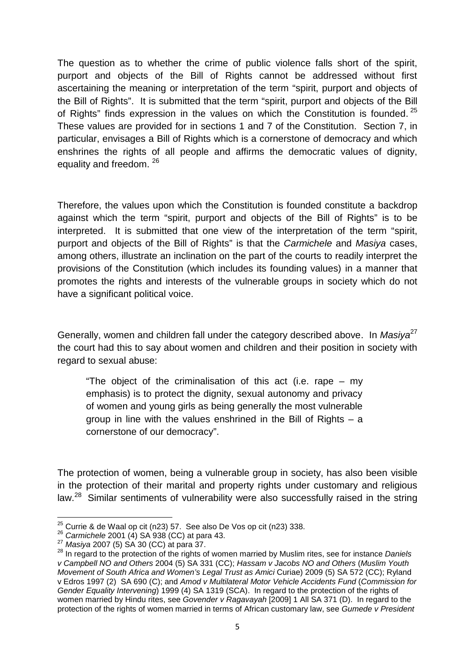The question as to whether the crime of public violence falls short of the spirit, purport and objects of the Bill of Rights cannot be addressed without first ascertaining the meaning or interpretation of the term "spirit, purport and objects of the Bill of Rights". It is submitted that the term "spirit, purport and objects of the Bill of Rights" finds expression in the values on which the Constitution is founded.  $25$ These values are provided for in sections 1 and 7 of the Constitution. Section 7, in particular, envisages a Bill of Rights which is a cornerstone of democracy and which enshrines the rights of all people and affirms the democratic values of dignity, equality and freedom. <sup>26</sup>

Therefore, the values upon which the Constitution is founded constitute a backdrop against which the term "spirit, purport and objects of the Bill of Rights" is to be interpreted. It is submitted that one view of the interpretation of the term "spirit, purport and objects of the Bill of Rights" is that the *Carmichele* and *Masiya* cases, among others, illustrate an inclination on the part of the courts to readily interpret the provisions of the Constitution (which includes its founding values) in a manner that promotes the rights and interests of the vulnerable groups in society which do not have a significant political voice.

Generally, women and children fall under the category described above. In *Masiya*<sup>27</sup> the court had this to say about women and children and their position in society with regard to sexual abuse:

"The object of the criminalisation of this act (i.e. rape – my emphasis) is to protect the dignity, sexual autonomy and privacy of women and young girls as being generally the most vulnerable group in line with the values enshrined in the Bill of Rights – a cornerstone of our democracy".

The protection of women, being a vulnerable group in society, has also been visible in the protection of their marital and property rights under customary and religious law.<sup>28</sup> Similar sentiments of vulnerability were also successfully raised in the string

<sup>&</sup>lt;sup>25</sup> Currie & de Waal op cit (n23) 57. See also De Vos op cit (n23) 338.<br>
<sup>26</sup> Carmichele 2001 (4) SA 938 (CC) at para 43.<br>
<sup>27</sup> Masiya 2007 (5) SA 30 (CC) at para 37.<br>
<sup>28</sup> In regard to the protection of the rights of wo *v Campbell NO and Others* 2004 (5) SA 331 (CC); *Hassam v Jacobs NO and Others* (*Muslim Youth Movement of South Africa and Women's Legal Trust as Amici* Curiae) 2009 (5) SA 572 (CC); Ryland v Edros 1997 (2) SA 690 (C); and *Amod v Multilateral Motor Vehicle Accidents Fund* (*Commission for Gender Equality Intervening*) 1999 (4) SA 1319 (SCA). In regard to the protection of the rights of women married by Hindu rites, see *Govender v Ragavayah* [2009] 1 All SA 371 (D). In regard to the protection of the rights of women married in terms of African customary law, see *Gumede v President*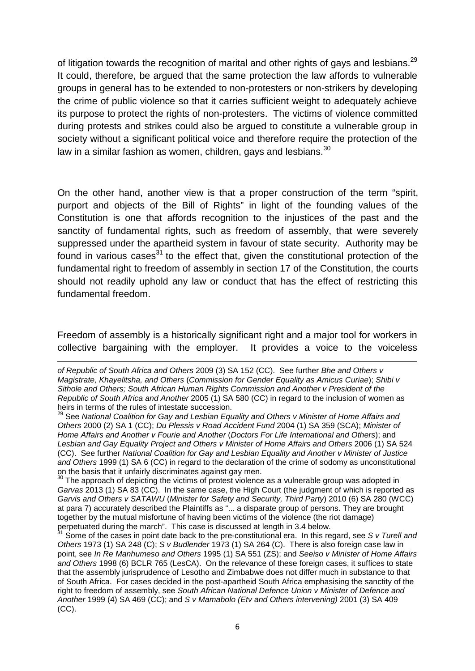of litigation towards the recognition of marital and other rights of gays and lesbians.<sup>29</sup> It could, therefore, be argued that the same protection the law affords to vulnerable groups in general has to be extended to non-protesters or non-strikers by developing the crime of public violence so that it carries sufficient weight to adequately achieve its purpose to protect the rights of non-protesters. The victims of violence committed during protests and strikes could also be argued to constitute a vulnerable group in society without a significant political voice and therefore require the protection of the law in a similar fashion as women, children, gays and lesbians. $30$ 

On the other hand, another view is that a proper construction of the term "spirit, purport and objects of the Bill of Rights" in light of the founding values of the Constitution is one that affords recognition to the injustices of the past and the sanctity of fundamental rights, such as freedom of assembly, that were severely suppressed under the apartheid system in favour of state security. Authority may be found in various cases<sup>31</sup> to the effect that, given the constitutional protection of the fundamental right to freedom of assembly in section 17 of the Constitution, the courts should not readily uphold any law or conduct that has the effect of restricting this fundamental freedom.

Freedom of assembly is a historically significant right and a major tool for workers in collective bargaining with the employer. It provides a voice to the voiceless

*of Republic of South Africa and Others* 2009 (3) SA 152 (CC). See further *Bhe and Others v Magistrate, Khayelitsha, and Others* (*Commission for Gender Equality as Amicus Curiae*); *Shibi v Sithole and Others; South African Human Rights Commission and Another v President of the Republic of South Africa and Another* 2005 (1) SA 580 (CC) in regard to the inclusion of women as heirs in terms of the rules of intestate succession.

<sup>29</sup> See *National Coalition for Gay and Lesbian Equality and Others v Minister of Home Affairs and Others* 2000 (2) SA 1 (CC); *Du Plessis v Road Accident Fund* 2004 (1) SA 359 (SCA); *Minister of Home Affairs and Another v Fourie and Another* (*Doctors For Life International and Others*); and *Lesbian and Gay Equality Project and Others v Minister of Home Affairs and Others* 2006 (1) SA 524 (CC). See further *National Coalition for Gay and Lesbian Equality and Another v Minister of Justice and Others* 1999 (1) SA 6 (CC) in regard to the declaration of the crime of sodomy as unconstitutional on the basis that it unfairly discriminates against gay men.<br><sup>30</sup> The approach of depicting the victims of protest violence as a vulnerable group was adopted in

*Garvas* 2013 (1) SA 83 (CC). In the same case, the High Court (the judgment of which is reported as *Garvis and Others v SATAWU* (*Minister for Safety and Security, Third Party*) 2010 (6) SA 280 (WCC) at para 7) accurately described the Plaintiffs as "... a disparate group of persons. They are brought together by the mutual misfortune of having been victims of the violence (the riot damage) perpetuated during the march". This case is discussed at length in 3.4 below.

<sup>&</sup>lt;sup>31</sup> Some of the cases in point date back to the pre-constitutional era. In this regard, see *S v Turell and Others* 1973 (1) SA 248 (C); *S v Budlender* 1973 (1) SA 264 (C). There is also foreign case law in point, see *In Re Manhumeso and Others* 1995 (1) SA 551 (ZS); and *Seeiso v Minister of Home Affairs and Others* 1998 (6) BCLR 765 (LesCA). On the relevance of these foreign cases, it suffices to state that the assembly jurisprudence of Lesotho and Zimbabwe does not differ much in substance to that of South Africa. For cases decided in the post-apartheid South Africa emphasising the sanctity of the right to freedom of assembly, see *South African National Defence Union v Minister of Defence and Another* 1999 (4) SA 469 (CC); and *S v Mamabolo (Etv and Others intervening)* 2001 (3) SA 409 (CC).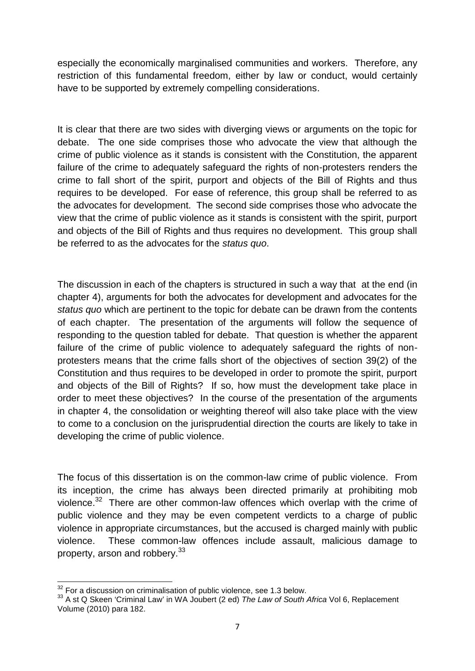especially the economically marginalised communities and workers. Therefore, any restriction of this fundamental freedom, either by law or conduct, would certainly have to be supported by extremely compelling considerations.

It is clear that there are two sides with diverging views or arguments on the topic for debate. The one side comprises those who advocate the view that although the crime of public violence as it stands is consistent with the Constitution, the apparent failure of the crime to adequately safeguard the rights of non-protesters renders the crime to fall short of the spirit, purport and objects of the Bill of Rights and thus requires to be developed. For ease of reference, this group shall be referred to as the advocates for development. The second side comprises those who advocate the view that the crime of public violence as it stands is consistent with the spirit, purport and objects of the Bill of Rights and thus requires no development. This group shall be referred to as the advocates for the *status quo*.

The discussion in each of the chapters is structured in such a way that at the end (in chapter 4), arguments for both the advocates for development and advocates for the *status quo* which are pertinent to the topic for debate can be drawn from the contents of each chapter. The presentation of the arguments will follow the sequence of responding to the question tabled for debate. That question is whether the apparent failure of the crime of public violence to adequately safeguard the rights of non protesters means that the crime falls short of the objectives of section 39(2) of the Constitution and thus requires to be developed in order to promote the spirit, purport and objects of the Bill of Rights? If so, how must the development take place in order to meet these objectives? In the course of the presentation of the arguments in chapter 4, the consolidation or weighting thereof will also take place with the view to come to a conclusion on the jurisprudential direction the courts are likely to take in developing the crime of public violence.

The focus of this dissertation is on the common-law crime of public violence. From its inception, the crime has always been directed primarily at prohibiting mob violence.<sup>32</sup> There are other common-law offences which overlap with the crime of public violence and they may be even competent verdicts to a charge of public violence in appropriate circumstances, but the accused is charged mainly with public violence. These common-law offences include assault, malicious damage to property, arson and robbery.<sup>33</sup>

<sup>&</sup>lt;sup>32</sup> For a discussion on criminalisation of public violence, see 1.3 below.<br><sup>33</sup> A st Q Skeen 'Criminal Law' in WA Joubert (2 ed) *The Law of South Africa* Vol 6, Replacement Volume (2010) para 182.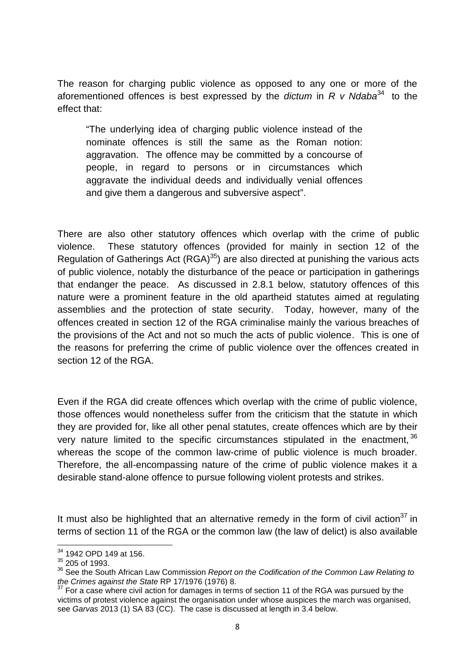The reason for charging public violence as opposed to any one or more of the aforementioned offences is best expressed by the *dictum* in *R v Ndaba*<sup>34</sup> to the effect that:

"The underlying idea of charging public violence instead of the nominate offences is still the same as the Roman notion: aggravation. The offence may be committed by a concourse of people, in regard to persons or in circumstances which aggravate the individual deeds and individually venial offences and give them a dangerous and subversive aspect".

There are also other statutory offences which overlap with the crime of public violence. These statutory offences (provided for mainly in section 12 of the Regulation of Gatherings Act  $(RGA)^{35}$  are also directed at punishing the various acts of public violence, notably the disturbance of the peace or participation in gatherings that endanger the peace. As discussed in 2.8.1 below, statutory offences of this nature were a prominent feature in the old apartheid statutes aimed at regulating assemblies and the protection of state security. Today, however, many of the offences created in section 12 of the RGA criminalise mainly the various breaches of the provisions of the Act and not so much the acts of public violence. This is one of the reasons for preferring the crime of public violence over the offences created in section 12 of the RGA.

Even if the RGA did create offences which overlap with the crime of public violence, those offences would nonetheless suffer from the criticism that the statute in which they are provided for, like all other penal statutes, create offences which are by their very nature limited to the specific circumstances stipulated in the enactment,  $36$ whereas the scope of the common law-crime of public violence is much broader. Therefore, the all-encompassing nature of the crime of public violence makes it a desirable stand-alone offence to pursue following violent protests and strikes.

It must also be highlighted that an alternative remedy in the form of civil action $37$  in terms of section 11 of the RGA or the common law (the law of delict) is also available

<sup>34</sup> 1942 OPD 149 at 156.

 $35$  205 of 1993.

<sup>&</sup>lt;sup>36</sup> See the South African Law Commission *Report on the Codification of the Common Law Relating to the Crimes against the State RP 17/1976 (1976) 8.* 

*the Crimes against the State* RP 17/1976 (1976) 8. <sup>37</sup> For a case where civil action for damages in terms of section 11 of the RGA was pursued by the victims of protest violence against the organisation under whose auspices the march was organised, see *Garvas* 2013 (1) SA 83 (CC). The case is discussed at length in 3.4 below.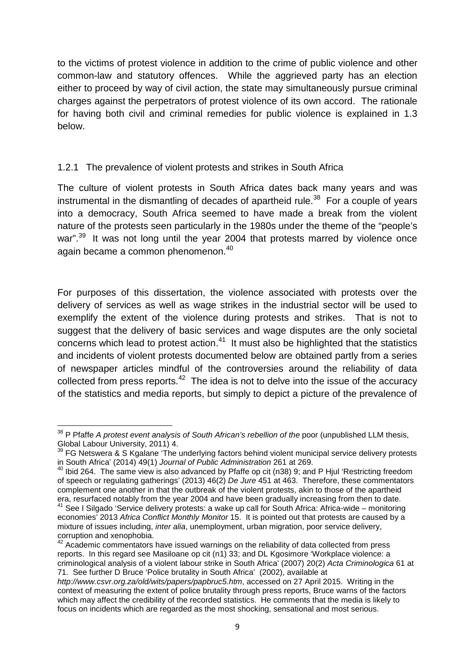to the victims of protest violence in addition to the crime of public violence and other common-law and statutory offences. While the aggrieved party has an election either to proceed by way of civil action, the state may simultaneously pursue criminal charges against the perpetrators of protest violence of its own accord. The rationale for having both civil and criminal remedies for public violence is explained in 1.3 below.

#### 1.2.1 The prevalence of violent protests and strikes in South Africa

The culture of violent protests in South Africa dates back many years and was instrumental in the dismantling of decades of apartheid rule.<sup>38</sup> For a couple of years into a democracy, South Africa seemed to have made a break from the violent nature of the protests seen particularly in the 1980s under the theme of the "people's war".<sup>39</sup> It was not long until the year 2004 that protests marred by violence once again became a common phenomenon.<sup>40</sup>

For purposes of this dissertation, the violence associated with protests over the delivery of services as well as wage strikes in the industrial sector will be used to exemplify the extent of the violence during protests and strikes. That is not to suggest that the delivery of basic services and wage disputes are the only societal concerns which lead to protest action. $41$  It must also be highlighted that the statistics and incidents of violent protests documented below are obtained partly from a series of newspaper articles mindful of the controversies around the reliability of data collected from press reports.<sup>42</sup> The idea is not to delve into the issue of the accuracy of the statistics and media reports, but simply to depict a picture of the prevalence of

<sup>&</sup>lt;sup>38</sup> P Pfaffe *A protest event analysis of South African's rebellion of the* poor (unpublished LLM thesis, Global Labour University, 2011) 4.

 $^{39}$  FG Netswera & S Kgalane 'The underlying factors behind violent municipal service delivery protests in South Africa' (2014) 49(1) *Journal of Public Administration* 261 at 269.

<sup>40</sup> Ibid 264. The same view is also advanced by Pfaffe op cit (n38) 9; and P Hjul 'Restricting freedom of speech or regulating gatherings' (2013) 46(2) *De Jure* 451 at 463. Therefore, these commentators complement one another in that the outbreak of the violent protests, akin to those of the apartheid era, resurfaced notably from the year 2004 and have been gradually increasing from then to date.<br><sup>41</sup> See I Silgado 'Service delivery protests: a wake up call for South Africa: Africa-wide – monitoring

economies' 2013 *Africa Conflict Monthly Monitor* 15. It is pointed out that protests are caused by a mixture of issues including, *inter alia*, unemployment, urban migration, poor service delivery,

 $42$  Academic commentators have issued warnings on the reliability of data collected from press reports. In this regard see Masiloane op cit (n1) 33; and DL Kgosimore 'Workplace violence: a criminological analysis of a violent labour strike in South Africa' (2007) 20(2) *Acta Criminologica* 61 at 71. See further D Bruce 'Police brutality in South Africa' (2002), available at

*http://www.csvr.org.za/old/wits/papers/papbruc5.htm*, accessed on 27 April 2015. Writing in the context of measuring the extent of police brutality through press reports, Bruce warns of the factors which may affect the credibility of the recorded statistics. He comments that the media is likely to focus on incidents which are regarded as the most shocking, sensational and most serious.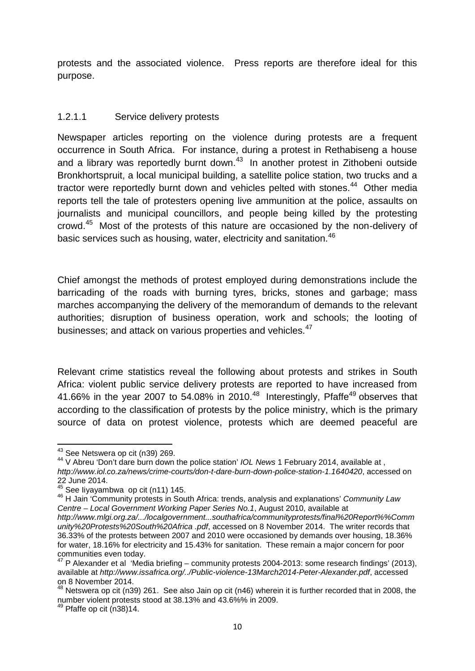protests and the associated violence. Press reports are therefore ideal for this purpose.

#### 1.2.1.1 Service delivery protests

Newspaper articles reporting on the violence during protests are a frequent occurrence in South Africa. For instance, during a protest in Rethabiseng a house and a library was reportedly burnt down.<sup>43</sup> In another protest in Zithobeni outside Bronkhortspruit, a local municipal building, a satellite police station, two trucks and a tractor were reportedly burnt down and vehicles pelted with stones.<sup>44</sup> Other media reports tell the tale of protesters opening live ammunition at the police, assaults on journalists and municipal councillors, and people being killed by the protesting crowd.<sup>45</sup> Most of the protests of this nature are occasioned by the non-delivery of basic services such as housing, water, electricity and sanitation.<sup>46</sup>

Chief amongst the methods of protest employed during demonstrations include the barricading of the roads with burning tyres, bricks, stones and garbage; mass marches accompanying the delivery of the memorandum of demands to the relevant authorities; disruption of business operation, work and schools; the looting of businesses; and attack on various properties and vehicles.<sup>47</sup>

Relevant crime statistics reveal the following about protests and strikes in South Africa: violent public service delivery protests are reported to have increased from 41.66% in the year 2007 to 54.08% in 2010.<sup>48</sup> Interestingly, Pfaffe<sup>49</sup> observes that according to the classification of protests by the police ministry, which is the primary source of data on protest violence, protests which are deemed peaceful are

<sup>&</sup>lt;sup>43</sup> See Netswera op cit (n39) 269.<br><sup>44</sup> V Abreu 'Don't dare burn down the police station' *IOL News* 1 February 2014, available at , *http://www.iol.co.za/news/crime-courts/don-t-dare-burn-down-police-station-1.1640420*, accessed on  $22$  June 2014.<br><sup>45</sup> See liyayambwa op cit (n11) 145.

<sup>&</sup>lt;sup>46</sup> H Jain 'Community protests in South Africa: trends, analysis and explanations' *Community Law Centre – Local Government Working Paper Series No.1*, August 2010, available at *http://www.mlgi.org.za/.../localgovernment...southafrica/communityprotests/final%20Report%%Comm unity%20Protests%20South%20Africa .pdf*, accessed on 8 November 2014. The writer records that 36.33% of the protests between 2007 and 2010 were occasioned by demands over housing, 18.36% for water, 18.16% for electricity and 15.43% for sanitation. These remain a major concern for poor

<sup>&</sup>lt;sup>47</sup> P Alexander et al 'Media briefing – community protests 2004-2013: some research findings' (2013), available at *http://www.issafrica.org/../Public-violence-13March2014-Peter-Alexander.pdf*, accessed on 8 November 2014.

 $^{48}$  Netswera op cit (n39) 261. See also Jain op cit (n46) wherein it is further recorded that in 2008, the number violent protests stood at 38.13% and 43.6%% in 2009.<br><sup>49</sup> Pfaffe op cit (n38)14.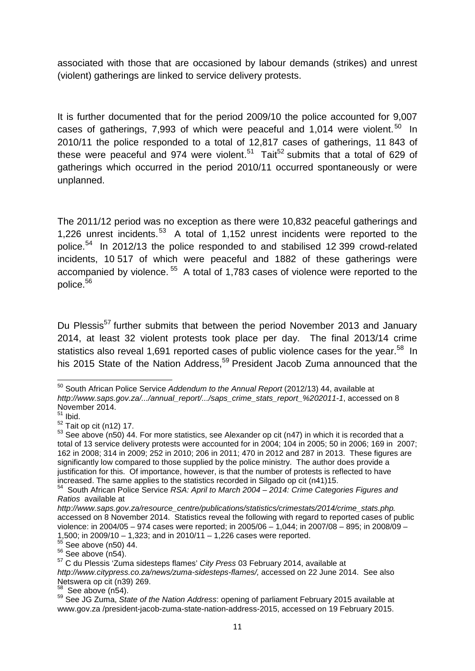associated with those that are occasioned by labour demands (strikes) and unrest (violent) gatherings are linked to service delivery protests.

It is further documented that for the period 2009/10 the police accounted for 9,007 cases of gatherings, 7,993 of which were peaceful and 1,014 were violent.<sup>50</sup> In 2010/11 the police responded to a total of 12,817 cases of gatherings, 11 843 of these were peaceful and 974 were violent.<sup>51</sup> Tait<sup>52</sup> submits that a total of 629 of gatherings which occurred in the period 2010/11 occurred spontaneously or were unplanned.

The 2011/12 period was no exception as there were 10,832 peaceful gatherings and 1,226 unrest incidents.<sup>53</sup> A total of 1,152 unrest incidents were reported to the police.<sup>54</sup> In 2012/13 the police responded to and stabilised 12 399 crowd-related incidents, 10 517 of which were peaceful and 1882 of these gatherings were accompanied by violence. <sup>55</sup> A total of 1,783 cases of violence were reported to the police.<sup>56</sup>

Du Plessis<sup>57</sup> further submits that between the period November 2013 and January 2014, at least 32 violent protests took place per day. The final 2013/14 crime statistics also reveal 1,691 reported cases of public violence cases for the year.<sup>58</sup> In his 2015 State of the Nation Address,<sup>59</sup> President Jacob Zuma announced that the

<sup>50</sup> South African Police Service *Addendum to the Annual Report* (2012/13) 44, available at *http://www.saps.gov.za/.../annual\_report/.../saps\_crime\_stats\_report\_%202011-1*, accessed on 8 November 2014.

 $\frac{51}{1}$  Ibid.

 $52$  Tait op cit (n12) 17.<br> $53$  See above (n50) 44. For more statistics, see Alexander op cit (n47) in which it is recorded that a total of 13 service delivery protests were accounted for in 2004; 104 in 2005; 50 in 2006; 169 in 2007; 162 in 2008; 314 in 2009; 252 in 2010; 206 in 2011; 470 in 2012 and 287 in 2013. These figures are significantly low compared to those supplied by the police ministry. The author does provide a justification for this. Of importance, however, is that the number of protests is reflected to have increased. The same applies to the statistics recorded in Silgado op cit (n41)15. <sup>54</sup> South African Police Service *RSA: April to March 2004 – 2014: Crime Categories Figures and*

*Ratios* available at

*http://www.saps.gov.za/resource\_centre/publications/statistics/crimestats/2014/crime\_stats.php.* accessed on 8 November 2014. Statistics reveal the following with regard to reported cases of public violence: in 2004/05 – 974 cases were reported; in 2005/06 – 1,044; in 2007/08 – 895; in 2008/09 – 1,500; in 2009/10 – 1,323; and in 2010/11 – 1,226 cases were reported.

<sup>1,500;</sup> in 2009/10 – 1,323; and in 2010/11<br>
<sup>55</sup> See above (n50) 44.<br>
<sup>57</sup> C du Plessis 'Zuma sidesteps flames' *City Press* 03 February 2014, available at *http://www.citypress.co.za/news/zuma-sidesteps-flames/,* accessed on 22 June 2014. See also

Netswera op cit (n39) 269.<br><sup>58</sup> See above (n54).<br><sup>59</sup> See JG Zuma, *State of the Nation Address*: opening of parliament February 2015 available at www.gov.za /president-jacob-zuma-state-nation-address-2015, accessed on 19 February 2015.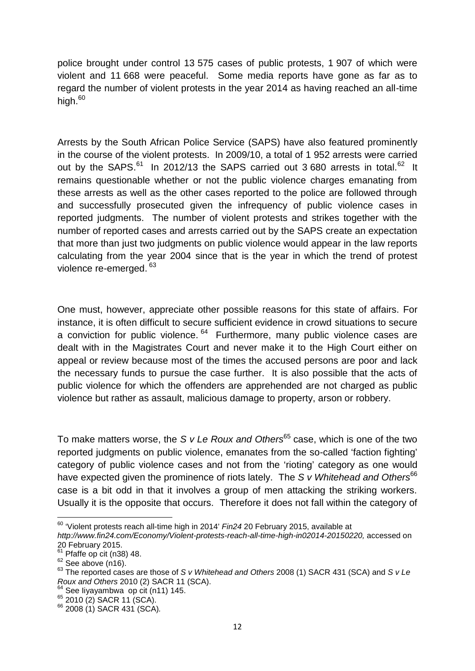police brought under control 13 575 cases of public protests, 1 907 of which were violent and 11 668 were peaceful. Some media reports have gone as far as to regard the number of violent protests in the year 2014 as having reached an all-time high. $60$ 

Arrests by the South African Police Service (SAPS) have also featured prominently in the course of the violent protests. In 2009/10, a total of 1 952 arrests were carried out by the SAPS. $61$  In 2012/13 the SAPS carried out 3 680 arrests in total. $62$  It remains questionable whether or not the public violence charges emanating from these arrests as well as the other cases reported to the police are followed through and successfully prosecuted given the infrequency of public violence cases in reported judgments. The number of violent protests and strikes together with the number of reported cases and arrests carried out by the SAPS create an expectation that more than just two judgments on public violence would appear in the law reports calculating from the year 2004 since that is the year in which the trend of protest violence re-emerged. <sup>63</sup>

One must, however, appreciate other possible reasons for this state of affairs. For instance, it is often difficult to secure sufficient evidence in crowd situations to secure a conviction for public violence.  $64$  Furthermore, many public violence cases are dealt with in the Magistrates Court and never make it to the High Court either on appeal or review because most of the times the accused persons are poor and lack the necessary funds to pursue the case further. It is also possible that the acts of public violence for which the offenders are apprehended are not charged as public violence but rather as assault, malicious damage to property, arson or robbery.

To make matters worse, the *S v Le Roux and Others*<sup>65</sup> case, which is one of the two reported judgments on public violence, emanates from the so-called 'faction fighting' category of public violence cases and not from the 'rioting' category as one would have expected given the prominence of riots lately. The *S v Whitehead and Others*<sup>66</sup> case is a bit odd in that it involves a group of men attacking the striking workers. Usually it is the opposite that occurs. Therefore it does not fall within the category of

- 
- 

<sup>60</sup> 'Violent protests reach all-time high in 2014' *Fin24* 20 February 2015, available at

*http://www.fin24.com/Economy/Violent-protests-reach-all-time-high-in02014-20150220,* accessed on

<sup>&</sup>lt;sup>62</sup> See above (n16).<br><sup>62</sup> See above (n16).<br><sup>63</sup> The reported cases are those of *S v Whitehead and Others* 2008 (1) SACR 431 (SCA) and *S v Le Roux and Others* 2010 (2) SACR 11 (SCA).<br><sup>64</sup> See Iiyayambwa op cit (n11) 145.<br><sup>65</sup> 2010 (2) SACR 11 (SCA).<br><sup>66</sup> 2008 (1) SACR 431 (SCA).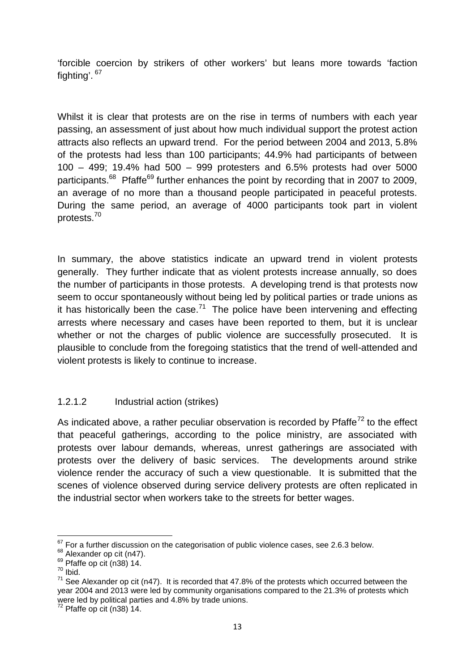'forcible coercion by strikers of other workers' but leans more towards 'faction fighting'. <sup>67</sup>

Whilst it is clear that protests are on the rise in terms of numbers with each year passing, an assessment of just about how much individual support the protest action attracts also reflects an upward trend. For the period between 2004 and 2013, 5.8% of the protests had less than 100 participants; 44.9% had participants of between 100 – 499; 19.4% had 500 – 999 protesters and 6.5% protests had over 5000 participants.<sup>68</sup> Pfaffe<sup>69</sup> further enhances the point by recording that in 2007 to 2009, an average of no more than a thousand people participated in peaceful protests. During the same period, an average of 4000 participants took part in violent protests.<sup>70</sup>

In summary, the above statistics indicate an upward trend in violent protests generally. They further indicate that as violent protests increase annually, so does the number of participants in those protests. A developing trend is that protests now seem to occur spontaneously without being led by political parties or trade unions as it has historically been the case.<sup>71</sup> The police have been intervening and effecting arrests where necessary and cases have been reported to them, but it is unclear whether or not the charges of public violence are successfully prosecuted. It is plausible to conclude from the foregoing statistics that the trend of well-attended and violent protests is likely to continue to increase.

#### 1.2.1.2 Industrial action (strikes)

As indicated above, a rather peculiar observation is recorded by  $Pf$ affe<sup>72</sup> to the effect that peaceful gatherings, according to the police ministry, are associated with protests over labour demands, whereas, unrest gatherings are associated with protests over the delivery of basic services. The developments around strike violence render the accuracy of such a view questionable. It is submitted that the scenes of violence observed during service delivery protests are often replicated in the industrial sector when workers take to the streets for better wages.

<sup>&</sup>lt;sup>67</sup> For a further discussion on the categorisation of public violence cases, see 2.6.3 below.<br><sup>68</sup> Alexander op cit (n47).<br><sup>69</sup> Pfaffe op cit (n38) 14.<br><sup>70</sup> Ibid.

 $71$  See Alexander op cit (n47). It is recorded that 47.8% of the protests which occurred between the year 2004 and 2013 were led by community organisations compared to the 21.3% of protests which were led by political parties and 4.8% by trade unions.<br> $72$  Pfaffe op cit (n38) 14.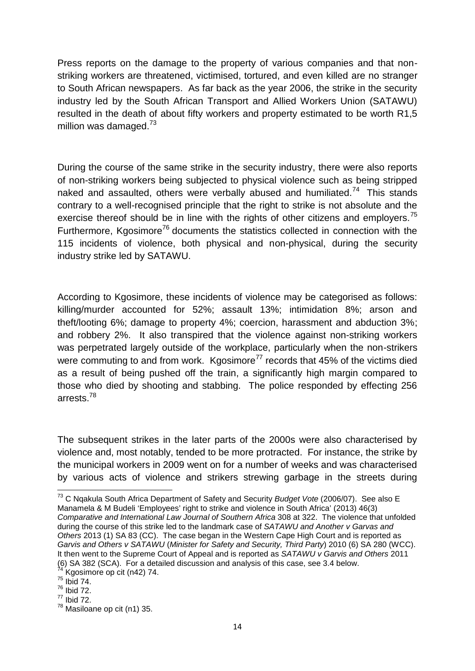Press reports on the damage to the property of various companies and that non striking workers are threatened, victimised, tortured, and even killed are no stranger to South African newspapers. As far back as the year 2006, the strike in the security industry led by the South African Transport and Allied Workers Union (SATAWU) resulted in the death of about fifty workers and property estimated to be worth R1,5 million was damaged. $73$ 

During the course of the same strike in the security industry, there were also reports of non-striking workers being subjected to physical violence such as being stripped naked and assaulted, others were verbally abused and humiliated.<sup>74</sup> This stands contrary to a well-recognised principle that the right to strike is not absolute and the exercise thereof should be in line with the rights of other citizens and employers.<sup>75</sup> Furthermore, Kgosimore<sup>76</sup> documents the statistics collected in connection with the 115 incidents of violence, both physical and non-physical, during the security industry strike led by SATAWU.

According to Kgosimore, these incidents of violence may be categorised as follows: killing/murder accounted for 52%; assault 13%; intimidation 8%; arson and theft/looting 6%; damage to property 4%; coercion, harassment and abduction 3%; and robbery 2%. It also transpired that the violence against non-striking workers was perpetrated largely outside of the workplace, particularly when the non-strikers were commuting to and from work. Kgosimore<sup>77</sup> records that  $45\%$  of the victims died as a result of being pushed off the train, a significantly high margin compared to those who died by shooting and stabbing. The police responded by effecting 256 arrests.<sup>78</sup>

The subsequent strikes in the later parts of the 2000s were also characterised by violence and, most notably, tended to be more protracted. For instance, the strike by the municipal workers in 2009 went on for a number of weeks and was characterised by various acts of violence and strikers strewing garbage in the streets during

<sup>73</sup> C Nqakula South Africa Department of Safety and Security *Budget Vote* (2006/07). See also E Manamela & M Budeli 'Employees' right to strike and violence in South Africa' (2013) 46(3) *Comparative and International Law Journal of Southern Africa* 308 at 322. The violence that unfolded during the course of this strike led to the landmark case of *SATAWU and Another v Garvas and Others* 2013 (1) SA 83 (CC). The case began in the Western Cape High Court and is reported as *Garvis and Others v SATAWU* (*Minister for Safety and Security, Third Party*) 2010 (6) SA 280 (WCC). It then went to the Supreme Court of Appeal and is reported as *SATAWU v Garvis and Others* 2011 (6) SA 382 (SCA). For a detailed discussion and analysis of this case, see 3.4 below.  $74$  Kgosimore op cit (n42) 74.  $75$  Ibid 74.  $76$  Ibid 72.

 $77$  Ibid 72.

<sup>78</sup> Masiloane op cit (n1) 35.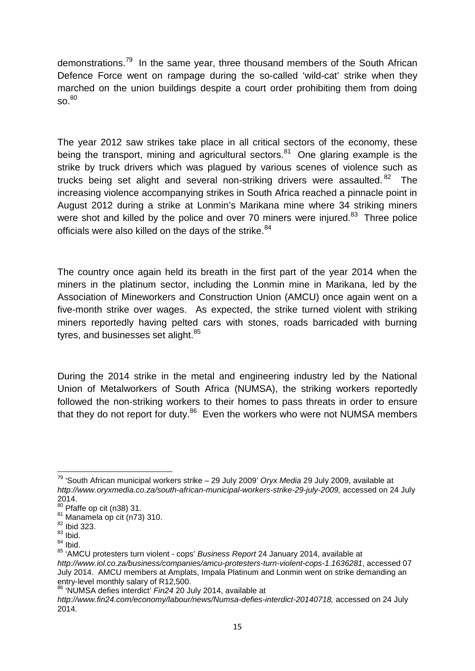demonstrations.<sup>79</sup> In the same year, three thousand members of the South African Defence Force went on rampage during the so-called 'wild-cat' strike when they marched on the union buildings despite a court order prohibiting them from doing  $\mathsf{SO}^{80}$ 

The year 2012 saw strikes take place in all critical sectors of the economy, these being the transport, mining and agricultural sectors. $81$  One glaring example is the strike by truck drivers which was plagued by various scenes of violence such as trucks being set alight and several non-striking drivers were assaulted.  $82$  The increasing violence accompanying strikes in South Africa reached a pinnacle point in August 2012 during a strike at Lonmin's Marikana mine where 34 striking miners were shot and killed by the police and over 70 miners were injured.<sup>83</sup> Three police officials were also killed on the days of the strike. 84

The country once again held its breath in the first part of the year 2014 when the miners in the platinum sector, including the Lonmin mine in Marikana, led by the Association of Mineworkers and Construction Union (AMCU) once again went on a five-month strike over wages. As expected, the strike turned violent with striking miners reportedly having pelted cars with stones, roads barricaded with burning tyres, and businesses set alight.<sup>85</sup>

During the 2014 strike in the metal and engineering industry led by the National Union of Metalworkers of South Africa (NUMSA), the striking workers reportedly followed the non-striking workers to their homes to pass threats in order to ensure that they do not report for duty. $86$  Even the workers who were not NUMSA members

<sup>79</sup> 'South African municipal workers strike – 29 July 2009' *Oryx Media* 29 July 2009, available at *http://www.oryxmedia.co.za/south-african-municipal-workers-strike-29-july-2009,* accessed on 24 July 2014.<br><sup>80</sup> Pfaffe op cit (n38) 31.

 $81$  Manamela op cit (n73) 310.  $82$  Ibid 323.

 $83$  Ibid.

 $84$  Ibid.

<sup>85</sup> 'AMCU protesters turn violent - cops' *Business Report* 24 January 2014, available at *http://www.iol.co.za/business/companies/amcu-protesters-turn-violent-cops-1.1636281*, accessed 07 July 2014. AMCU members at Amplats, Impala Platinum and Lonmin went on strike demanding an entry-level monthly salary of R12,500.<br><sup>86</sup> 'NUMSA defies interdict' *Fin24* 20 July 2014, available at

*http://www.fin24.com/economy/labour/news/Numsa-defies-interdict-20140718,* accessed on 24 July 2014.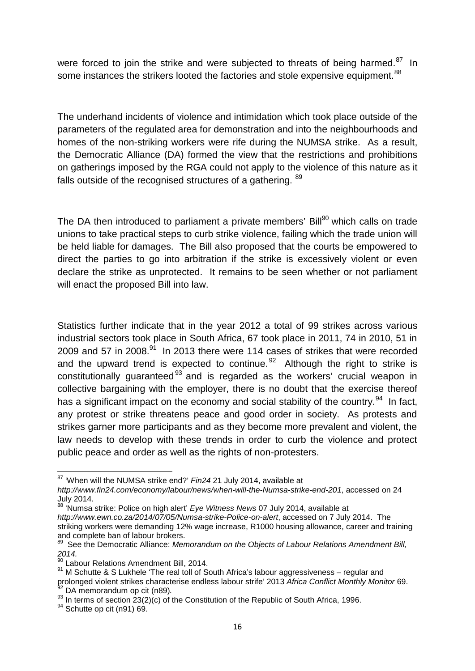were forced to join the strike and were subjected to threats of being harmed. $87$  In some instances the strikers looted the factories and stole expensive equipment.<sup>88</sup>

The underhand incidents of violence and intimidation which took place outside of the parameters of the regulated area for demonstration and into the neighbourhoods and homes of the non-striking workers were rife during the NUMSA strike. As a result, the Democratic Alliance (DA) formed the view that the restrictions and prohibitions on gatherings imposed by the RGA could not apply to the violence of this nature as it falls outside of the recognised structures of a gathering. <sup>89</sup>

The DA then introduced to parliament a private members' Bill<sup>90</sup> which calls on trade unions to take practical steps to curb strike violence, failing which the trade union will be held liable for damages. The Bill also proposed that the courts be empowered to direct the parties to go into arbitration if the strike is excessively violent or even declare the strike as unprotected. It remains to be seen whether or not parliament will enact the proposed Bill into law.

Statistics further indicate that in the year 2012 a total of 99 strikes across various industrial sectors took place in South Africa, 67 took place in 2011, 74 in 2010, 51 in 2009 and 57 in 2008.<sup>91</sup> In 2013 there were 114 cases of strikes that were recorded and the upward trend is expected to continue.<sup>92</sup> Although the right to strike is constitutionally guaranteed<sup>93</sup> and is regarded as the workers' crucial weapon in collective bargaining with the employer, there is no doubt that the exercise thereof has a significant impact on the economy and social stability of the country.<sup>94</sup> In fact, any protest or strike threatens peace and good order in society. As protests and strikes garner more participants and as they become more prevalent and violent, the law needs to develop with these trends in order to curb the violence and protect public peace and order as well as the rights of non-protesters.

<sup>87</sup> 'When will the NUMSA strike end?' *Fin24* 21 July 2014, available at

*http://www.fin24.com/economy/labour/news/when-will-the-Numsa-strike-end-201*, accessed on 24 July 2014. <sup>88</sup> 'Numsa strike: Police on high alert' *Eye Witness News* 07 July 2014, available at

*http://www.ewn.co.za/2014/07/05/Numsa-strike-Police-on-alert*, accessed on 7 July 2014. The striking workers were demanding 12% wage increase, R1000 housing allowance, career and training

<sup>&</sup>lt;sup>89</sup> See the Democratic Alliance: *Memorandum on the Objects of Labour Relations Amendment Bill, 2014.*

 $\frac{90}{10}$  Labour Relations Amendment Bill, 2014.

<sup>91</sup> M Schutte & S Lukhele 'The real toll of South Africa's labour aggressiveness – regular and prolonged violent strikes characterise endless labour strife' 2013 *Africa Conflict Monthly Monitor* 69.

<sup>93</sup> In terms of section 23(2)(c) of the Constitution of the Republic of South Africa, 1996.<br><sup>94</sup> Schutte op cit (n91) 69.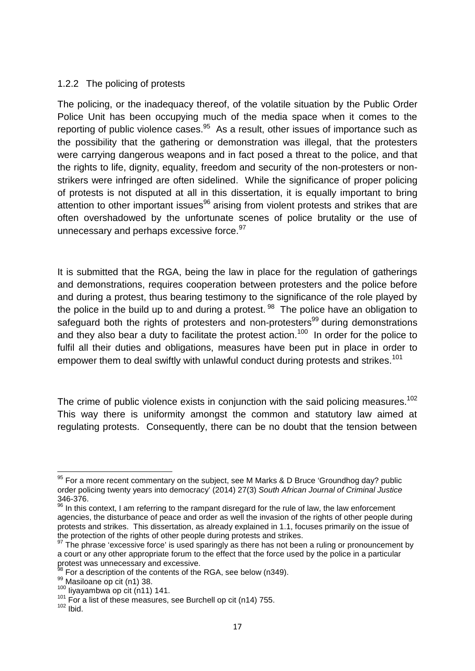#### 1.2.2 The policing of protests

The policing, or the inadequacy thereof, of the volatile situation by the Public Order Police Unit has been occupying much of the media space when it comes to the reporting of public violence cases.  $95$  As a result, other issues of importance such as the possibility that the gathering or demonstration was illegal, that the protesters were carrying dangerous weapons and in fact posed a threat to the police, and that the rights to life, dignity, equality, freedom and security of the non-protesters or non strikers were infringed are often sidelined. While the significance of proper policing of protests is not disputed at all in this dissertation, it is equally important to bring attention to other important issues<sup>96</sup> arising from violent protests and strikes that are often overshadowed by the unfortunate scenes of police brutality or the use of unnecessary and perhaps excessive force.<sup>97</sup>

It is submitted that the RGA, being the law in place for the regulation of gatherings and demonstrations, requires cooperation between protesters and the police before and during a protest, thus bearing testimony to the significance of the role played by the police in the build up to and during a protest.  $98$  The police have an obligation to safeguard both the rights of protesters and non-protesters<sup>99</sup> during demonstrations and they also bear a duty to facilitate the protest action.<sup>100</sup> In order for the police to fulfil all their duties and obligations, measures have been put in place in order to empower them to deal swiftly with unlawful conduct during protests and strikes.<sup>101</sup>

The crime of public violence exists in conjunction with the said policing measures.<sup>102</sup> This way there is uniformity amongst the common and statutory law aimed at regulating protests. Consequently, there can be no doubt that the tension between

<sup>&</sup>lt;sup>95</sup> For a more recent commentary on the subject, see M Marks & D Bruce 'Groundhog day? public order policing twenty years into democracy' (2014) 27(3) *South African Journal of Criminal Justice* 346-376.

 $96$  In this context, I am referring to the rampant disregard for the rule of law, the law enforcement agencies, the disturbance of peace and order as well the invasion of the rights of other people during protests and strikes. This dissertation, as already explained in 1.1, focuses primarily on the issue of the protection of the rights of other people during protests and strikes.

 $97$  The phrase 'excessive force' is used sparingly as there has not been a ruling or pronouncement by a court or any other appropriate forum to the effect that the force used by the police in a particular protest was unnecessary and excessive.<br><sup>98</sup> For a description of the contents of the RGA, see below (n349).<br><sup>99</sup> Masiloane op cit (n1) 38.<br><sup>100</sup> Iivavambwa op cit (n11) 141.

 $101$  For a list of these measures, see Burchell op cit (n14) 755.<br> $102$  Ibid.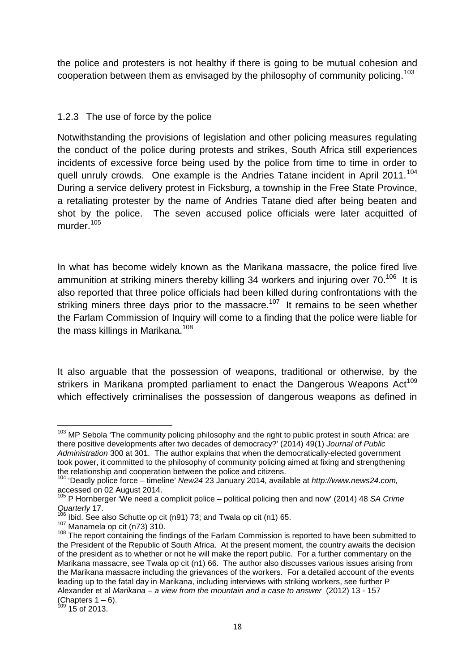the police and protesters is not healthy if there is going to be mutual cohesion and cooperation between them as envisaged by the philosophy of community policing.<sup>103</sup>

#### 1.2.3 The use of force by the police

Notwithstanding the provisions of legislation and other policing measures regulating the conduct of the police during protests and strikes, South Africa still experiences incidents of excessive force being used by the police from time to time in order to quell unruly crowds. One example is the Andries Tatane incident in April 2011.<sup>104</sup> During a service delivery protest in Ficksburg, a township in the Free State Province, a retaliating protester by the name of Andries Tatane died after being beaten and shot by the police. The seven accused police officials were later acquitted of murder.<sup>105</sup>

In what has become widely known as the Marikana massacre, the police fired live ammunition at striking miners thereby killing 34 workers and injuring over 70.<sup>106</sup> It is also reported that three police officials had been killed during confrontations with the striking miners three days prior to the massacre.<sup>107</sup> It remains to be seen whether the Farlam Commission of Inquiry will come to a finding that the police were liable for the mass killings in Marikana.<sup>108</sup>

It also arguable that the possession of weapons, traditional or otherwise, by the strikers in Marikana prompted parliament to enact the Dangerous Weapons  $Act^{109}$ which effectively criminalises the possession of dangerous weapons as defined in

<sup>&</sup>lt;sup>103</sup> MP Sebola 'The community policing philosophy and the right to public protest in south Africa: are there positive developments after two decades of democracy?' (2014) 49(1) *Journal of Public Administration* 300 at 301. The author explains that when the democratically-elected government took power, it committed to the philosophy of community policing aimed at fixing and strengthening

the relationship and cooperation between the police and citizens. <sup>104</sup> 'Deadly police force – timeline' *New24* 23 January 2014, available at *http://www.news24.com,* accessed on 02 August 2014.<br><sup>105</sup> P Hornberger 'We need a complicit police – political policing then and now' (2014) 48 *SA Crime* 

Quarterly 17.<br><sup>106</sup> Ibid. See also Schutte op cit (n91) 73; and Twala op cit (n1) 65.

<sup>107</sup> Ibid. See also Schutte op cit (n.61) 73; and Twala op cit (n.61) 55. 107 Manamela op cit (n73) 310.<br><sup>108</sup> The report containing the findings of the Farlam Commission is reported to have been submitted to the President of the Republic of South Africa. At the present moment, the country awaits the decision of the president as to whether or not he will make the report public. For a further commentary on the Marikana massacre, see Twala op cit (n1) 66. The author also discusses various issues arising from the Marikana massacre including the grievances of the workers. For a detailed account of the events leading up to the fatal day in Marikana, including interviews with striking workers, see further P Alexander et al *Marikana – a view from the mountain and a case to answer* (2012) 13 - 157

<sup>(</sup>Chapters  $1 - 6$ ).<br><sup>109</sup> 15 of 2013.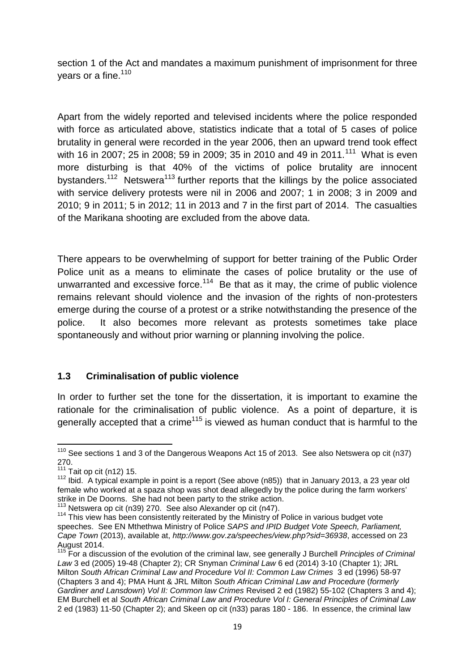section 1 of the Act and mandates a maximum punishment of imprisonment for three years or a fine.<sup>110</sup>

Apart from the widely reported and televised incidents where the police responded with force as articulated above, statistics indicate that a total of 5 cases of police brutality in general were recorded in the year 2006, then an upward trend took effect with 16 in 2007; 25 in 2008; 59 in 2009; 35 in 2010 and 49 in 2011.<sup>111</sup> What is even more disturbing is that 40% of the victims of police brutality are innocent bystanders.<sup>112</sup> Netswera<sup>113</sup> further reports that the killings by the police associated with service delivery protests were nil in 2006 and 2007; 1 in 2008; 3 in 2009 and 2010; 9 in 2011; 5 in 2012; 11 in 2013 and 7 in the first part of 2014. The casualties of the Marikana shooting are excluded from the above data.

There appears to be overwhelming of support for better training of the Public Order Police unit as a means to eliminate the cases of police brutality or the use of unwarranted and excessive force. $114$  Be that as it may, the crime of public violence remains relevant should violence and the invasion of the rights of non-protesters emerge during the course of a protest or a strike notwithstanding the presence of the police. It also becomes more relevant as protests sometimes take place spontaneously and without prior warning or planning involving the police.

#### **1.3 Criminalisation of public violence**

In order to further set the tone for the dissertation, it is important to examine the rationale for the criminalisation of public violence. As a point of departure, it is generally accepted that a crime<sup> $115$ </sup> is viewed as human conduct that is harmful to the

<sup>&</sup>lt;sup>110</sup> See sections 1 and 3 of the Dangerous Weapons Act 15 of 2013. See also Netswera op cit (n37) 270.

<sup>&</sup>lt;sup>111</sup> Tait op cit (n12) 15.<br><sup>112</sup> Ibid. A typical example in point is a report (See above (n85)) that in January 2013, a 23 year old female who worked at a spaza shop was shot dead allegedly by the police during the farm workers' strike in De Doorns. She had not been party to the strike action.<br><sup>113</sup> Netswera op cit (n39) 270. See also Alexander op cit (n47).<br><sup>114</sup> This view has been consistently reiterated by the Ministry of Police in various budg

speeches. See EN Mthethwa Ministry of Police *SAPS and IPID Budget Vote Speech, Parliament, Cape Town* (2013), available at, *http://www.gov.za/speeches/view.php?sid=36938*, accessed on 23 August 2014.

<sup>&</sup>lt;sup>5</sup> For a discussion of the evolution of the criminal law, see generally J Burchell *Principles of Criminal Law* 3 ed (2005) 19-48 (Chapter 2); CR Snyman *Criminal Law* 6 ed (2014) 3-10 (Chapter 1); JRL Milton *South African Criminal Law and Procedure Vol II: Common Law Crimes* 3 ed (1996) 58-97 (Chapters 3 and 4); PMA Hunt & JRL Milton *South African Criminal Law and Procedure* (*formerly Gardiner and Lansdown*) *Vol II: Common law Crimes* Revised 2 ed (1982) 55-102 (Chapters 3 and 4); EM Burchell et al *South African Criminal Law and Procedure Vol I: General Principles of Criminal Law* 2 ed (1983) 11-50 (Chapter 2); and Skeen op cit (n33) paras 180 - 186. In essence, the criminal law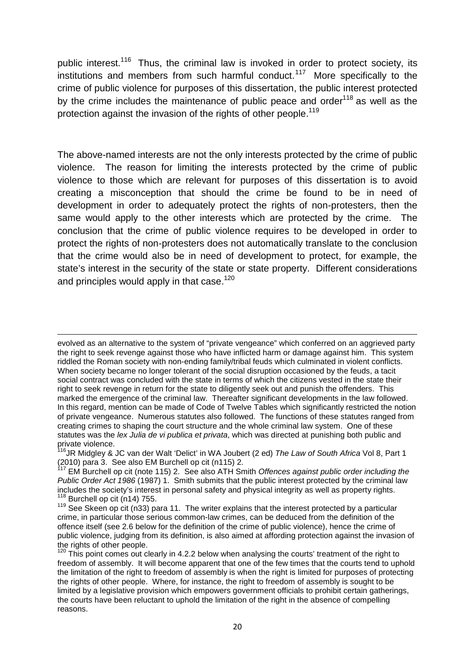public interest.<sup>116</sup> Thus, the criminal law is invoked in order to protect society, its institutions and members from such harmful conduct.<sup>117</sup> More specifically to the crime of public violence for purposes of this dissertation, the public interest protected by the crime includes the maintenance of public peace and order $118$  as well as the protection against the invasion of the rights of other people.<sup>119</sup>

The above-named interests are not the only interests protected by the crime of public violence. The reason for limiting the interests protected by the crime of public violence to those which are relevant for purposes of this dissertation is to avoid creating a misconception that should the crime be found to be in need of development in order to adequately protect the rights of non-protesters, then the same would apply to the other interests which are protected by the crime. The conclusion that the crime of public violence requires to be developed in order to protect the rights of non-protesters does not automatically translate to the conclusion that the crime would also be in need of development to protect, for example, the state's interest in the security of the state or state property. Different considerations and principles would apply in that case.<sup>120</sup>

evolved as an alternative to the system of "private vengeance" which conferred on an aggrieved party the right to seek revenge against those who have inflicted harm or damage against him. This system riddled the Roman society with non-ending family/tribal feuds which culminated in violent conflicts. When society became no longer tolerant of the social disruption occasioned by the feuds, a tacit social contract was concluded with the state in terms of which the citizens vested in the state their right to seek revenge in return for the state to diligently seek out and punish the offenders. This marked the emergence of the criminal law. Thereafter significant developments in the law followed. In this regard, mention can be made of Code of Twelve Tables which significantly restricted the notion of private vengeance. Numerous statutes also followed. The functions of these statutes ranged from creating crimes to shaping the court structure and the whole criminal law system. One of these statutes was the *lex Julia de vi publica et privata*, which was directed at punishing both public and private violence.<br><sup>116</sup>JR Midgley & JC van der Walt 'Delict' in WA Joubert (2 ed) *The Law of South Africa* Vol 8, Part 1

(2010) para 3. See also EM Burchell op cit (n115) 2.

<sup>117</sup> EM Burchell op cit (note 115) 2. See also ATH Smith *Offences against public order including the Public Order Act 1986* (1987) 1. Smith submits that the public interest protected by the criminal law includes the society's interest in personal safety and physical integrity as well as property rights.

 $^{118}$  Burchell op cit (n14) 755.<br> $^{119}$  See Skeen op cit (n33) para 11. The writer explains that the interest protected by a particular crime, in particular those serious common-law crimes, can be deduced from the definition of the offence itself (see 2.6 below for the definition of the crime of public violence), hence the crime of public violence, judging from its definition, is also aimed at affording protection against the invasion of the rights of other people.

 $120$  This point comes out clearly in 4.2.2 below when analysing the courts' treatment of the right to freedom of assembly. It will become apparent that one of the few times that the courts tend to uphold the limitation of the right to freedom of assembly is when the right is limited for purposes of protecting the rights of other people. Where, for instance, the right to freedom of assembly is sought to be limited by a legislative provision which empowers government officials to prohibit certain gatherings, the courts have been reluctant to uphold the limitation of the right in the absence of compelling reasons.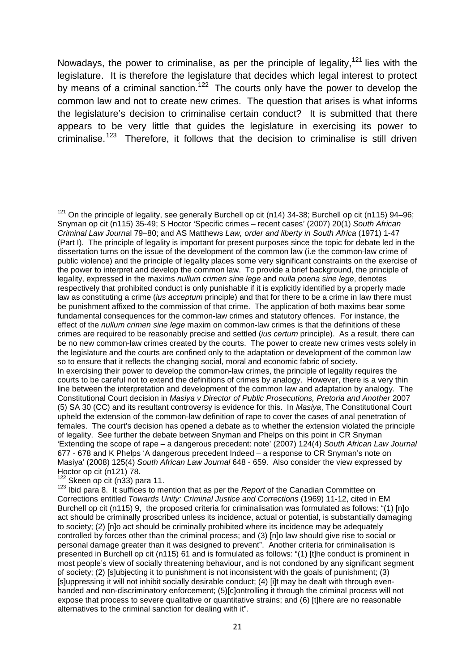Nowadays, the power to criminalise, as per the principle of legality,<sup>121</sup> lies with the legislature. It is therefore the legislature that decides which legal interest to protect by means of a criminal sanction.<sup>122</sup> The courts only have the power to develop the common law and not to create new crimes. The question that arises is what informs the legislature's decision to criminalise certain conduct? It is submitted that there appears to be very little that guides the legislature in exercising its power to criminalise.<sup>123</sup> Therefore, it follows that the decision to criminalise is still driven

 $121$  On the principle of legality, see generally Burchell op cit (n14) 34-38; Burchell op cit (n115) 94-96; Snyman op cit (n115) 35-49; S Hoctor 'Specific crimes – recent cases' (2007) 20(1) *South African Criminal Law Journa*l 79–80; and AS Matthews *Law, order and liberty in South Africa* (1971) 1-47 (Part I). The principle of legality is important for present purposes since the topic for debate led in the dissertation turns on the issue of the development of the common law (i.e the common-law crime of public violence) and the principle of legality places some very significant constraints on the exercise of the power to interpret and develop the common law. To provide a brief background, the principle of legality, expressed in the maxims *nullum crimen sine lege* and *nulla poena sine lege*, denotes respectively that prohibited conduct is only punishable if it is explicitly identified by a properly made law as constituting a crime (*ius acceptum* principle) and that for there to be a crime in law there must be punishment affixed to the commission of that crime. The application of both maxims bear some fundamental consequences for the common-law crimes and statutory offences. For instance, the effect of the *nullum crimen sine lege* maxim on common-law crimes is that the definitions of these crimes are required to be reasonably precise and settled (*ius certum* principle). As a result, there can be no new common-law crimes created by the courts. The power to create new crimes vests solely in the legislature and the courts are confined only to the adaptation or development of the common law so to ensure that it reflects the changing social, moral and economic fabric of society. In exercising their power to develop the common-law crimes, the principle of legality requires the courts to be careful not to extend the definitions of crimes by analogy. However, there is a very thin line between the interpretation and development of the common law and adaptation by analogy. The Constitutional Court decision in *Masiya v Director of Public Prosecutions, Pretoria and Another* 2007 (5) SA 30 (CC) and its resultant controversy is evidence for this. In *Masiya*, The Constitutional Court upheld the extension of the common-law definition of rape to cover the cases of anal penetration of females. The court's decision has opened a debate as to whether the extension violated the principle of legality. See further the debate between Snyman and Phelps on this point in CR Snyman 'Extending the scope of rape – a dangerous precedent: note' (2007) 124(4) *South African Law Journal* 677 - 678 and K Phelps 'A dangerous precedent Indeed – a response to CR Snyman's note on Masiya' (2008) 125(4) *South African Law Journal* 648 - 659. Also consider the view expressed by

<sup>&</sup>lt;sup>122</sup> Skeen op cit (n33) para 11.<br><sup>123</sup> Ibid para 8. It suffices to mention that as per the *Report* of the Canadian Committee on Corrections entitled *Towards Unity: Criminal Justice and Corrections* (1969) 11-12, cited in EM Burchell op cit (n115) 9, the proposed criteria for criminalisation was formulated as follows: "(1) [n]o act should be criminally proscribed unless its incidence, actual or potential, is substantially damaging to society; (2) [n]o act should be criminally prohibited where its incidence may be adequately controlled by forces other than the criminal process; and (3) [n]o law should give rise to social or personal damage greater than it was designed to prevent". Another criteria for criminalisation is presented in Burchell op cit (n115) 61 and is formulated as follows: "(1) [t]he conduct is prominent in most people's view of socially threatening behaviour, and is not condoned by any significant segment of society; (2) [s]ubjecting it to punishment is not inconsistent with the goals of punishment; (3) [s]uppressing it will not inhibit socially desirable conduct; (4) [i]t may be dealt with through even handed and non-discriminatory enforcement; (5)[c]ontrolling it through the criminal process will not expose that process to severe qualitative or quantitative strains; and (6) [t]here are no reasonable alternatives to the criminal sanction for dealing with it".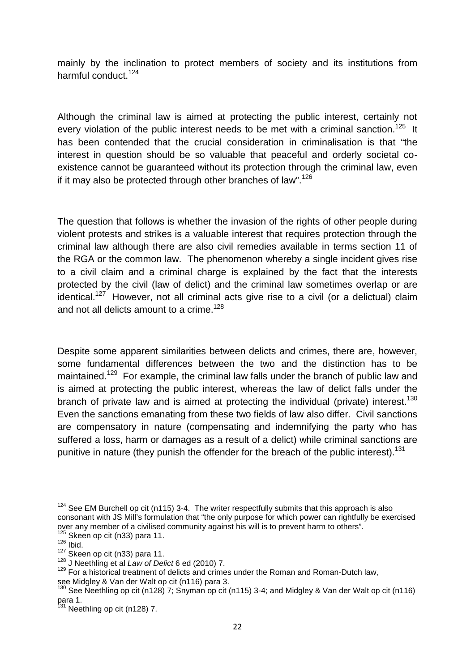mainly by the inclination to protect members of society and its institutions from harmful conduct.<sup>124</sup>

Although the criminal law is aimed at protecting the public interest, certainly not every violation of the public interest needs to be met with a criminal sanction.<sup>125</sup> It has been contended that the crucial consideration in criminalisation is that "the interest in question should be so valuable that peaceful and orderly societal co existence cannot be guaranteed without its protection through the criminal law, even if it may also be protected through other branches of law". $126$ 

The question that follows is whether the invasion of the rights of other people during violent protests and strikes is a valuable interest that requires protection through the criminal law although there are also civil remedies available in terms section 11 of the RGA or the common law. The phenomenon whereby a single incident gives rise to a civil claim and a criminal charge is explained by the fact that the interests protected by the civil (law of delict) and the criminal law sometimes overlap or are identical.<sup>127</sup> However, not all criminal acts give rise to a civil (or a delictual) claim and not all delicts amount to a crime.<sup>128</sup>

Despite some apparent similarities between delicts and crimes, there are, however, some fundamental differences between the two and the distinction has to be maintained.<sup>129</sup> For example, the criminal law falls under the branch of public law and is aimed at protecting the public interest, whereas the law of delict falls under the branch of private law and is aimed at protecting the individual (private) interest.<sup>130</sup> Even the sanctions emanating from these two fields of law also differ. Civil sanctions are compensatory in nature (compensating and indemnifying the party who has suffered a loss, harm or damages as a result of a delict) while criminal sanctions are punitive in nature (they punish the offender for the breach of the public interest).<sup>131</sup>

 $124$  See EM Burchell op cit (n115) 3-4. The writer respectfully submits that this approach is also consonant with JS Mill's formulation that "the only purpose for which power can rightfully be exercised over any member of a civilised community against his will is to prevent harm to others".<br>
<sup>125</sup> Skeen op cit (n33) para 11.<br>
<sup>126</sup> Ibid.<br>
<sup>127</sup> Skeen op cit (n33) para 11.

<sup>127</sup> Skeen op cit (n33) para 11. <sup>128</sup> <sup>J</sup> Neethling et al *Law of Delict* 6 ed (2010) 7. <sup>129</sup> For a historical treatment of delicts and crimes under the Roman and Roman-Dutch law, see Midgley & Van der Walt op cit (n116) para 3.<br><sup>130</sup> See Neethling op cit (n128) 7; Snyman op cit (n115) 3-4; and Midgley & Van der Walt op cit (n116)

para 1.<br><sup>131</sup> Neethling op cit (n128) 7.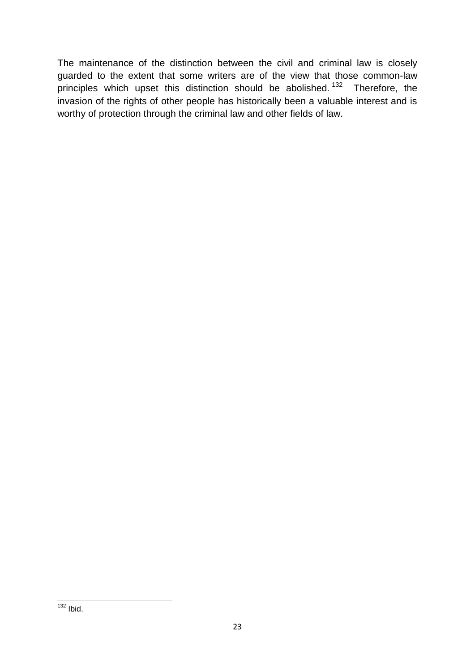The maintenance of the distinction between the civil and criminal law is closely guarded to the extent that some writers are of the view that those common-law principles which upset this distinction should be abolished.<sup>132</sup> Therefore, the invasion of the rights of other people has historically been a valuable interest and is worthy of protection through the criminal law and other fields of law.

 $132$  Ibid.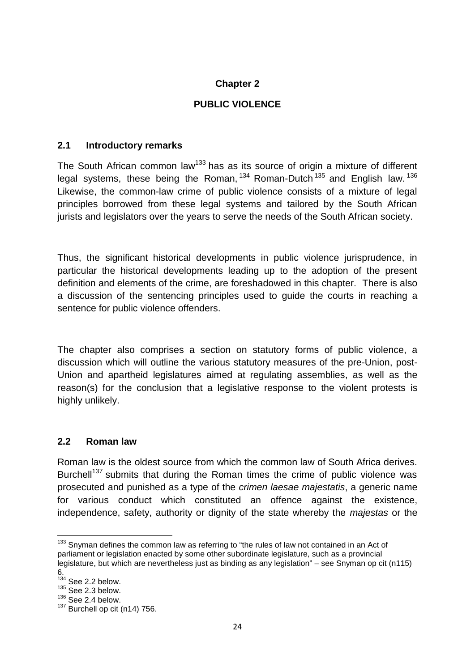#### **Chapter 2**

#### **PUBLIC VIOLENCE**

#### **2.1 Introductory remarks**

The South African common law<sup>133</sup> has as its source of origin a mixture of different legal systems, these being the Roman,  $134$  Roman-Dutch  $135$  and English law.  $136$ Likewise, the common-law crime of public violence consists of a mixture of legal principles borrowed from these legal systems and tailored by the South African jurists and legislators over the years to serve the needs of the South African society.

Thus, the significant historical developments in public violence jurisprudence, in particular the historical developments leading up to the adoption of the present definition and elements of the crime, are foreshadowed in this chapter. There is also a discussion of the sentencing principles used to guide the courts in reaching a sentence for public violence offenders.

The chapter also comprises a section on statutory forms of public violence, a discussion which will outline the various statutory measures of the pre-Union, post- Union and apartheid legislatures aimed at regulating assemblies, as well as the reason(s) for the conclusion that a legislative response to the violent protests is highly unlikely.

#### **2.2 Roman law**

Roman law is the oldest source from which the common law of South Africa derives. Burchell<sup>137</sup> submits that during the Roman times the crime of public violence was prosecuted and punished as a type of the *crimen laesae majestatis*, a generic name for various conduct which constituted an offence against the existence, independence, safety, authority or dignity of the state whereby the *majestas* or the

 $133$  Snyman defines the common law as referring to "the rules of law not contained in an Act of parliament or legislation enacted by some other subordinate legislature, such as a provincial legislature, but which are nevertheless just as binding as any legislation" – see Snyman op cit (n115)

<sup>6.</sup>  $134$  See 2.2 below.

 $135$  See 2.3 below.

 $136$  See 2.4 below.

 $137$  Burchell op cit (n14) 756.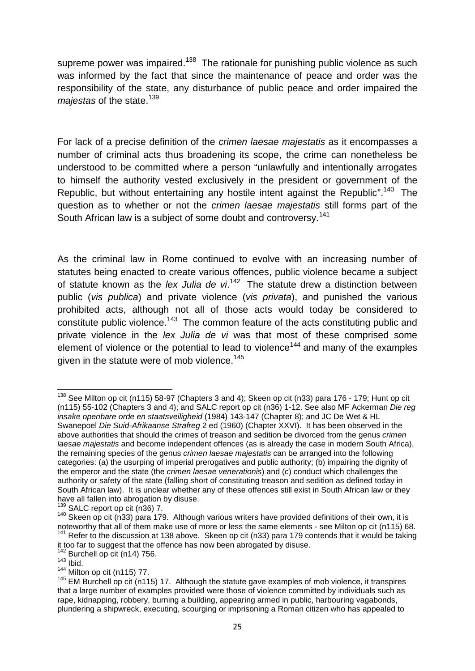supreme power was impaired.<sup>138</sup> The rationale for punishing public violence as such was informed by the fact that since the maintenance of peace and order was the responsibility of the state, any disturbance of public peace and order impaired the *majestas* of the state.<sup>139</sup>

For lack of a precise definition of the *crimen laesae majestatis* as it encompasses a number of criminal acts thus broadening its scope, the crime can nonetheless be understood to be committed where a person "unlawfully and intentionally arrogates to himself the authority vested exclusively in the president or government of the Republic, but without entertaining any hostile intent against the Republic".<sup>140</sup> The question as to whether or not the *crimen laesae majestatis* still forms part of the South African law is a subject of some doubt and controversy.<sup>141</sup>

As the criminal law in Rome continued to evolve with an increasing number of statutes being enacted to create various offences, public violence became a subject of statute known as the *lex Julia de vi*.<sup>142</sup> The statute drew a distinction between public (*vis publica*) and private violence (*vis privata*), and punished the various prohibited acts, although not all of those acts would today be considered to constitute public violence.<sup>143</sup> The common feature of the acts constituting public and private violence in the *lex Julia de vi* was that most of these comprised some element of violence or the potential to lead to violence<sup>144</sup> and many of the examples given in the statute were of mob violence.<sup>145</sup>

<sup>&</sup>lt;sup>138</sup> See Milton op cit (n115) 58-97 (Chapters 3 and 4); Skeen op cit (n33) para 176 - 179; Hunt op cit (n115) 55-102 (Chapters 3 and 4); and SALC report op cit (n36) 1-12. See also MF Ackerman *Die reg insake openbare orde en staatsveiligheid* (1984) 143-147 (Chapter 8); and JC De Wet & HL Swanepoel *Die Suid-Afrikaanse Strafreg* 2 ed (1960) (Chapter XXVI). It has been observed in the above authorities that should the crimes of treason and sedition be divorced from the genus *crimen laesae majestatis* and become independent offences (as is already the case in modern South Africa), the remaining species of the genus *crimen laesae majestatis* can be arranged into the following categories: (a) the usurping of imperial prerogatives and public authority; (b) impairing the dignity of the emperor and the state (the *crimen laesae venerationis*) and (c) conduct which challenges the authority or safety of the state (falling short of constituting treason and sedition as defined today in South African law). It is unclear whether any of these offences still exist in South African law or they<br>have all fallen into abrogation by disuse.<br> $\frac{139}{200}$  PALO are the U.S. 200.

<sup>&</sup>lt;sup>139</sup> SALC report op cit (n36) 7.<br><sup>140</sup> Skeen op cit (n33) para 179. Although various writers have provided definitions of their own, it is noteworthy that all of them make use of more or less the same elements - see Milt <sup>141</sup> Refer to the discussion at 138 above. Skeen op cit (n33) para 179 contends that it would be taking

it too far to suggest that the offence has now been abrogated by disuse.<br>
<sup>142</sup> Burchell op cit (n14) 756.<br>
<sup>143</sup> Ibid.<br>
<sup>144</sup> Milton op cit (n115) 77.

<sup>145</sup> EM Burchell op cit (n115) 17. Although the statute gave examples of mob violence, it transpires that a large number of examples provided were those of violence committed by individuals such as rape, kidnapping, robbery, burning a building, appearing armed in public, harbouring vagabonds, plundering a shipwreck, executing, scourging or imprisoning a Roman citizen who has appealed to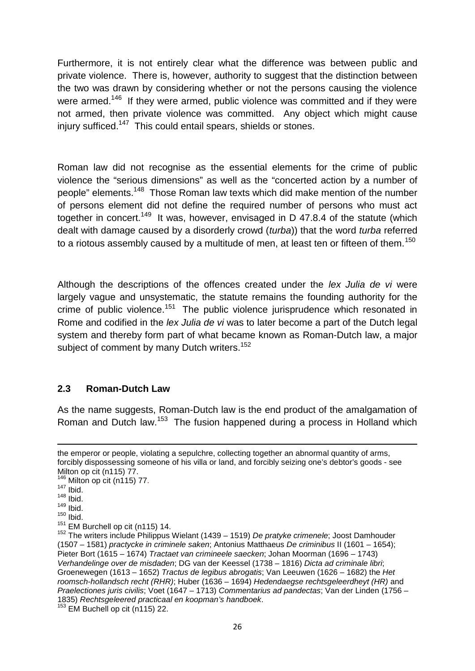Furthermore, it is not entirely clear what the difference was between public and private violence. There is, however, authority to suggest that the distinction between the two was drawn by considering whether or not the persons causing the violence were armed.<sup>146</sup> If they were armed, public violence was committed and if they were not armed, then private violence was committed. Any object which might cause injury sufficed.<sup>147</sup> This could entail spears, shields or stones.

Roman law did not recognise as the essential elements for the crime of public violence the "serious dimensions" as well as the "concerted action by a number of people" elements.<sup>148</sup> Those Roman law texts which did make mention of the number of persons element did not define the required number of persons who must act together in concert.<sup>149</sup> It was, however, envisaged in D 47.8.4 of the statute (which dealt with damage caused by a disorderly crowd (*turba*)) that the word *turba* referred to a riotous assembly caused by a multitude of men, at least ten or fifteen of them.<sup>150</sup>

Although the descriptions of the offences created under the *lex Julia de vi* were largely vague and unsystematic, the statute remains the founding authority for the crime of public violence.<sup>151</sup> The public violence jurisprudence which resonated in Rome and codified in the *lex Julia de vi* was to later become a part of the Dutch legal system and thereby form part of what became known as Roman-Dutch law, a major subject of comment by many Dutch writers.<sup>152</sup>

#### **2.3 Roman-Dutch Law**

As the name suggests, Roman-Dutch law is the end product of the amalgamation of Roman and Dutch law.<sup>153</sup> The fusion happened during a process in Holland which

the emperor or people, violating a sepulchre, collecting together an abnormal quantity of arms, forcibly dispossessing someone of his villa or land, and forcibly seizing one's debtor's goods - see Milton op cit (n115) 77.<br><sup>146</sup> Milton op cit (n115) 77.<br><sup>147</sup> Ibid.

 $148$  Ibid.

 $149$  lbid.

 $150$  Ibid.<br> $151$  EM Burchell op cit (n115) 14.

<sup>&</sup>lt;sup>152</sup> The writers include Philippus Wielant (1439 – 1519) *De pratyke crimenele*; Joost Damhouder (1507 – 1581) *practycke in criminele saken*; Antonius Matthaeus *De criminibus* II (1601 – 1654); Pieter Bort (1615 – 1674) *Tractaet van crimineele saecken*; Johan Moorman (1696 – 1743) *Verhandelinge over de misdaden*; DG van der Keessel (1738 – 1816) *Dicta ad criminale libri*; Groenewegen (1613 – 1652) *Tractus de legibus abrogatis*; Van Leeuwen (1626 – 1682) the *Het roomsch-hollandsch recht (RHR)*; Huber (1636 – 1694) *Hedendaegse rechtsgeleerdheyt (HR)* and *Praelectiones juris civilis*; Voet (1647 – 1713) *Commentarius ad pandectas*; Van der Linden (1756 – 1835) *Rechtsgeleered practicaal en koopman's handboek*. <sup>153</sup> EM Buchell op cit (n115) 22.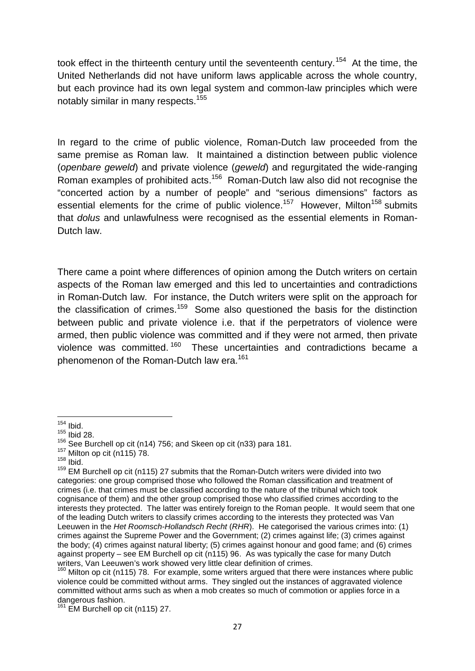took effect in the thirteenth century until the seventeenth century.<sup>154</sup> At the time, the United Netherlands did not have uniform laws applicable across the whole country, but each province had its own legal system and common-law principles which were notably similar in many respects.<sup>155</sup>

In regard to the crime of public violence, Roman-Dutch law proceeded from the same premise as Roman law. It maintained a distinction between public violence (*openbare geweld*) and private violence (*geweld*) and regurgitated the wide-ranging Roman examples of prohibited acts.<sup>156</sup> Roman-Dutch law also did not recognise the "concerted action by a number of people" and "serious dimensions" factors as essential elements for the crime of public violence.<sup>157</sup> However, Milton<sup>158</sup> submits that *dolus* and unlawfulness were recognised as the essential elements in Roman- Dutch law.

There came a point where differences of opinion among the Dutch writers on certain aspects of the Roman law emerged and this led to uncertainties and contradictions in Roman-Dutch law. For instance, the Dutch writers were split on the approach for the classification of crimes.<sup>159</sup> Some also questioned the basis for the distinction between public and private violence i.e. that if the perpetrators of violence were armed, then public violence was committed and if they were not armed, then private violence was committed.<sup>160</sup> These uncertainties and contradictions became a phenomenon of the Roman-Dutch law era.<sup>161</sup>

 $154$  Ibid.

 $155$  Ibid 28.

<sup>&</sup>lt;sup>156</sup> See Burchell op cit (n14) 756; and Skeen op cit (n33) para 181.<br><sup>157</sup> Milton op cit (n115) 78.<br><sup>158</sup> Ibid.

 $159$  EM Burchell op cit (n115) 27 submits that the Roman-Dutch writers were divided into two categories: one group comprised those who followed the Roman classification and treatment of crimes (i.e. that crimes must be classified according to the nature of the tribunal which took cognisance of them) and the other group comprised those who classified crimes according to the interests they protected. The latter was entirely foreign to the Roman people. It would seem that one of the leading Dutch writers to classify crimes according to the interests they protected was Van Leeuwen in the *Het Roomsch-Hollandsch Recht* (*RHR*). He categorised the various crimes into: (1) crimes against the Supreme Power and the Government; (2) crimes against life; (3) crimes against the body; (4) crimes against natural liberty; (5) crimes against honour and good fame; and (6) crimes against property – see EM Burchell op cit (n115) 96. As was typically the case for many Dutch writers, Van Leeuwen's work showed very little clear definition of crimes.

 $160$  Milton op cit (n115) 78. For example, some writers argued that there were instances where public violence could be committed without arms. They singled out the instances of aggravated violence committed without arms such as when a mob creates so much of commotion or applies force in a dangerous fashion.<br><sup>161</sup> EM Burchell op cit (n115) 27.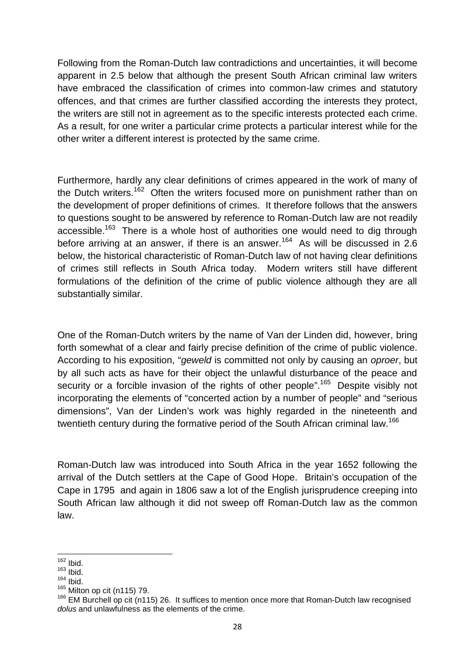Following from the Roman-Dutch law contradictions and uncertainties, it will become apparent in 2.5 below that although the present South African criminal law writers have embraced the classification of crimes into common-law crimes and statutory offences, and that crimes are further classified according the interests they protect, the writers are still not in agreement as to the specific interests protected each crime. As a result, for one writer a particular crime protects a particular interest while for the other writer a different interest is protected by the same crime.

Furthermore, hardly any clear definitions of crimes appeared in the work of many of the Dutch writers.<sup>162</sup> Often the writers focused more on punishment rather than on the development of proper definitions of crimes. It therefore follows that the answers to questions sought to be answered by reference to Roman-Dutch law are not readily accessible.<sup>163</sup> There is a whole host of authorities one would need to dig through before arriving at an answer, if there is an answer.<sup>164</sup> As will be discussed in 2.6 below, the historical characteristic of Roman-Dutch law of not having clear definitions of crimes still reflects in South Africa today. Modern writers still have different formulations of the definition of the crime of public violence although they are all substantially similar.

One of the Roman-Dutch writers by the name of Van der Linden did, however, bring forth somewhat of a clear and fairly precise definition of the crime of public violence. According to his exposition, "*geweld* is committed not only by causing an *oproer*, but by all such acts as have for their object the unlawful disturbance of the peace and security or a forcible invasion of the rights of other people".<sup>165</sup> Despite visibly not incorporating the elements of "concerted action by a number of people" and "serious dimensions", Van der Linden's work was highly regarded in the nineteenth and twentieth century during the formative period of the South African criminal law.<sup>166</sup>

Roman-Dutch law was introduced into South Africa in the year 1652 following the arrival of the Dutch settlers at the Cape of Good Hope. Britain's occupation of the Cape in 1795 and again in 1806 saw a lot of the English jurisprudence creeping into South African law although it did not sweep off Roman-Dutch law as the common law.

 $162$  Ibid.

 $163$  Ibid.

 $164$  Ibid.<br> $165$  Milton op cit (n115) 79.

<sup>&</sup>lt;sup>166</sup> EM Burchell op cit (n115) 26. It suffices to mention once more that Roman-Dutch law recognised *dolus* and unlawfulness as the elements of the crime.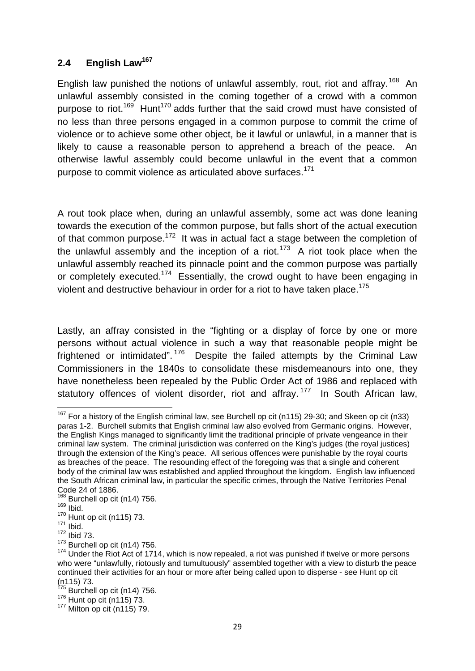# **2.4 English Law<sup>167</sup>**

English law punished the notions of unlawful assembly, rout, riot and affray.<sup>168</sup> An unlawful assembly consisted in the coming together of a crowd with a common purpose to riot.<sup>169</sup> Hunt<sup>170</sup> adds further that the said crowd must have consisted of no less than three persons engaged in a common purpose to commit the crime of violence or to achieve some other object, be it lawful or unlawful, in a manner that is likely to cause a reasonable person to apprehend a breach of the peace. An otherwise lawful assembly could become unlawful in the event that a common purpose to commit violence as articulated above surfaces.<sup>171</sup>

A rout took place when, during an unlawful assembly, some act was done leaning towards the execution of the common purpose, but falls short of the actual execution of that common purpose.<sup>172</sup> It was in actual fact a stage between the completion of the unlawful assembly and the inception of a riot.<sup>173</sup> A riot took place when the unlawful assembly reached its pinnacle point and the common purpose was partially or completely executed.<sup>174</sup> Essentially, the crowd ought to have been engaging in violent and destructive behaviour in order for a riot to have taken place.<sup>175</sup>

Lastly, an affray consisted in the "fighting or a display of force by one or more persons without actual violence in such a way that reasonable people might be frightened or intimidated".<sup>176</sup> Despite the failed attempts by the Criminal Law Commissioners in the 1840s to consolidate these misdemeanours into one, they have nonetheless been repealed by the Public Order Act of 1986 and replaced with statutory offences of violent disorder, riot and affray,  $177$  In South African law,

 $167$  For a history of the English criminal law, see Burchell op cit (n115) 29-30; and Skeen op cit (n33) paras 1-2. Burchell submits that English criminal law also evolved from Germanic origins. However, the English Kings managed to significantly limit the traditional principle of private vengeance in their criminal law system. The criminal jurisdiction was conferred on the King's judges (the royal justices) through the extension of the King's peace. All serious offences were punishable by the royal courts as breaches of the peace. The resounding effect of the foregoing was that a single and coherent body of the criminal law was established and applied throughout the kingdom. English law influenced the South African criminal law, in particular the specific crimes, through the Native Territories Penal Code 24 of 1886.

 $^{168}_{169}$  Burchell op cit (n14) 756.<br> $^{169}_{169}$  Ibid.

 $\frac{170}{171}$  Hunt op cit (n115) 73.

 $\frac{172}{172}$  lbid 73.<br> $\frac{173}{173}$  Burchell op cit (n14) 756.

 $174$  Under the Riot Act of 1714, which is now repealed, a riot was punished if twelve or more persons who were "unlawfully, riotously and tumultuously" assembled together with a view to disturb the peace continued their activities for an hour or more after being called upon to disperse - see Hunt op cit<br>(n115) 73.

 $^{175}$  Burchell op cit (n14) 756.<br> $^{176}$  Hunt op cit (n115) 73.<br> $^{177}$  Milton op cit (n115) 79.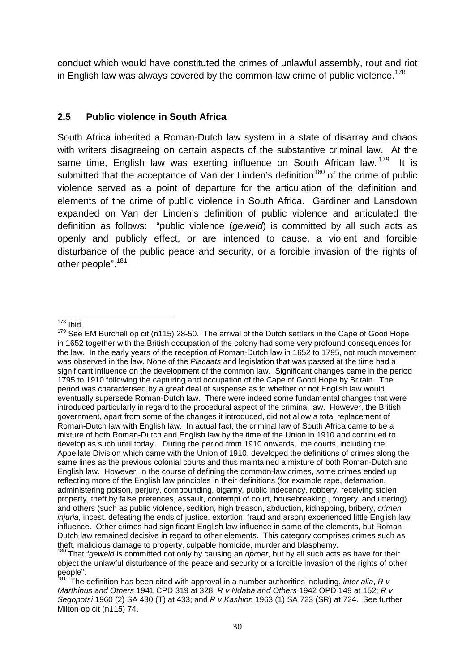conduct which would have constituted the crimes of unlawful assembly, rout and riot in English law was always covered by the common-law crime of public violence.<sup>178</sup>

### **2.5 Public violence in South Africa**

South Africa inherited a Roman-Dutch law system in a state of disarray and chaos with writers disagreeing on certain aspects of the substantive criminal law. At the same time, English law was exerting influence on South African law.  $179$  It is submitted that the acceptance of Van der Linden's definition<sup>180</sup> of the crime of public violence served as a point of departure for the articulation of the definition and elements of the crime of public violence in South Africa. Gardiner and Lansdown expanded on Van der Linden's definition of public violence and articulated the definition as follows: "public violence (*geweld*) is committed by all such acts as openly and publicly effect, or are intended to cause, a violent and forcible disturbance of the public peace and security, or a forcible invasion of the rights of other people".<sup>181</sup>

 $178$  Ibid.

<sup>&</sup>lt;sup>179</sup> See EM Burchell op cit (n115) 28-50. The arrival of the Dutch settlers in the Cape of Good Hope in 1652 together with the British occupation of the colony had some very profound consequences for the law. In the early years of the reception of Roman-Dutch law in 1652 to 1795, not much movement was observed in the law. None of the *Placaats* and legislation that was passed at the time had a significant influence on the development of the common law. Significant changes came in the period 1795 to 1910 following the capturing and occupation of the Cape of Good Hope by Britain. The period was characterised by a great deal of suspense as to whether or not English law would eventually supersede Roman-Dutch law. There were indeed some fundamental changes that were introduced particularly in regard to the procedural aspect of the criminal law. However, the British government, apart from some of the changes it introduced, did not allow a total replacement of Roman-Dutch law with English law. In actual fact, the criminal law of South Africa came to be a mixture of both Roman-Dutch and English law by the time of the Union in 1910 and continued to develop as such until today. During the period from 1910 onwards, the courts, including the Appellate Division which came with the Union of 1910, developed the definitions of crimes along the same lines as the previous colonial courts and thus maintained a mixture of both Roman-Dutch and English law. However, in the course of defining the common-law crimes, some crimes ended up reflecting more of the English law principles in their definitions (for example rape, defamation, administering poison, perjury, compounding, bigamy, public indecency, robbery, receiving stolen property, theft by false pretences, assault, contempt of court, housebreaking , forgery, and uttering) and others (such as public violence, sedition, high treason, abduction, kidnapping, bribery, *crimen injuria*, incest, defeating the ends of justice, extortion, fraud and arson) experienced little English law influence. Other crimes had significant English law influence in some of the elements, but Roman- Dutch law remained decisive in regard to other elements. This category comprises crimes such as theft, malicious damage to property, culpable homicide, murder and blasphemy.

<sup>&</sup>lt;sup>180</sup> That "*geweld* is committed not only by causing an *oproer*, but by all such acts as have for their object the unlawful disturbance of the peace and security or a forcible invasion of the rights of other<br>people".

The definition has been cited with approval in a number authorities including, *inter alia*, *R v Marthinus and Others* 1941 CPD 319 at 328; *R v Ndaba and Others* 1942 OPD 149 at 152; *R v Segopotsi* 1960 (2) SA 430 (T) at 433; and *R v Kashion* 1963 (1) SA 723 (SR) at 724. See further Milton op cit (n115) 74.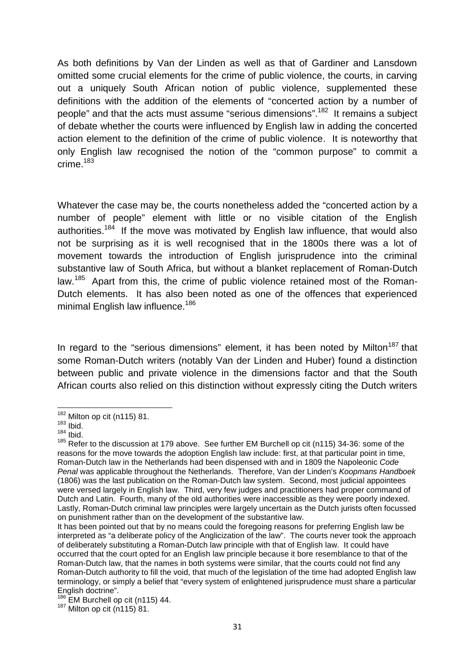As both definitions by Van der Linden as well as that of Gardiner and Lansdown omitted some crucial elements for the crime of public violence, the courts, in carving out a uniquely South African notion of public violence, supplemented these definitions with the addition of the elements of "concerted action by a number of people" and that the acts must assume "serious dimensions".<sup>182</sup> It remains a subject of debate whether the courts were influenced by English law in adding the concerted action element to the definition of the crime of public violence. It is noteworthy that only English law recognised the notion of the "common purpose" to commit a  $r$ rime $183$ 

Whatever the case may be, the courts nonetheless added the "concerted action by a number of people" element with little or no visible citation of the English authorities.<sup>184</sup> If the move was motivated by English law influence, that would also not be surprising as it is well recognised that in the 1800s there was a lot of movement towards the introduction of English jurisprudence into the criminal substantive law of South Africa, but without a blanket replacement of Roman-Dutch law.<sup>185</sup> Apart from this, the crime of public violence retained most of the Roman-Dutch elements. It has also been noted as one of the offences that experienced minimal English law influence.<sup>186</sup>

In regard to the "serious dimensions" element, it has been noted by Milton<sup>187</sup> that some Roman-Dutch writers (notably Van der Linden and Huber) found a distinction between public and private violence in the dimensions factor and that the South African courts also relied on this distinction without expressly citing the Dutch writers

 $182 \text{ Milton op cit (n115) } 81.$ <br> $183 \text{ lbid.}$ 

<sup>184</sup> Ibid.

<sup>185</sup> Refer to the discussion at 179 above. See further EM Burchell op cit (n115) 34-36: some of the reasons for the move towards the adoption English law include: first, at that particular point in time, Roman-Dutch law in the Netherlands had been dispensed with and in 1809 the Napoleonic *Code Penal* was applicable throughout the Netherlands. Therefore, Van der Linden's *Koopmans Handboek* (1806) was the last publication on the Roman-Dutch law system. Second, most judicial appointees were versed largely in English law. Third, very few judges and practitioners had proper command of Dutch and Latin. Fourth, many of the old authorities were inaccessible as they were poorly indexed. Lastly, Roman-Dutch criminal law principles were largely uncertain as the Dutch jurists often focussed on punishment rather than on the development of the substantive law.

It has been pointed out that by no means could the foregoing reasons for preferring English law be interpreted as "a deliberate policy of the Anglicization of the law". The courts never took the approach of deliberately substituting a Roman-Dutch law principle with that of English law. It could have occurred that the court opted for an English law principle because it bore resemblance to that of the Roman-Dutch law, that the names in both systems were similar, that the courts could not find any Roman-Dutch authority to fill the void, that much of the legislation of the time had adopted English law terminology, or simply a belief that "every system of enlightened jurisprudence must share a particular

 $\frac{186}{186}$  EM Burchell op cit (n115) 44.<br> $\frac{187}{187}$  Milton op cit (n115) 81.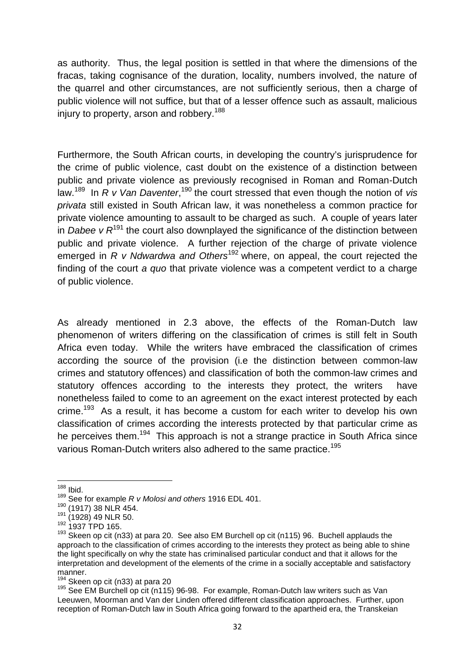as authority. Thus, the legal position is settled in that where the dimensions of the fracas, taking cognisance of the duration, locality, numbers involved, the nature of the quarrel and other circumstances, are not sufficiently serious, then a charge of public violence will not suffice, but that of a lesser offence such as assault, malicious injury to property, arson and robbery.<sup>188</sup>

Furthermore, the South African courts, in developing the country's jurisprudence for the crime of public violence, cast doubt on the existence of a distinction between public and private violence as previously recognised in Roman and Roman-Dutch law.<sup>189</sup> In *R v Van Daventer*,<sup>190</sup> the court stressed that even though the notion of *vis privata* still existed in South African law, it was nonetheless a common practice for private violence amounting to assault to be charged as such. A couple of years later in *Dabee v R*<sup>191</sup> the court also downplayed the significance of the distinction between public and private violence. A further rejection of the charge of private violence emerged in *R v Ndwardwa and Others*<sup>192</sup> where, on appeal, the court rejected the finding of the court *a quo* that private violence was a competent verdict to a charge of public violence.

As already mentioned in 2.3 above, the effects of the Roman-Dutch law phenomenon of writers differing on the classification of crimes is still felt in South Africa even today. While the writers have embraced the classification of crimes according the source of the provision (i.e the distinction between common-law crimes and statutory offences) and classification of both the common-law crimes and statutory offences according to the interests they protect, the writers have nonetheless failed to come to an agreement on the exact interest protected by each crime.<sup>193</sup> As a result, it has become a custom for each writer to develop his own classification of crimes according the interests protected by that particular crime as he perceives them.<sup>194</sup> This approach is not a strange practice in South Africa since various Roman-Dutch writers also adhered to the same practice.<sup>195</sup>

<sup>188</sup> Ibid.

<sup>&</sup>lt;sup>189</sup> See for example *R v Molosi and others* 1916 EDL 401.<br><sup>190</sup> (1917) 38 NLR 454.

 $\frac{191}{192}$  (1928) 49 NLR 50.<br>
192 1937 TPD 165.

<sup>&</sup>lt;sup>193</sup> Skeen op cit (n33) at para 20. See also EM Burchell op cit (n115) 96. Buchell applauds the approach to the classification of crimes according to the interests they protect as being able to shine the light specifically on why the state has criminalised particular conduct and that it allows for the interpretation and development of the elements of the crime in a socially acceptable and satisfactory manner.

Skeen op cit (n33) at para 20

<sup>195</sup> See EM Burchell op cit (n115) 96-98. For example, Roman-Dutch law writers such as Van Leeuwen, Moorman and Van der Linden offered different classification approaches. Further, upon reception of Roman-Dutch law in South Africa going forward to the apartheid era, the Transkeian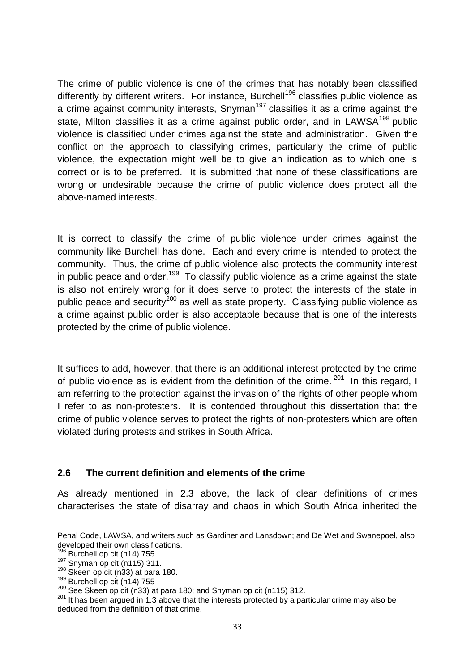The crime of public violence is one of the crimes that has notably been classified differently by different writers. For instance, Burchell<sup>196</sup> classifies public violence as a crime against community interests, Snyman<sup>197</sup> classifies it as a crime against the state, Milton classifies it as a crime against public order, and in LAWSA<sup>198</sup> public violence is classified under crimes against the state and administration. Given the conflict on the approach to classifying crimes, particularly the crime of public violence, the expectation might well be to give an indication as to which one is correct or is to be preferred. It is submitted that none of these classifications are wrong or undesirable because the crime of public violence does protect all the above-named interests.

It is correct to classify the crime of public violence under crimes against the community like Burchell has done. Each and every crime is intended to protect the community. Thus, the crime of public violence also protects the community interest in public peace and order.<sup>199</sup> To classify public violence as a crime against the state is also not entirely wrong for it does serve to protect the interests of the state in public peace and security<sup>200</sup> as well as state property. Classifying public violence as a crime against public order is also acceptable because that is one of the interests protected by the crime of public violence.

It suffices to add, however, that there is an additional interest protected by the crime of public violence as is evident from the definition of the crime.  $201$  In this regard, I am referring to the protection against the invasion of the rights of other people whom I refer to as non-protesters. It is contended throughout this dissertation that the crime of public violence serves to protect the rights of non-protesters which are often violated during protests and strikes in South Africa.

#### **2.6 The current definition and elements of the crime**

As already mentioned in 2.3 above, the lack of clear definitions of crimes characterises the state of disarray and chaos in which South Africa inherited the

Penal Code, LAWSA, and writers such as Gardiner and Lansdown; and De Wet and Swanepoel, also developed their own classifications.<br>
<sup>196</sup> Burchell op cit (n14) 755.<br>
<sup>197</sup> Snyman op cit (n115) 311.<br>
<sup>198</sup> Skeen op cit (n33) at para 180.<br>
<sup>199</sup> Burchell op cit (n14) 755<br>
<sup>200</sup> See Skeen op cit (n33) at para 180; an

 $201$  It has been arqued in 1.3 above that the interests protected by a particular crime may also be deduced from the definition of that crime.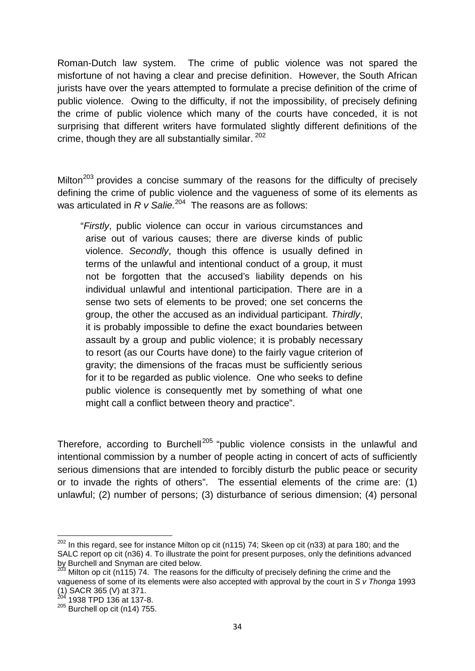Roman-Dutch law system. The crime of public violence was not spared the misfortune of not having a clear and precise definition. However, the South African jurists have over the years attempted to formulate a precise definition of the crime of public violence. Owing to the difficulty, if not the impossibility, of precisely defining the crime of public violence which many of the courts have conceded, it is not surprising that different writers have formulated slightly different definitions of the crime, though they are all substantially similar. <sup>202</sup>

Milton<sup>203</sup> provides a concise summary of the reasons for the difficulty of precisely defining the crime of public violence and the vagueness of some of its elements as was articulated in *R v Salie*.<sup>204</sup> The reasons are as follows:

"*Firstly*, public violence can occur in various circumstances and arise out of various causes; there are diverse kinds of public violence. *Secondly*, though this offence is usually defined in terms of the unlawful and intentional conduct of a group, it must not be forgotten that the accused's liability depends on his individual unlawful and intentional participation. There are in a sense two sets of elements to be proved; one set concerns the group, the other the accused as an individual participant. *Thirdly*, it is probably impossible to define the exact boundaries between assault by a group and public violence; it is probably necessary to resort (as our Courts have done) to the fairly vague criterion of gravity; the dimensions of the fracas must be sufficiently serious for it to be regarded as public violence. One who seeks to define public violence is consequently met by something of what one might call a conflict between theory and practice".

Therefore, according to Burchell<sup>205</sup> "public violence consists in the unlawful and intentional commission by a number of people acting in concert of acts of sufficiently serious dimensions that are intended to forcibly disturb the public peace or security or to invade the rights of others". The essential elements of the crime are: (1) unlawful; (2) number of persons; (3) disturbance of serious dimension; (4) personal

 $202$  In this regard, see for instance Milton op cit (n115) 74; Skeen op cit (n33) at para 180; and the SALC report op cit (n36) 4. To illustrate the point for present purposes, only the definitions advanced by Burchell and Snyman are cited below.

 $\beta$  Milton op cit (n115) 74. The reasons for the difficulty of precisely defining the crime and the vagueness of some of its elements were also accepted with approval by the court in *S v Thonga* 1993 (1) SACR 365 (V) at 371.<br><sup>204</sup> 1938 TPD 136 at 137-8.

<sup>205</sup> Burchell op cit (n14) 755.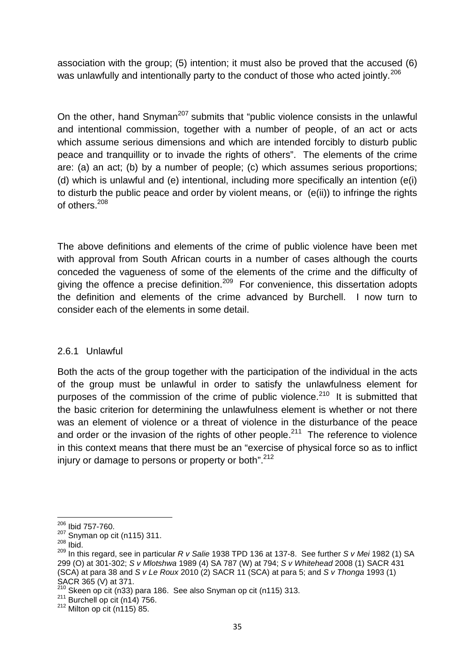association with the group; (5) intention; it must also be proved that the accused (6) was unlawfully and intentionally party to the conduct of those who acted jointly.<sup>206</sup>

On the other, hand Snyman<sup>207</sup> submits that "public violence consists in the unlawful and intentional commission, together with a number of people, of an act or acts which assume serious dimensions and which are intended forcibly to disturb public peace and tranquillity or to invade the rights of others". The elements of the crime are: (a) an act; (b) by a number of people; (c) which assumes serious proportions; (d) which is unlawful and (e) intentional, including more specifically an intention (e(i) to disturb the public peace and order by violent means, or (e(ii)) to infringe the rights of others.<sup>208</sup>

The above definitions and elements of the crime of public violence have been met with approval from South African courts in a number of cases although the courts conceded the vagueness of some of the elements of the crime and the difficulty of giving the offence a precise definition.<sup>209</sup> For convenience, this dissertation adopts the definition and elements of the crime advanced by Burchell. I now turn to consider each of the elements in some detail.

## 2.6.1 Unlawful

Both the acts of the group together with the participation of the individual in the acts of the group must be unlawful in order to satisfy the unlawfulness element for purposes of the commission of the crime of public violence.<sup>210</sup> It is submitted that the basic criterion for determining the unlawfulness element is whether or not there was an element of violence or a threat of violence in the disturbance of the peace and order or the invasion of the rights of other people.<sup>211</sup> The reference to violence in this context means that there must be an "exercise of physical force so as to inflict injury or damage to persons or property or both".<sup>212</sup>

<sup>206</sup> Ibid 757-760.

<sup>207</sup> Snyman op cit (n115) 311.<br>
<sup>208</sup> Ibid.

<sup>209</sup> In this regard, see in particular *R v Salie* 1938 TPD 136 at 137-8. See further *S v Mei* 1982 (1) SA 299 (O) at 301-302; *S v Mlotshwa* 1989 (4) SA 787 (W) at 794; *S v Whitehead* 2008 (1) SACR 431 (SCA) at para 38 and *S v Le Roux* 2010 (2) SACR 11 (SCA) at para 5; and *S v Thonga* 1993 (1)

<sup>&</sup>lt;sup>210</sup> Skeen op cit (n33) para 186. See also Snyman op cit (n115) 313.<br><sup>211</sup> Burchell op cit (n14) 756.<br><sup>212</sup> Milton op cit (n115) 85.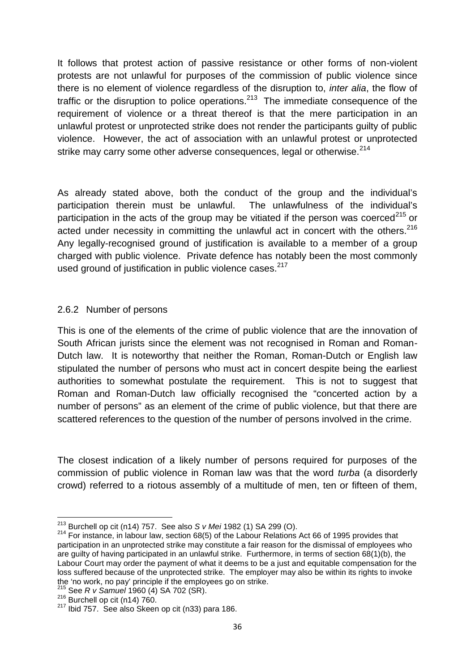It follows that protest action of passive resistance or other forms of non-violent protests are not unlawful for purposes of the commission of public violence since there is no element of violence regardless of the disruption to, *inter alia*, the flow of traffic or the disruption to police operations.<sup>213</sup> The immediate consequence of the requirement of violence or a threat thereof is that the mere participation in an unlawful protest or unprotected strike does not render the participants guilty of public violence. However, the act of association with an unlawful protest or unprotected strike may carry some other adverse consequences, legal or otherwise.<sup>214</sup>

As already stated above, both the conduct of the group and the individual's participation therein must be unlawful. The unlawfulness of the individual's participation in the acts of the group may be vitiated if the person was coerced<sup>215</sup> or acted under necessity in committing the unlawful act in concert with the others.<sup>216</sup> Any legally-recognised ground of justification is available to a member of a group charged with public violence. Private defence has notably been the most commonly used ground of justification in public violence cases.<sup>217</sup>

#### 2.6.2 Number of persons

This is one of the elements of the crime of public violence that are the innovation of South African jurists since the element was not recognised in Roman and Roman- Dutch law. It is noteworthy that neither the Roman, Roman-Dutch or English law stipulated the number of persons who must act in concert despite being the earliest authorities to somewhat postulate the requirement. This is not to suggest that Roman and Roman-Dutch law officially recognised the "concerted action by a number of persons" as an element of the crime of public violence, but that there are scattered references to the question of the number of persons involved in the crime.

The closest indication of a likely number of persons required for purposes of the commission of public violence in Roman law was that the word *turba* (a disorderly crowd) referred to a riotous assembly of a multitude of men, ten or fifteen of them,

<sup>&</sup>lt;sup>213</sup> Burchell op cit (n14) 757. See also *S v Mei* 1982 (1) SA 299 (O).<br><sup>214</sup> For instance, in labour law, section 68(5) of the Labour Relations Act 66 of 1995 provides that participation in an unprotected strike may constitute a fair reason for the dismissal of employees who are guilty of having participated in an unlawful strike. Furthermore, in terms of section 68(1)(b), the Labour Court may order the payment of what it deems to be a just and equitable compensation for the loss suffered because of the unprotected strike. The employer may also be within its rights to invoke the 'no work, no pay' principle if the employees go on strike.<br><sup>215</sup> See *R v Samuel* 1960 (4) SA 702 (SR).<br><sup>216</sup> Burchell op cit (n14) 760.<br><sup>217</sup> Ibid 757. See also Skeen op cit (n33) para 186.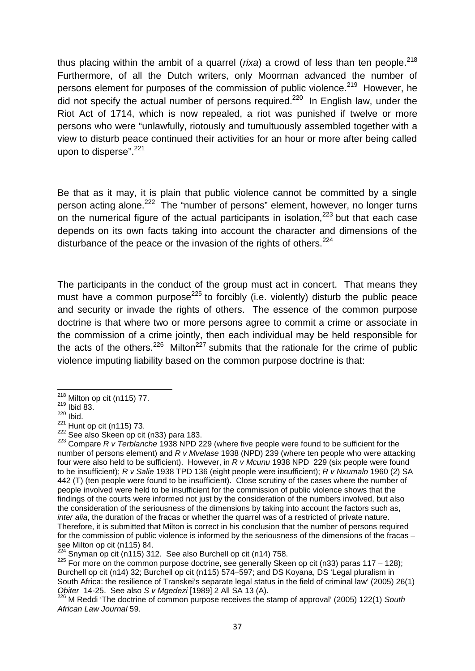thus placing within the ambit of a quarrel ( $rixa$ ) a crowd of less than ten people.<sup>218</sup> Furthermore, of all the Dutch writers, only Moorman advanced the number of persons element for purposes of the commission of public violence.<sup>219</sup> However, he did not specify the actual number of persons required.<sup>220</sup> In English law, under the Riot Act of 1714, which is now repealed, a riot was punished if twelve or more persons who were "unlawfully, riotously and tumultuously assembled together with a view to disturb peace continued their activities for an hour or more after being called upon to disperse".<sup>221</sup>

Be that as it may, it is plain that public violence cannot be committed by a single person acting alone.<sup>222</sup> The "number of persons" element, however, no longer turns on the numerical figure of the actual participants in isolation, $223$  but that each case depends on its own facts taking into account the character and dimensions of the disturbance of the peace or the invasion of the rights of others.<sup>224</sup>

The participants in the conduct of the group must act in concert. That means they must have a common purpose<sup>225</sup> to forcibly (i.e. violently) disturb the public peace and security or invade the rights of others. The essence of the common purpose doctrine is that where two or more persons agree to commit a crime or associate in the commission of a crime jointly, then each individual may be held responsible for the acts of the others.<sup>226</sup> Milton<sup>227</sup> submits that the rationale for the crime of public violence imputing liability based on the common purpose doctrine is that:

 $^{218}$  Milton op cit (n115) 77.<br> $^{219}$  Ibid 83.

 $\frac{220}{221}$  Ibid.<br> $\frac{221}{221}$  Hunt op cit (n115) 73.

<sup>&</sup>lt;sup>222</sup> See also Skeen op cit (n33) para 183.<br><sup>223</sup> Compare *R v Terblanche* 1938 NPD 229 (where five people were found to be sufficient for the number of persons element) and *R v Mvelase* 1938 (NPD) 239 (where ten people who were attacking four were also held to be sufficient). However, in *R v Mcunu* 1938 NPD 229 (six people were found to be insufficient); *R v Salie* 1938 TPD 136 (eight people were insufficient); *R v Nxumalo* 1960 (2) SA 442 (T) (ten people were found to be insufficient). Close scrutiny of the cases where the number of people involved were held to be insufficient for the commission of public violence shows that the findings of the courts were informed not just by the consideration of the numbers involved, but also the consideration of the seriousness of the dimensions by taking into account the factors such as, *inter alia*, the duration of the fracas or whether the quarrel was of a restricted of private nature. Therefore, it is submitted that Milton is correct in his conclusion that the number of persons required for the commission of public violence is informed by the seriousness of the dimensions of the fracas –<br>see Milton op cit (n115) 84.

<sup>&</sup>lt;sup>224</sup> Snyman op cit (n115) 312. See also Burchell op cit (n14) 758.<br><sup>225</sup> For more on the common purpose doctrine, see generally Skeen op cit (n33) paras 117 – 128); Burchell op cit (n14) 32; Burchell op cit (n115) 574–597; and DS Koyana, DS 'Legal pluralism in South Africa: the resilience of Transkei's separate legal status in the field of criminal law' (2005) 26(1)<br>Obiter 14-25. See also S v Mgedezi [1989] 2 All SA 13 (A).

<sup>&</sup>lt;sup>226</sup> M Reddi 'The doctrine of common purpose receives the stamp of approval' (2005) 122(1) South *African Law Journal* 59.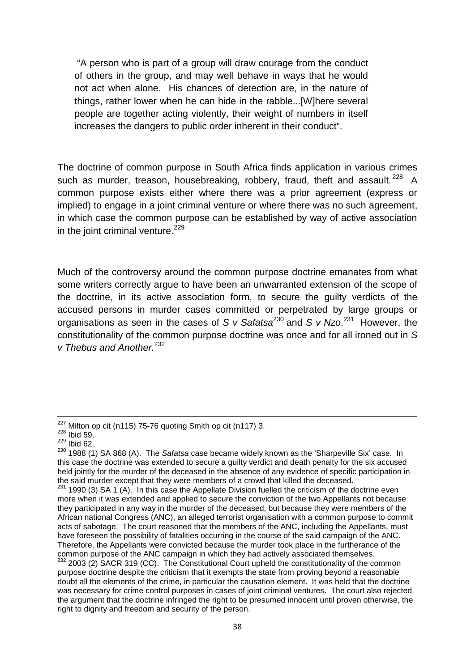"A person who is part of a group will draw courage from the conduct of others in the group, and may well behave in ways that he would not act when alone. His chances of detection are, in the nature of things, rather lower when he can hide in the rabble...[W]here several people are together acting violently, their weight of numbers in itself increases the dangers to public order inherent in their conduct".

The doctrine of common purpose in South Africa finds application in various crimes such as murder, treason, housebreaking, robbery, fraud, theft and assault.<sup>228</sup> A common purpose exists either where there was a prior agreement (express or implied) to engage in a joint criminal venture or where there was no such agreement, in which case the common purpose can be established by way of active association in the joint criminal venture.<sup>229</sup>

Much of the controversy around the common purpose doctrine emanates from what some writers correctly argue to have been an unwarranted extension of the scope of the doctrine, in its active association form, to secure the guilty verdicts of the accused persons in murder cases committed or perpetrated by large groups or organisations as seen in the cases of *S v Safatsa*<sup>230</sup> and *S v Nzo*.<sup>231</sup> However, the constitutionality of the common purpose doctrine was once and for all ironed out in *S v Thebus and Another.*<sup>232</sup>

 $227$  Milton op cit (n115) 75-76 quoting Smith op cit (n117) 3.

 $228$  Ibid 59.

 $229$  Ibid 62.

<sup>230</sup> 1988 (1) SA 868 (A). The *Safatsa* case became widely known as the 'Sharpeville Six' case. In this case the doctrine was extended to secure a guilty verdict and death penalty for the six accused held jointly for the murder of the deceased in the absence of any evidence of specific participation in the said murder except that they were members of a crowd that killed the deceased.

 $231$  1990 (3) SA 1 (A). In this case the Appellate Division fuelled the criticism of the doctrine even more when it was extended and applied to secure the conviction of the two Appellants not because they participated in any way in the murder of the deceased, but because they were members of the African national Congress (ANC), an alleged terrorist organisation with a common purpose to commit acts of sabotage. The court reasoned that the members of the ANC, including the Appellants, must have foreseen the possibility of fatalities occurring in the course of the said campaign of the ANC. Therefore, the Appellants were convicted because the murder took place in the furtherance of the common purpose of the ANC campaign in which they had actively associated themselves.

 $232$  2003 (2) SACR 319 (CC). The Constitutional Court upheld the constitutionality of the common purpose doctrine despite the criticism that it exempts the state from proving beyond a reasonable doubt all the elements of the crime, in particular the causation element. It was held that the doctrine was necessary for crime control purposes in cases of joint criminal ventures. The court also rejected the argument that the doctrine infringed the right to be presumed innocent until proven otherwise, the right to dignity and freedom and security of the person.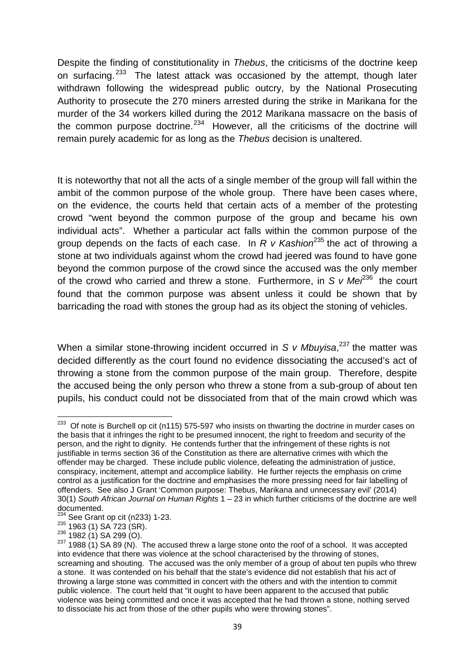Despite the finding of constitutionality in *Thebus*, the criticisms of the doctrine keep on surfacing.<sup>233</sup> The latest attack was occasioned by the attempt, though later withdrawn following the widespread public outcry, by the National Prosecuting Authority to prosecute the 270 miners arrested during the strike in Marikana for the murder of the 34 workers killed during the 2012 Marikana massacre on the basis of the common purpose doctrine.<sup>234</sup> However, all the criticisms of the doctrine will remain purely academic for as long as the *Thebus* decision is unaltered.

It is noteworthy that not all the acts of a single member of the group will fall within the ambit of the common purpose of the whole group. There have been cases where, on the evidence, the courts held that certain acts of a member of the protesting crowd "went beyond the common purpose of the group and became his own individual acts". Whether a particular act falls within the common purpose of the group depends on the facts of each case. In *R v Kashion*<sup>235</sup> the act of throwing a stone at two individuals against whom the crowd had jeered was found to have gone beyond the common purpose of the crowd since the accused was the only member of the crowd who carried and threw a stone. Furthermore, in S  $v$  Me $\ell^{36}$  the court found that the common purpose was absent unless it could be shown that by barricading the road with stones the group had as its object the stoning of vehicles.

When a similar stone-throwing incident occurred in *S v Mbuvisa*<sup>237</sup> the matter was decided differently as the court found no evidence dissociating the accused's act of throwing a stone from the common purpose of the main group. Therefore, despite the accused being the only person who threw a stone from a sub-group of about ten pupils, his conduct could not be dissociated from that of the main crowd which was

<sup>&</sup>lt;sup>233</sup> Of note is Burchell op cit (n115) 575-597 who insists on thwarting the doctrine in murder cases on the basis that it infringes the right to be presumed innocent, the right to freedom and security of the person, and the right to dignity. He contends further that the infringement of these rights is not justifiable in terms section 36 of the Constitution as there are alternative crimes with which the offender may be charged. These include public violence, defeating the administration of justice, conspiracy, incitement, attempt and accomplice liability. He further rejects the emphasis on crime control as a justification for the doctrine and emphasises the more pressing need for fair labelling of offenders. See also J Grant 'Common purpose: Thebus, Marikana and unnecessary evil' (2014) 30(1) *South African Journal on Human Rights* 1 – 23 in which further criticisms of the doctrine are well documented.

 $\frac{^{234}}{11}$  See Grant op cit (n233) 1-23.

<sup>235 388</sup> Grant up of the set of 230 1200.<br>
236 1963 (1) SA 723 (SR).<br>
<sup>236</sup> 1982 (1) SA 299 (O).<br>
<sup>237</sup> 1988 (1) SA 89 (N). The accused threw a large stone onto the roof of a school. It was accepted into evidence that there was violence at the school characterised by the throwing of stones, screaming and shouting. The accused was the only member of a group of about ten pupils who threw a stone. It was contended on his behalf that the state's evidence did not establish that his act of throwing a large stone was committed in concert with the others and with the intention to commit public violence. The court held that "it ought to have been apparent to the accused that public violence was being committed and once it was accepted that he had thrown a stone, nothing served to dissociate his act from those of the other pupils who were throwing stones".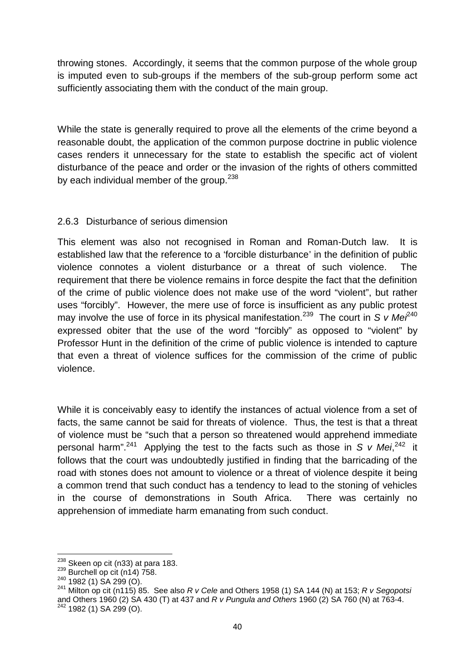throwing stones. Accordingly, it seems that the common purpose of the whole group is imputed even to sub-groups if the members of the sub-group perform some act sufficiently associating them with the conduct of the main group.

While the state is generally required to prove all the elements of the crime beyond a reasonable doubt, the application of the common purpose doctrine in public violence cases renders it unnecessary for the state to establish the specific act of violent disturbance of the peace and order or the invasion of the rights of others committed by each individual member of the group.<sup>238</sup>

### 2.6.3 Disturbance of serious dimension

This element was also not recognised in Roman and Roman-Dutch law. It is established law that the reference to a 'forcible disturbance' in the definition of public violence connotes a violent disturbance or a threat of such violence. The requirement that there be violence remains in force despite the fact that the definition of the crime of public violence does not make use of the word "violent", but rather uses "forcibly". However, the mere use of force is insufficient as any public protest may involve the use of force in its physical manifestation.<sup>239</sup> The court in *S v Me* $i^{40}$ expressed obiter that the use of the word "forcibly" as opposed to "violent" by Professor Hunt in the definition of the crime of public violence is intended to capture that even a threat of violence suffices for the commission of the crime of public violence.

While it is conceivably easy to identify the instances of actual violence from a set of facts, the same cannot be said for threats of violence. Thus, the test is that a threat of violence must be "such that a person so threatened would apprehend immediate personal harm".<sup>241</sup> Applying the test to the facts such as those in *S v Mei*,<sup>242</sup> it follows that the court was undoubtedly justified in finding that the barricading of the road with stones does not amount to violence or a threat of violence despite it being a common trend that such conduct has a tendency to lead to the stoning of vehicles in the course of demonstrations in South Africa. There was certainly no apprehension of immediate harm emanating from such conduct.

<sup>&</sup>lt;sup>238</sup> Skeen op cit (n33) at para 183.<br><sup>239</sup> Burchell op cit (n14) 758.<br><sup>240</sup> 1982 (1) SA 299 (O).<br><sup>241</sup> Milton op cit (n115) 85. See also *R v Cele* and Others 1958 (1) SA 144 (N) at 153; *R v Segopotsi* and Others 1960 (2) SA 430 (T) at 437 and *R v Pungula and Others* 1960 (2) SA 760 (N) at 763-4.

 $242$  1982 (1) SA 299 (O).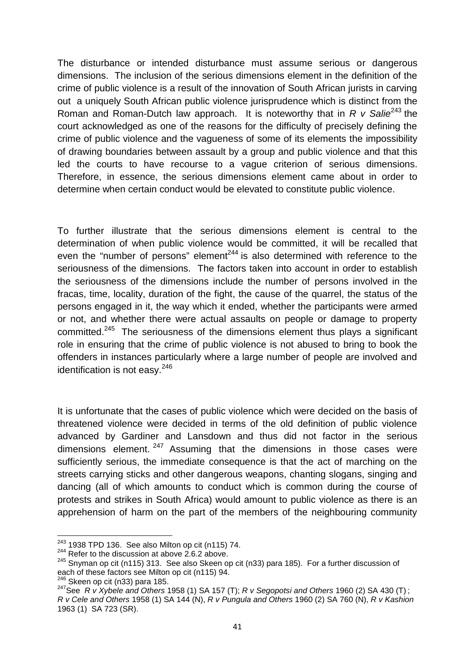The disturbance or intended disturbance must assume serious or dangerous dimensions. The inclusion of the serious dimensions element in the definition of the crime of public violence is a result of the innovation of South African jurists in carving out a uniquely South African public violence jurisprudence which is distinct from the Roman and Roman-Dutch law approach. It is noteworthy that in *R v Salie*<sup>243</sup> the court acknowledged as one of the reasons for the difficulty of precisely defining the crime of public violence and the vagueness of some of its elements the impossibility of drawing boundaries between assault by a group and public violence and that this led the courts to have recourse to a vague criterion of serious dimensions. Therefore, in essence, the serious dimensions element came about in order to determine when certain conduct would be elevated to constitute public violence.

To further illustrate that the serious dimensions element is central to the determination of when public violence would be committed, it will be recalled that even the "number of persons" element<sup>244</sup> is also determined with reference to the seriousness of the dimensions. The factors taken into account in order to establish the seriousness of the dimensions include the number of persons involved in the fracas, time, locality, duration of the fight, the cause of the quarrel, the status of the persons engaged in it, the way which it ended, whether the participants were armed or not, and whether there were actual assaults on people or damage to property committed.<sup>245</sup> The seriousness of the dimensions element thus plays a significant role in ensuring that the crime of public violence is not abused to bring to book the offenders in instances particularly where a large number of people are involved and identification is not easy.<sup>246</sup>

It is unfortunate that the cases of public violence which were decided on the basis of threatened violence were decided in terms of the old definition of public violence advanced by Gardiner and Lansdown and thus did not factor in the serious dimensions element.  $247$  Assuming that the dimensions in those cases were sufficiently serious, the immediate consequence is that the act of marching on the streets carrying sticks and other dangerous weapons, chanting slogans, singing and dancing (all of which amounts to conduct which is common during the course of protests and strikes in South Africa) would amount to public violence as there is an apprehension of harm on the part of the members of the neighbouring community

 $243$  1938 TPD 136. See also Milton op cit (n115) 74.<br> $244$  Refer to the discussion at above 2.6.2 above.

<sup>&</sup>lt;sup>245</sup> Snyman op cit (n115) 313. See also Skeen op cit (n33) para 185). For a further discussion of each of these factors see Milton op cit (n115) 94.

<sup>&</sup>lt;sup>246</sup> Skeen op cit (n33) para 185.<br><sup>247</sup>See *R v Xybele and Others* 1958 (1) SA 157 (T); *R v Segopotsi and Others* 1960 (2) SA 430 (T); *R v Cele and Others* 1958 (1) SA 144 (N), *R v Pungula and Others* 1960 (2) SA 760 (N), *R v Kashion* 1963 (1) SA 723 (SR).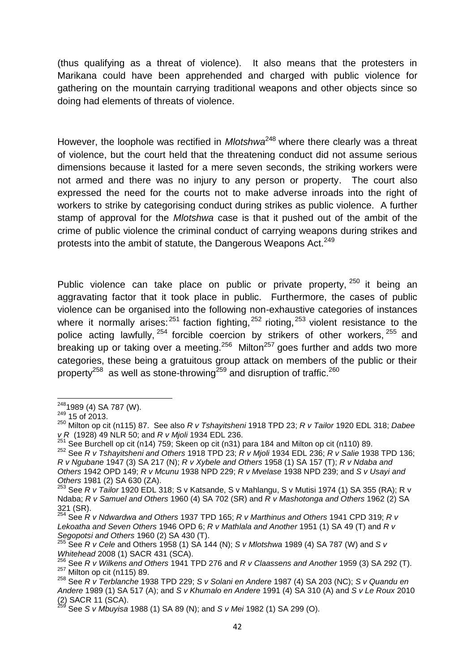(thus qualifying as a threat of violence). It also means that the protesters in Marikana could have been apprehended and charged with public violence for gathering on the mountain carrying traditional weapons and other objects since so doing had elements of threats of violence.

However, the loophole was rectified in *Mlotshwa*<sup>248</sup> where there clearly was a threat of violence, but the court held that the threatening conduct did not assume serious dimensions because it lasted for a mere seven seconds, the striking workers were not armed and there was no injury to any person or property. The court also expressed the need for the courts not to make adverse inroads into the right of workers to strike by categorising conduct during strikes as public violence. A further stamp of approval for the *Mlotshwa* case is that it pushed out of the ambit of the crime of public violence the criminal conduct of carrying weapons during strikes and protests into the ambit of statute, the Dangerous Weapons Act.<sup>249</sup>

Public violence can take place on public or private property, <sup>250</sup> it being an aggravating factor that it took place in public. Furthermore, the cases of public violence can be organised into the following non-exhaustive categories of instances where it normally arises:  $251$  faction fighting,  $252$  rioting,  $253$  violent resistance to the police acting lawfully,  $254$  forcible coercion by strikers of other workers,  $255$  and breaking up or taking over a meeting. $256$  Milton $257$  goes further and adds two more categories, these being a gratuitous group attack on members of the public or their property<sup>258</sup> as well as stone-throwing<sup>259</sup> and disruption of traffic.<sup>260</sup>

 $^{248}$ 1989 (4) SA 787 (W).<br> $^{249}$  15 of 2013.

<sup>250</sup> Milton op cit (n115) 87. See also *R v Tshayitsheni* 1918 TPD 23; *R v Tailor* 1920 EDL 318; *Dabee v R* (1928) 49 NLR 50; and *R v Mjoli* 1934 EDL 236.<br><sup>251</sup> See Burchell op cit (n14) 759; Skeen op cit (n31) para 184 and Milton op cit (n110) 89.

<sup>251</sup> See Burchell op cit (n14) 759; Skeen op cit (n31) para 184 and Milton op cit (n110) 89. <sup>252</sup> See *R v Tshayitsheni and Others* 1918 TPD 23; *R v Mjoli* 1934 EDL 236; *R v Salie* 1938 TPD 136; *R v Ngubane* 1947 (3) SA 217 (N); *R v Xybele and Others* 1958 (1) SA 157 (T); *R v Ndaba and Others* 1942 OPD 149; *R v Mcunu* 1938 NPD 229; *R v Mvelase* 1938 NPD 239; and *S v Usayi and*

<sup>&</sup>lt;sup>253</sup> See *R v Tailor* 1920 EDL 318; S v Katsande, S v Mahlangu, S v Mutisi 1974 (1) SA 355 (RA); R v Ndaba; *R v Samuel and Others* 1960 (4) SA 702 (SR) and *R v Mashotonga and Others* 1962 (2) SA

<sup>321 (</sup>SR). <sup>254</sup> See *R v Ndwardwa and Others* 1937 TPD 165; *R v Marthinus and Others* 1941 CPD 319; *R v Lekoatha and Seven Others* 1946 OPD 6; *R v Mathlala and Another* 1951 (1) SA 49 (T) and *R v*

*Segopotsi and Others* 1960 (2) SA 430 (T).<br><sup>255</sup> See *R v Cele* and Others 1958 (1) SA 144 (N); *S v Mlotshwa* 1989 (4) SA 787 (W) and *S v*<br>*Whitehead* 2008 (1) SACR 431 (SCA).

<sup>&</sup>lt;sup>256</sup> See R v Wilkens and Others 1941 TPD 276 and R v Claassens and Another 1959 (3) SA 292 (T).<br><sup>257</sup> Milton op cit (n115) 89.<br><sup>258</sup> See R v Terblanche 1938 TPD 229; S v Solani en Andere 1987 (4) SA 203 (NC); S v Quandu

*Andere* 1989 (1) SA 517 (A); and *S v Khumalo en Andere* 1991 (4) SA 310 (A) and *S v Le Roux* 2010

See *S v Mbuyisa* 1988 (1) SA 89 (N); and *S v Mei* 1982 (1) SA 299 (O).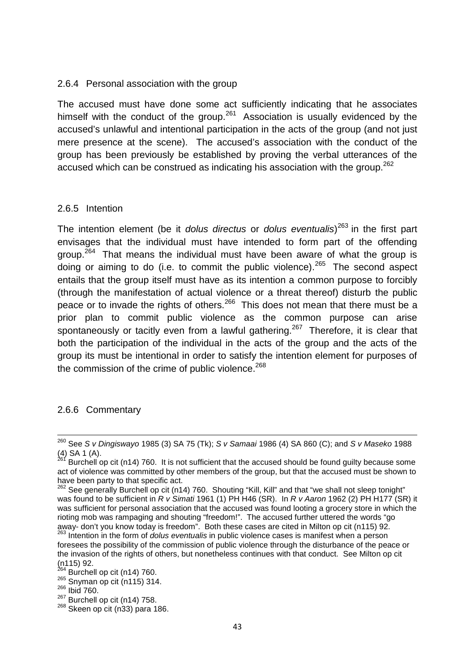#### 2.6.4 Personal association with the group

The accused must have done some act sufficiently indicating that he associates himself with the conduct of the group.<sup>261</sup> Association is usually evidenced by the accused's unlawful and intentional participation in the acts of the group (and not just mere presence at the scene). The accused's association with the conduct of the group has been previously be established by proving the verbal utterances of the accused which can be construed as indicating his association with the group.<sup>262</sup>

#### 2.6.5 Intention

The intention element (be it *dolus directus* or *dolus eventualis*)<sup>263</sup> in the first part envisages that the individual must have intended to form part of the offending group.<sup>264</sup> That means the individual must have been aware of what the group is doing or aiming to do (i.e. to commit the public violence).<sup>265</sup> The second aspect entails that the group itself must have as its intention a common purpose to forcibly (through the manifestation of actual violence or a threat thereof) disturb the public peace or to invade the rights of others.<sup>266</sup> This does not mean that there must be a prior plan to commit public violence as the common purpose can arise spontaneously or tacitly even from a lawful gathering.<sup>267</sup> Therefore, it is clear that both the participation of the individual in the acts of the group and the acts of the group its must be intentional in order to satisfy the intention element for purposes of the commission of the crime of public violence. $268$ 

#### 2.6.6 Commentary

<sup>260</sup> See *S v Dingiswayo* 1985 (3) SA 75 (Tk); *S v Samaai* 1986 (4) SA 860 (C); and *S v Maseko* 1988

<sup>(4)</sup> SA 1 (A).<br><sup>261</sup> Burchell op cit (n14) 760. It is not sufficient that the accused should be found guilty because some act of violence was committed by other members of the group, but that the accused must be shown to have been party to that specific act.

<sup>&</sup>lt;sup>262</sup> See generally Burchell op cit (n14) 760. Shouting "Kill, Kill" and that "we shall not sleep tonight" was found to be sufficient in *R v Simati* 1961 (1) PH H46 (SR). In *R v Aaron* 1962 (2) PH H177 (SR) it was sufficient for personal association that the accused was found looting a grocery store in which the rioting mob was rampaging and shouting "freedom!". The accused further uttered the words "go away- don't you know today is freedom". Both these cases are cited in Milton op cit (n115) 92. <sup>263</sup> Intention in the form of *dolus eventualis* in public violence cases is manifest when a person

foresees the possibility of the commission of public violence through the disturbance of the peace or the invasion of the rights of others, but nonetheless continues with that conduct. See Milton op cit (n115) 92.<br><sup>264</sup> Burchell op cit (n14) 760.<br><sup>265</sup> Snyman op cit (n115) 314.<br><sup>266</sup> Burchell op cit (n14) 758.

 $268$  Skeen op cit (n33) para 186.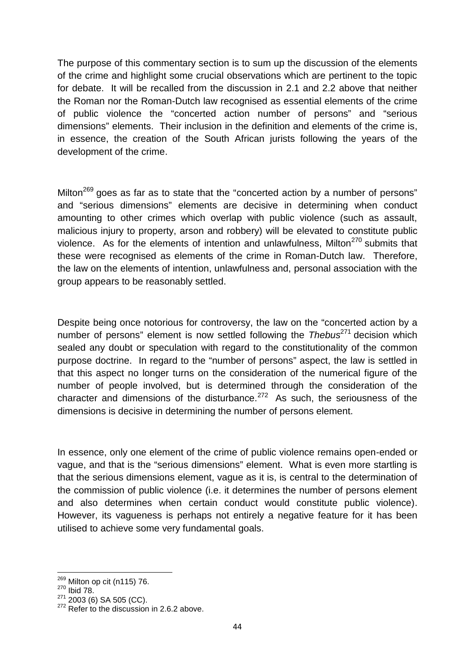The purpose of this commentary section is to sum up the discussion of the elements of the crime and highlight some crucial observations which are pertinent to the topic for debate. It will be recalled from the discussion in 2.1 and 2.2 above that neither the Roman nor the Roman-Dutch law recognised as essential elements of the crime of public violence the "concerted action number of persons" and "serious dimensions" elements. Their inclusion in the definition and elements of the crime is, in essence, the creation of the South African jurists following the years of the development of the crime.

Milton<sup>269</sup> goes as far as to state that the "concerted action by a number of persons" and "serious dimensions" elements are decisive in determining when conduct amounting to other crimes which overlap with public violence (such as assault, malicious injury to property, arson and robbery) will be elevated to constitute public violence. As for the elements of intention and unlawfulness, Milton $^{270}$  submits that these were recognised as elements of the crime in Roman-Dutch law. Therefore, the law on the elements of intention, unlawfulness and, personal association with the group appears to be reasonably settled.

Despite being once notorious for controversy, the law on the "concerted action by a number of persons" element is now settled following the *Thebus*<sup>271</sup> decision which sealed any doubt or speculation with regard to the constitutionality of the common purpose doctrine. In regard to the "number of persons" aspect, the law is settled in that this aspect no longer turns on the consideration of the numerical figure of the number of people involved, but is determined through the consideration of the character and dimensions of the disturbance.<sup>272</sup> As such, the seriousness of the dimensions is decisive in determining the number of persons element.

In essence, only one element of the crime of public violence remains open-ended or vague, and that is the "serious dimensions" element. What is even more startling is that the serious dimensions element, vague as it is, is central to the determination of the commission of public violence (i.e. it determines the number of persons element and also determines when certain conduct would constitute public violence). However, its vagueness is perhaps not entirely a negative feature for it has been utilised to achieve some very fundamental goals.

<sup>&</sup>lt;sup>269</sup> Milton op cit (n115) 76.<br><sup>270</sup> Ibid 78.<br><sup>271</sup> 2003 (6) SA 505 (CC).

 $272$  Refer to the discussion in 2.6.2 above.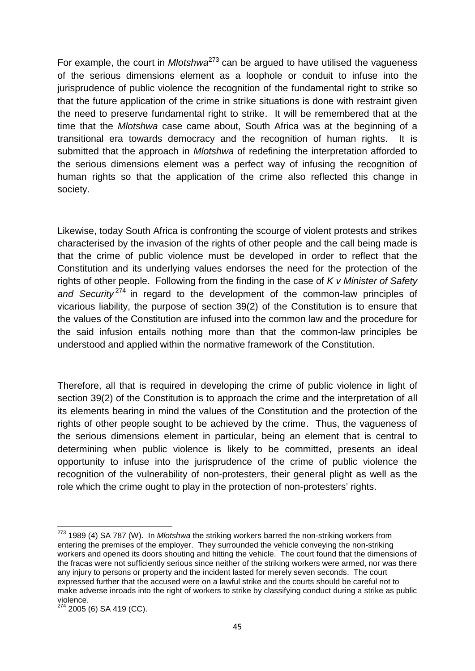For example, the court in *Mlotshwa*<sup>273</sup> can be argued to have utilised the vagueness of the serious dimensions element as a loophole or conduit to infuse into the jurisprudence of public violence the recognition of the fundamental right to strike so that the future application of the crime in strike situations is done with restraint given the need to preserve fundamental right to strike. It will be remembered that at the time that the *Mlotshwa* case came about, South Africa was at the beginning of a transitional era towards democracy and the recognition of human rights. It is submitted that the approach in *Mlotshwa* of redefining the interpretation afforded to the serious dimensions element was a perfect way of infusing the recognition of human rights so that the application of the crime also reflected this change in society.

Likewise, today South Africa is confronting the scourge of violent protests and strikes characterised by the invasion of the rights of other people and the call being made is that the crime of public violence must be developed in order to reflect that the Constitution and its underlying values endorses the need for the protection of the rights of other people. Following from the finding in the case of *K v Minister of Safety* and Security<sup>274</sup> in regard to the development of the common-law principles of vicarious liability, the purpose of section 39(2) of the Constitution is to ensure that the values of the Constitution are infused into the common law and the procedure for the said infusion entails nothing more than that the common-law principles be understood and applied within the normative framework of the Constitution.

Therefore, all that is required in developing the crime of public violence in light of section 39(2) of the Constitution is to approach the crime and the interpretation of all its elements bearing in mind the values of the Constitution and the protection of the rights of other people sought to be achieved by the crime. Thus, the vagueness of the serious dimensions element in particular, being an element that is central to determining when public violence is likely to be committed, presents an ideal opportunity to infuse into the jurisprudence of the crime of public violence the recognition of the vulnerability of non-protesters, their general plight as well as the role which the crime ought to play in the protection of non-protesters' rights.

<sup>273</sup> 1989 (4) SA 787 (W). In *Mlotshwa* the striking workers barred the non-striking workers from entering the premises of the employer. They surrounded the vehicle conveying the non-striking workers and opened its doors shouting and hitting the vehicle. The court found that the dimensions of the fracas were not sufficiently serious since neither of the striking workers were armed, nor was there any injury to persons or property and the incident lasted for merely seven seconds. The court expressed further that the accused were on a lawful strike and the courts should be careful not to make adverse inroads into the right of workers to strike by classifying conduct during a strike as public violence.

<sup>&</sup>lt;sup>274</sup> 2005 (6) SA 419 (CC).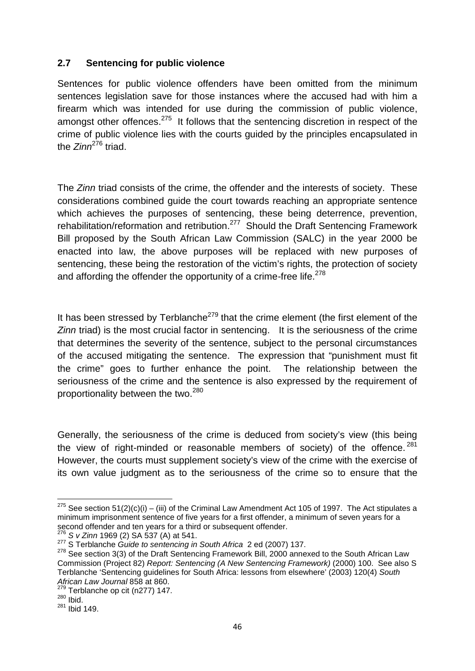### **2.7 Sentencing for public violence**

Sentences for public violence offenders have been omitted from the minimum sentences legislation save for those instances where the accused had with him a firearm which was intended for use during the commission of public violence, amongst other offences.<sup>275</sup> It follows that the sentencing discretion in respect of the crime of public violence lies with the courts guided by the principles encapsulated in the *Zinn*<sup>276</sup> triad.

The *Zinn* triad consists of the crime, the offender and the interests of society. These considerations combined guide the court towards reaching an appropriate sentence which achieves the purposes of sentencing, these being deterrence, prevention, rehabilitation/reformation and retribution.<sup>277</sup> Should the Draft Sentencing Framework Bill proposed by the South African Law Commission (SALC) in the year 2000 be enacted into law, the above purposes will be replaced with new purposes of sentencing, these being the restoration of the victim's rights, the protection of society and affording the offender the opportunity of a crime-free life.<sup>278</sup>

It has been stressed by Terblanche<sup>279</sup> that the crime element (the first element of the *Zinn* triad) is the most crucial factor in sentencing. It is the seriousness of the crime that determines the severity of the sentence, subject to the personal circumstances of the accused mitigating the sentence. The expression that "punishment must fit the crime" goes to further enhance the point. The relationship between the seriousness of the crime and the sentence is also expressed by the requirement of proportionality between the two.<sup>280</sup>

Generally, the seriousness of the crime is deduced from society's view (this being the view of right-minded or reasonable members of society) of the offence.  $281$ However, the courts must supplement society's view of the crime with the exercise of its own value judgment as to the seriousness of the crime so to ensure that the

<sup>&</sup>lt;sup>275</sup> See section 51(2)(c)(i) – (iii) of the Criminal Law Amendment Act 105 of 1997. The Act stipulates a minimum imprisonment sentence of five years for a first offender, a minimum of seven years for a second offender and ten years for a third or subsequent offender.<br>  $276$  S v Zinn 1969 (2) SA 537 (A) at 541.

<sup>277</sup> S Terblanche Guide to sentencing in South Africa 2 ed (2007) 137.<br><sup>278</sup> See section 3(3) of the Draft Sentencing Framework Bill, 2000 annexed to the South African Law Commission (Project 82) *Report: Sentencing (A New Sentencing Framework)* (2000) 100. See also S Terblanche 'Sentencing guidelines for South Africa: lessons from elsewhere' (2003) 120(4) *South African Law Journal* 858 at 860.

<sup>&</sup>lt;sup>279</sup> Terblanche op cit (n277) 147.<br><sup>280</sup> Ibid.

 $281$  Ibid 149.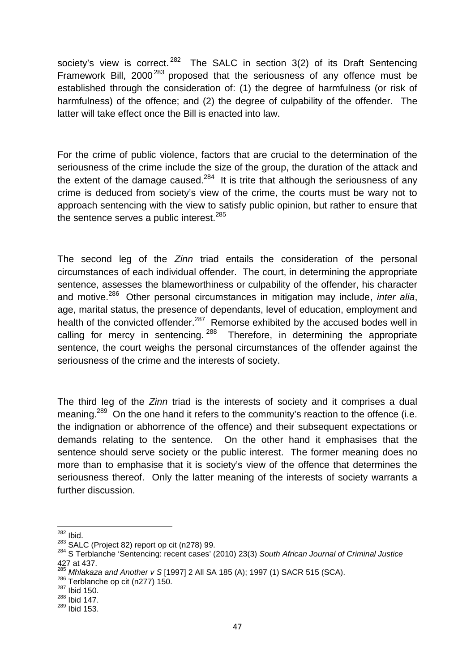society's view is correct.<sup>282</sup> The SALC in section 3(2) of its Draft Sentencing Framework Bill, 2000<sup>283</sup> proposed that the seriousness of any offence must be established through the consideration of: (1) the degree of harmfulness (or risk of harmfulness) of the offence; and (2) the degree of culpability of the offender. The latter will take effect once the Bill is enacted into law.

For the crime of public violence, factors that are crucial to the determination of the seriousness of the crime include the size of the group, the duration of the attack and the extent of the damage caused.<sup>284</sup> It is trite that although the seriousness of any crime is deduced from society's view of the crime, the courts must be wary not to approach sentencing with the view to satisfy public opinion, but rather to ensure that the sentence serves a public interest.  $285$ 

The second leg of the *Zinn* triad entails the consideration of the personal circumstances of each individual offender. The court, in determining the appropriate sentence, assesses the blameworthiness or culpability of the offender, his character and motive.<sup>286</sup> Other personal circumstances in mitigation may include, *inter alia*, age, marital status, the presence of dependants, level of education, employment and health of the convicted offender.<sup>287</sup> Remorse exhibited by the accused bodes well in calling for mercy in sentencing.  $288$  Therefore, in determining the appropriate sentence, the court weighs the personal circumstances of the offender against the seriousness of the crime and the interests of society.

The third leg of the *Zinn* triad is the interests of society and it comprises a dual meaning.<sup>289</sup> On the one hand it refers to the community's reaction to the offence (i.e. the indignation or abhorrence of the offence) and their subsequent expectations or demands relating to the sentence. On the other hand it emphasises that the sentence should serve society or the public interest. The former meaning does no more than to emphasise that it is society's view of the offence that determines the seriousness thereof. Only the latter meaning of the interests of society warrants a further discussion.

 $^{282}$  Ibid.<br> $^{283}$  SALC (Project 82) report op cit (n278) 99.

<sup>&</sup>lt;sup>284</sup> S Terblanche 'Sentencing: recent cases' (2010) 23(3) South African Journal of Criminal Justice 427 at 437.

<sup>&</sup>lt;sup>285</sup> *Mhlakaza and Another v S* [1997] 2 All SA 185 (A); 1997 (1) SACR 515 (SCA).<br><sup>286</sup> Terblanche op cit (n277) 150.<br><sup>287</sup> Ibid 150.

 $288$  Ibid 147.

 $289$  Ibid 153.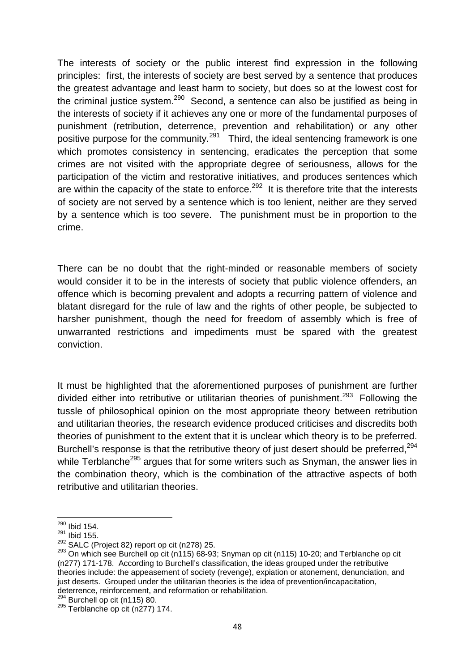The interests of society or the public interest find expression in the following principles: first, the interests of society are best served by a sentence that produces the greatest advantage and least harm to society, but does so at the lowest cost for the criminal justice system.<sup>290</sup> Second, a sentence can also be justified as being in the interests of society if it achieves any one or more of the fundamental purposes of punishment (retribution, deterrence, prevention and rehabilitation) or any other positive purpose for the community.<sup>291</sup> Third, the ideal sentencing framework is one which promotes consistency in sentencing, eradicates the perception that some crimes are not visited with the appropriate degree of seriousness, allows for the participation of the victim and restorative initiatives, and produces sentences which are within the capacity of the state to enforce.<sup>292</sup> It is therefore trite that the interests of society are not served by a sentence which is too lenient, neither are they served by a sentence which is too severe. The punishment must be in proportion to the crime.

There can be no doubt that the right-minded or reasonable members of society would consider it to be in the interests of society that public violence offenders, an offence which is becoming prevalent and adopts a recurring pattern of violence and blatant disregard for the rule of law and the rights of other people, be subjected to harsher punishment, though the need for freedom of assembly which is free of unwarranted restrictions and impediments must be spared with the greatest conviction.

It must be highlighted that the aforementioned purposes of punishment are further divided either into retributive or utilitarian theories of punishment.<sup>293</sup> Following the tussle of philosophical opinion on the most appropriate theory between retribution and utilitarian theories, the research evidence produced criticises and discredits both theories of punishment to the extent that it is unclear which theory is to be preferred. Burchell's response is that the retributive theory of just desert should be preferred.<sup>294</sup> while Terblanche<sup>295</sup> argues that for some writers such as Snyman, the answer lies in the combination theory, which is the combination of the attractive aspects of both retributive and utilitarian theories.

<sup>290</sup> Ibid 154.

 $^{291}$  Ibid 155.

 $292$  SALC (Project 82) report op cit (n278) 25.

 $293$  On which see Burchell op cit (n115) 68-93; Snyman op cit (n115) 10-20; and Terblanche op cit (n277) 171-178. According to Burchell's classification, the ideas grouped under the retributive theories include: the appeasement of society (revenge), expiation or atonement, denunciation, and just deserts. Grouped under the utilitarian theories is the idea of prevention/incapacitation, deterrence, reinforcement, and reformation or rehabilitation.<br><sup>294</sup> Burchell op cit (n115) 80.

 $295$  Terblanche op cit (n277) 174.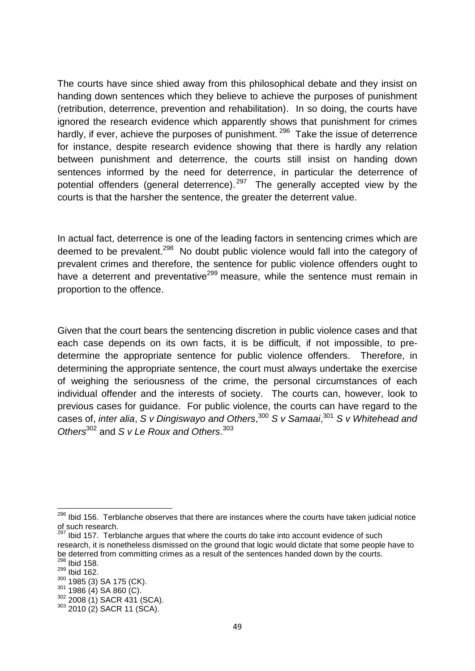The courts have since shied away from this philosophical debate and they insist on handing down sentences which they believe to achieve the purposes of punishment (retribution, deterrence, prevention and rehabilitation). In so doing, the courts have ignored the research evidence which apparently shows that punishment for crimes hardly, if ever, achieve the purposes of punishment.<sup>296</sup> Take the issue of deterrence for instance, despite research evidence showing that there is hardly any relation between punishment and deterrence, the courts still insist on handing down sentences informed by the need for deterrence, in particular the deterrence of potential offenders (general deterrence).<sup>297</sup> The generally accepted view by the courts is that the harsher the sentence, the greater the deterrent value.

In actual fact, deterrence is one of the leading factors in sentencing crimes which are deemed to be prevalent.<sup>298</sup> No doubt public violence would fall into the category of prevalent crimes and therefore, the sentence for public violence offenders ought to have a deterrent and preventative<sup>299</sup> measure, while the sentence must remain in proportion to the offence.

Given that the court bears the sentencing discretion in public violence cases and that each case depends on its own facts, it is be difficult, if not impossible, to pre determine the appropriate sentence for public violence offenders. Therefore, in determining the appropriate sentence, the court must always undertake the exercise of weighing the seriousness of the crime, the personal circumstances of each individual offender and the interests of society. The courts can, however, look to previous cases for guidance. For public violence, the courts can have regard to the cases of, *inter alia*, *S v Dingiswayo and Others*,<sup>300</sup> *S v Samaai*,<sup>301</sup> *S v Whitehead and Others*<sup>302</sup> and *S v Le Roux and Others*.<sup>303</sup>

<sup>&</sup>lt;sup>296</sup> Ibid 156. Terblanche observes that there are instances where the courts have taken judicial notice of such research.

<sup>&</sup>lt;sup>297</sup> Ibid 157. Terblanche argues that where the courts do take into account evidence of such research, it is nonetheless dismissed on the ground that logic would dictate that some people have to be deterred from committing crimes as a result of the sentences handed down by the courts.<br><sup>298</sup> Ibid 158.

 $^{299}$  Ibid 162.<br> $^{300}$  1985 (3) SA 175 (CK).

 $301$  1986 (4) SA 860 (C).<br> $302$  2008 (1) SACR 431 (SCA).<br> $303$  2010 (2) SACR 11 (SCA).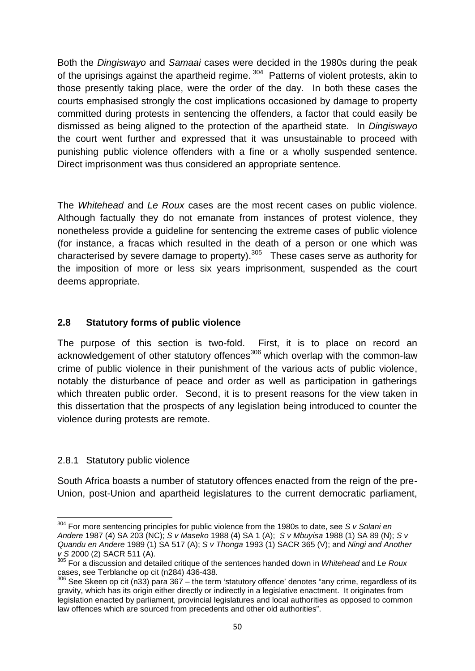Both the *Dingiswayo* and *Samaai* cases were decided in the 1980s during the peak of the uprisings against the apartheid regime.<sup>304</sup> Patterns of violent protests, akin to those presently taking place, were the order of the day. In both these cases the courts emphasised strongly the cost implications occasioned by damage to property committed during protests in sentencing the offenders, a factor that could easily be dismissed as being aligned to the protection of the apartheid state. In *Dingiswayo* the court went further and expressed that it was unsustainable to proceed with punishing public violence offenders with a fine or a wholly suspended sentence. Direct imprisonment was thus considered an appropriate sentence.

The *Whitehead* and *Le Roux* cases are the most recent cases on public violence. Although factually they do not emanate from instances of protest violence, they nonetheless provide a guideline for sentencing the extreme cases of public violence (for instance, a fracas which resulted in the death of a person or one which was characterised by severe damage to property).<sup>305</sup> These cases serve as authority for the imposition of more or less six years imprisonment, suspended as the court deems appropriate.

## **2.8 Statutory forms of public violence**

The purpose of this section is two-fold. First, it is to place on record an acknowledgement of other statutory offences<sup>306</sup> which overlap with the common-law crime of public violence in their punishment of the various acts of public violence, notably the disturbance of peace and order as well as participation in gatherings which threaten public order. Second, it is to present reasons for the view taken in this dissertation that the prospects of any legislation being introduced to counter the violence during protests are remote.

## 2.8.1 Statutory public violence

South Africa boasts a number of statutory offences enacted from the reign of the pre- Union, post-Union and apartheid legislatures to the current democratic parliament,

<sup>304</sup> For more sentencing principles for public violence from the 1980s to date, see *S v Solani en Andere* 1987 (4) SA 203 (NC); *S v Maseko* 1988 (4) SA 1 (A); *S v Mbuyisa* 1988 (1) SA 89 (N); *S v Quandu en Andere* 1989 (1) SA 517 (A); *S v Thonga* 1993 (1) SACR 365 (V); and *Ningi and Another*

<sup>&</sup>lt;sup>305</sup> For a discussion and detailed critique of the sentences handed down in *Whitehead* and Le Roux cases, see Terblanche op cit (n284) 436-438.

 $306$  See Skeen op cit (n33) para 367 – the term 'statutory offence' denotes "any crime, regardless of its gravity, which has its origin either directly or indirectly in a legislative enactment. It originates from legislation enacted by parliament, provincial legislatures and local authorities as opposed to common law offences which are sourced from precedents and other old authorities".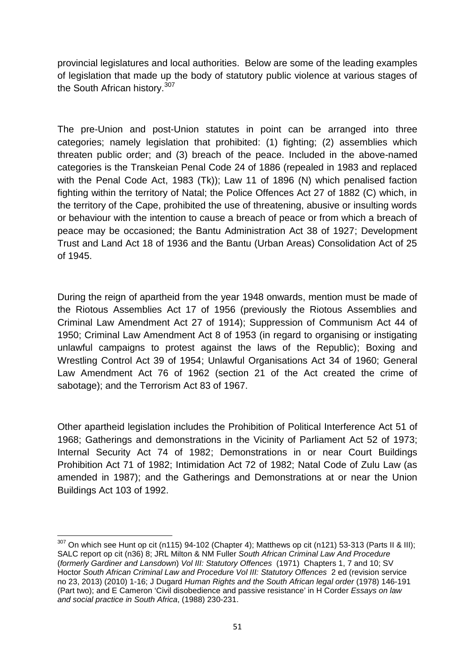provincial legislatures and local authorities. Below are some of the leading examples of legislation that made up the body of statutory public violence at various stages of the South African history.<sup>307</sup>

The pre-Union and post-Union statutes in point can be arranged into three categories; namely legislation that prohibited: (1) fighting; (2) assemblies which threaten public order; and (3) breach of the peace. Included in the above-named categories is the Transkeian Penal Code 24 of 1886 (repealed in 1983 and replaced with the Penal Code Act, 1983 (Tk)); Law 11 of 1896 (N) which penalised faction fighting within the territory of Natal; the Police Offences Act 27 of 1882 (C) which, in the territory of the Cape, prohibited the use of threatening, abusive or insulting words or behaviour with the intention to cause a breach of peace or from which a breach of peace may be occasioned; the Bantu Administration Act 38 of 1927; Development Trust and Land Act 18 of 1936 and the Bantu (Urban Areas) Consolidation Act of 25 of 1945.

During the reign of apartheid from the year 1948 onwards, mention must be made of the Riotous Assemblies Act 17 of 1956 (previously the Riotous Assemblies and Criminal Law Amendment Act 27 of 1914); Suppression of Communism Act 44 of 1950; Criminal Law Amendment Act 8 of 1953 (in regard to organising or instigating unlawful campaigns to protest against the laws of the Republic); Boxing and Wrestling Control Act 39 of 1954; Unlawful Organisations Act 34 of 1960; General Law Amendment Act 76 of 1962 (section 21 of the Act created the crime of sabotage); and the Terrorism Act 83 of 1967.

Other apartheid legislation includes the Prohibition of Political Interference Act 51 of 1968; Gatherings and demonstrations in the Vicinity of Parliament Act 52 of 1973; Internal Security Act 74 of 1982; Demonstrations in or near Court Buildings Prohibition Act 71 of 1982; Intimidation Act 72 of 1982; Natal Code of Zulu Law (as amended in 1987); and the Gatherings and Demonstrations at or near the Union Buildings Act 103 of 1992.

 $307$  On which see Hunt op cit (n115) 94-102 (Chapter 4); Matthews op cit (n121) 53-313 (Parts II & III); SALC report op cit (n36) 8; JRL Milton & NM Fuller *South African Criminal Law And Procedure* (*formerly Gardiner and Lansdown*) *Vol III: Statutory Offences* (1971) Chapters 1, 7 and 10; SV Hoctor *South African Criminal Law and Procedure Vol III: Statutory Offences* 2 ed (revision service no 23, 2013) (2010) 1-16; J Dugard *Human Rights and the South African legal order* (1978) 146-191 (Part two); and E Cameron 'Civil disobedience and passive resistance' in H Corder *Essays on law and social practice in South Africa*, (1988) 230-231.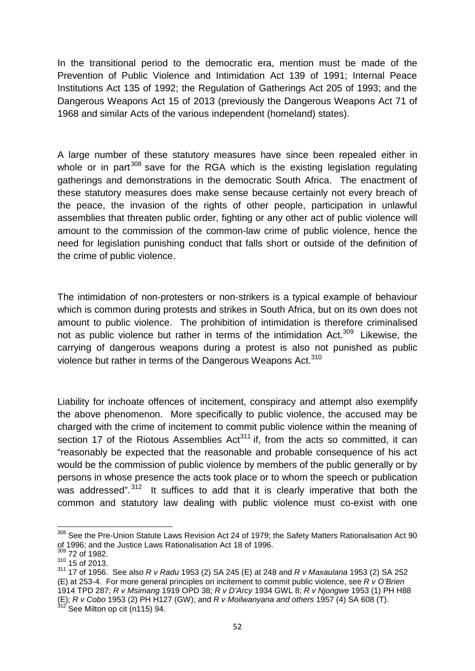In the transitional period to the democratic era, mention must be made of the Prevention of Public Violence and Intimidation Act 139 of 1991; Internal Peace Institutions Act 135 of 1992; the Regulation of Gatherings Act 205 of 1993; and the Dangerous Weapons Act 15 of 2013 (previously the Dangerous Weapons Act 71 of 1968 and similar Acts of the various independent (homeland) states).

A large number of these statutory measures have since been repealed either in whole or in part  $308$  save for the RGA which is the existing legislation regulating gatherings and demonstrations in the democratic South Africa. The enactment of these statutory measures does make sense because certainly not every breach of the peace, the invasion of the rights of other people, participation in unlawful assemblies that threaten public order, fighting or any other act of public violence will amount to the commission of the common-law crime of public violence, hence the need for legislation punishing conduct that falls short or outside of the definition of the crime of public violence.

The intimidation of non-protesters or non-strikers is a typical example of behaviour which is common during protests and strikes in South Africa, but on its own does not amount to public violence. The prohibition of intimidation is therefore criminalised not as public violence but rather in terms of the intimidation Act.<sup>309</sup> Likewise. the carrying of dangerous weapons during a protest is also not punished as public violence but rather in terms of the Dangerous Weapons Act.<sup>310</sup>

Liability for inchoate offences of incitement, conspiracy and attempt also exemplify the above phenomenon. More specifically to public violence, the accused may be charged with the crime of incitement to commit public violence within the meaning of section 17 of the Riotous Assemblies  $Act^{311}$  if, from the acts so committed, it can "reasonably be expected that the reasonable and probable consequence of his act would be the commission of public violence by members of the public generally or by persons in whose presence the acts took place or to whom the speech or publication was addressed".<sup>312</sup> It suffices to add that it is clearly imperative that both the common and statutory law dealing with public violence must co-exist with one

<sup>&</sup>lt;sup>308</sup> See the Pre-Union Statute Laws Revision Act 24 of 1979; the Safety Matters Rationalisation Act 90 of 1996; and the Justice Laws Rationalisation Act 18 of 1996.

 $\frac{309}{12}$  72 of 1982.

<sup>310</sup> 15 of 2013.

<sup>311</sup> 17 of 1956. See also *R v Radu* 1953 (2) SA 245 (E) at 248 and *R v Maxaulana* 1953 (2) SA 252 (E) at 253-4. For more general principles on incitement to commit public violence, see *R v O'Brien* 1914 TPD 287*; R v Msimang* 1919 OPD 38; *R v D'Arcy* 1934 GWL 8; *R v Njongwe* 1953 (1) PH H88 (E); *R v Cobo* 1953 (2) PH H127 (GW); and *R v Moilwanyana and others* 1957 (4) SA 608 (T). <sup>312</sup> See Milton op cit (n115) 94.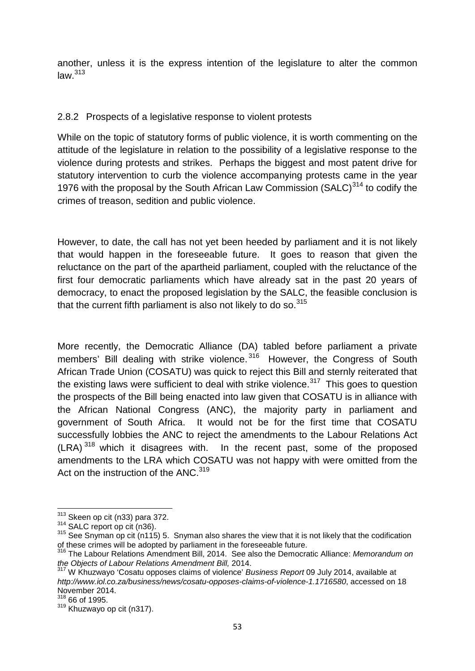another, unless it is the express intention of the legislature to alter the common  $law.<sup>313</sup>$ 

## 2.8.2 Prospects of a legislative response to violent protests

While on the topic of statutory forms of public violence, it is worth commenting on the attitude of the legislature in relation to the possibility of a legislative response to the violence during protests and strikes. Perhaps the biggest and most patent drive for statutory intervention to curb the violence accompanying protests came in the year 1976 with the proposal by the South African Law Commission (SALC) $314$  to codify the crimes of treason, sedition and public violence.

However, to date, the call has not yet been heeded by parliament and it is not likely that would happen in the foreseeable future. It goes to reason that given the reluctance on the part of the apartheid parliament, coupled with the reluctance of the first four democratic parliaments which have already sat in the past 20 years of democracy, to enact the proposed legislation by the SALC, the feasible conclusion is that the current fifth parliament is also not likely to do so.  $315$ 

More recently, the Democratic Alliance (DA) tabled before parliament a private members' Bill dealing with strike violence.<sup>316</sup> However, the Congress of South African Trade Union (COSATU) was quick to reject this Bill and sternly reiterated that the existing laws were sufficient to deal with strike violence.<sup>317</sup> This goes to question the prospects of the Bill being enacted into law given that COSATU is in alliance with the African National Congress (ANC), the majority party in parliament and government of South Africa. It would not be for the first time that COSATU successfully lobbies the ANC to reject the amendments to the Labour Relations Act  $(LRA)^{318}$  which it disagrees with. In the recent past, some of the proposed amendments to the LRA which COSATU was not happy with were omitted from the Act on the instruction of the ANC.<sup>319</sup>

<sup>&</sup>lt;sup>313</sup> Skeen op cit (n33) para 372.<br><sup>314</sup> SALC report op cit (n36).<br><sup>315</sup> See Snyman op cit (n115) 5. Snyman also shares the view that it is not likely that the codification of these crimes will be adopted by parliament in the foreseeable future.

<sup>316</sup> The Labour Relations Amendment Bill, 2014. See also the Democratic Alliance: *Memorandum on the Objects of Labour Relations Amendment Bill,* 2014.

<sup>317</sup> W Khuzwayo 'Cosatu opposes claims of violence' *Business Report* 09 July 2014, available at *http://www.iol.co.za/business/news/cosatu-opposes-claims-of-violence-1.1716580*, accessed on 18 November 2014.

<sup>318</sup> 66 of 1995.

 $319$  Khuzwayo op cit (n317).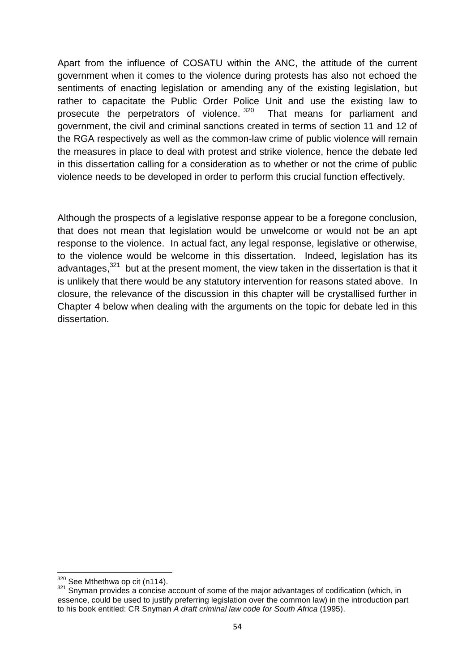Apart from the influence of COSATU within the ANC, the attitude of the current government when it comes to the violence during protests has also not echoed the sentiments of enacting legislation or amending any of the existing legislation, but rather to capacitate the Public Order Police Unit and use the existing law to prosecute the perpetrators of violence.<sup>320</sup> That means for parliament and government, the civil and criminal sanctions created in terms of section 11 and 12 of the RGA respectively as well as the common-law crime of public violence will remain the measures in place to deal with protest and strike violence, hence the debate led in this dissertation calling for a consideration as to whether or not the crime of public violence needs to be developed in order to perform this crucial function effectively.

Although the prospects of a legislative response appear to be a foregone conclusion, that does not mean that legislation would be unwelcome or would not be an apt response to the violence. In actual fact, any legal response, legislative or otherwise, to the violence would be welcome in this dissertation. Indeed, legislation has its advantages. $321$  but at the present moment, the view taken in the dissertation is that it is unlikely that there would be any statutory intervention for reasons stated above. In closure, the relevance of the discussion in this chapter will be crystallised further in Chapter 4 below when dealing with the arguments on the topic for debate led in this dissertation.

 $320$  See Mthethwa op cit (n114).<br> $321$  Snyman provides a concise account of some of the major advantages of codification (which, in essence, could be used to justify preferring legislation over the common law) in the introduction part to his book entitled: CR Snyman *A draft criminal law code for South Africa* (1995).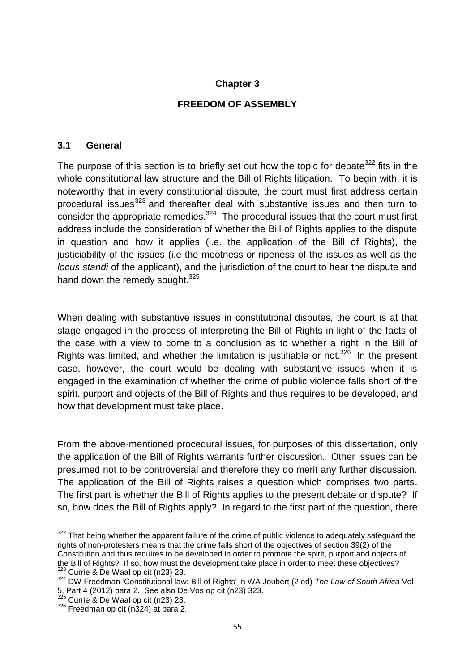#### **Chapter 3**

#### **FREEDOM OF ASSEMBLY**

#### **3.1 General**

The purpose of this section is to briefly set out how the topic for debate  $322$  fits in the whole constitutional law structure and the Bill of Rights litigation. To begin with, it is noteworthy that in every constitutional dispute, the court must first address certain procedural issues<sup>323</sup> and thereafter deal with substantive issues and then turn to consider the appropriate remedies. $324$  The procedural issues that the court must first address include the consideration of whether the Bill of Rights applies to the dispute in question and how it applies (i.e. the application of the Bill of Rights), the justiciability of the issues (i.e the mootness or ripeness of the issues as well as the *locus standi* of the applicant), and the jurisdiction of the court to hear the dispute and hand down the remedy sought.<sup>325</sup>

When dealing with substantive issues in constitutional disputes, the court is at that stage engaged in the process of interpreting the Bill of Rights in light of the facts of the case with a view to come to a conclusion as to whether a right in the Bill of Rights was limited, and whether the limitation is justifiable or not. $326$  In the present case, however, the court would be dealing with substantive issues when it is engaged in the examination of whether the crime of public violence falls short of the spirit, purport and objects of the Bill of Rights and thus requires to be developed, and how that development must take place.

From the above-mentioned procedural issues, for purposes of this dissertation, only the application of the Bill of Rights warrants further discussion. Other issues can be presumed not to be controversial and therefore they do merit any further discussion. The application of the Bill of Rights raises a question which comprises two parts. The first part is whether the Bill of Rights applies to the present debate or dispute? If so, how does the Bill of Rights apply? In regard to the first part of the question, there

<sup>322</sup> That being whether the apparent failure of the crime of public violence to adequately safeguard the rights of non-protesters means that the crime falls short of the objectives of section 39(2) of the Constitution and thus requires to be developed in order to promote the spirit, purport and objects of the Bill of Rights? If so, how must the development take place in order to meet these objectives?<br><sup>323</sup> Currie & De Waal op cit (n23) 23.

<sup>&</sup>lt;sup>324</sup> DW Freedman 'Constitutional law: Bill of Rights' in WA Joubert (2 ed) The Law of South Africa Vol 5, Part 4 (2012) para 2. See also De Vos op cit (n23) 323.<br><sup>325</sup> Currie & De Waal op cit (n23) 23.

 $326$  Currie  $\alpha$  De Waal op cit (n324) at para 2.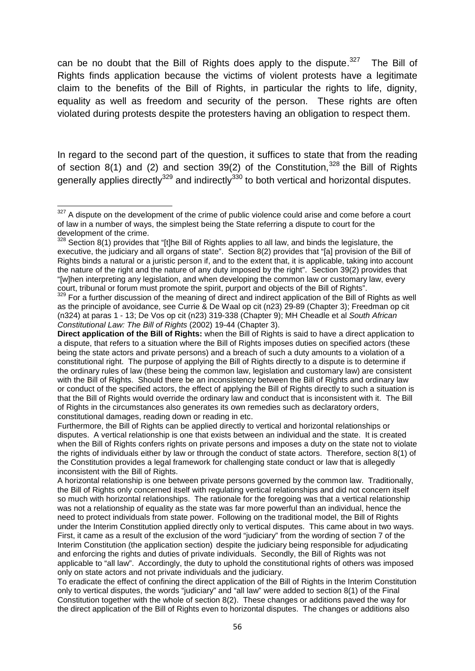can be no doubt that the Bill of Rights does apply to the dispute. $327$  The Bill of Rights finds application because the victims of violent protests have a legitimate claim to the benefits of the Bill of Rights, in particular the rights to life, dignity, equality as well as freedom and security of the person. These rights are often violated during protests despite the protesters having an obligation to respect them.

In regard to the second part of the question, it suffices to state that from the reading of section 8(1) and (2) and section 39(2) of the Constitution,  $328$  the Bill of Rights generally applies directly<sup>329</sup> and indirectly<sup>330</sup> to both vertical and horizontal disputes.

 $327$  A dispute on the development of the crime of public violence could arise and come before a court of law in a number of ways, the simplest being the State referring a dispute to court for the development of the crime.<br>
<sup>328</sup> Section 8(1) provides that "[t]he Bill of Rights applies to all law, and binds the legislature, the

executive, the judiciary and all organs of state". Section 8(2) provides that "[a] provision of the Bill of Rights binds a natural or a juristic person if, and to the extent that, it is applicable, taking into account the nature of the right and the nature of any duty imposed by the right". Section 39(2) provides that "[w]hen interpreting any legislation, and when developing the common law or customary law, every court, tribunal or forum must promote the spirit, purport and objects of the Bill of Rights".

<sup>329</sup> For a further discussion of the meaning of direct and indirect application of the Bill of Rights as well as the principle of avoidance, see Currie & De Waal op cit (n23) 29-89 (Chapter 3); Freedman op cit (n324) at paras 1 - 13; De Vos op cit (n23) 319-338 (Chapter 9); MH Cheadle et al *South African Constitutional Law: The Bill of Rights* (2002) 19-44 (Chapter 3).

**Direct application of the Bill of Rights:** when the Bill of Rights is said to have a direct application to a dispute, that refers to a situation where the Bill of Rights imposes duties on specified actors (these being the state actors and private persons) and a breach of such a duty amounts to a violation of a constitutional right. The purpose of applying the Bill of Rights directly to a dispute is to determine if the ordinary rules of law (these being the common law, legislation and customary law) are consistent with the Bill of Rights. Should there be an inconsistency between the Bill of Rights and ordinary law or conduct of the specified actors, the effect of applying the Bill of Rights directly to such a situation is that the Bill of Rights would override the ordinary law and conduct that is inconsistent with it. The Bill of Rights in the circumstances also generates its own remedies such as declaratory orders, constitutional damages, reading down or reading in etc.

Furthermore, the Bill of Rights can be applied directly to vertical and horizontal relationships or disputes. A vertical relationship is one that exists between an individual and the state. It is created when the Bill of Rights confers rights on private persons and imposes a duty on the state not to violate the rights of individuals either by law or through the conduct of state actors. Therefore, section 8(1) of the Constitution provides a legal framework for challenging state conduct or law that is allegedly inconsistent with the Bill of Rights.

A horizontal relationship is one between private persons governed by the common law. Traditionally, the Bill of Rights only concerned itself with regulating vertical relationships and did not concern itself so much with horizontal relationships. The rationale for the foregoing was that a vertical relationship was not a relationship of equality as the state was far more powerful than an individual, hence the need to protect individuals from state power. Following on the traditional model, the Bill of Rights under the Interim Constitution applied directly only to vertical disputes. This came about in two ways. First, it came as a result of the exclusion of the word "judiciary" from the wording of section 7 of the Interim Constitution (the application section) despite the judiciary being responsible for adjudicating and enforcing the rights and duties of private individuals. Secondly, the Bill of Rights was not applicable to "all law". Accordingly, the duty to uphold the constitutional rights of others was imposed only on state actors and not private individuals and the judiciary.

To eradicate the effect of confining the direct application of the Bill of Rights in the Interim Constitution only to vertical disputes, the words "judiciary" and "all law" were added to section 8(1) of the Final Constitution together with the whole of section 8(2). These changes or additions paved the way for the direct application of the Bill of Rights even to horizontal disputes. The changes or additions also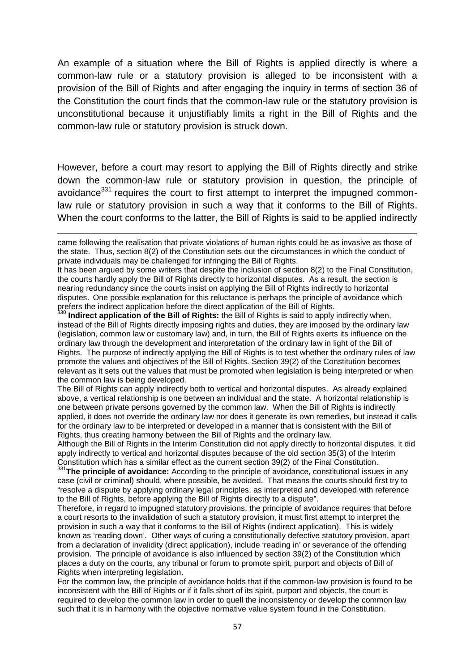An example of a situation where the Bill of Rights is applied directly is where a common-law rule or a statutory provision is alleged to be inconsistent with a provision of the Bill of Rights and after engaging the inquiry in terms of section 36 of the Constitution the court finds that the common-law rule or the statutory provision is unconstitutional because it unjustifiably limits a right in the Bill of Rights and the common-law rule or statutory provision is struck down.

However, before a court may resort to applying the Bill of Rights directly and strike down the common-law rule or statutory provision in question, the principle of avoidance<sup>331</sup> requires the court to first attempt to interpret the impugned commonlaw rule or statutory provision in such a way that it conforms to the Bill of Rights. When the court conforms to the latter, the Bill of Rights is said to be applied indirectly

It has been argued by some writers that despite the inclusion of section 8(2) to the Final Constitution, the courts hardly apply the Bill of Rights directly to horizontal disputes. As a result, the section is nearing redundancy since the courts insist on applying the Bill of Rights indirectly to horizontal disputes. One possible explanation for this reluctance is perhaps the principle of avoidance which prefers the indirect application before the direct application of the Bill of Rights. <sup>330</sup> **Indirect application of the Bill of Rights:** the Bill of Rights is said to apply indirectly when,

instead of the Bill of Rights directly imposing rights and duties, they are imposed by the ordinary law (legislation, common law or customary law) and, in turn, the Bill of Rights exerts its influence on the ordinary law through the development and interpretation of the ordinary law in light of the Bill of Rights. The purpose of indirectly applying the Bill of Rights is to test whether the ordinary rules of law promote the values and objectives of the Bill of Rights. Section 39(2) of the Constitution becomes relevant as it sets out the values that must be promoted when legislation is being interpreted or when the common law is being developed.

The Bill of Rights can apply indirectly both to vertical and horizontal disputes. As already explained above, a vertical relationship is one between an individual and the state. A horizontal relationship is one between private persons governed by the common law. When the Bill of Rights is indirectly applied, it does not override the ordinary law nor does it generate its own remedies, but instead it calls for the ordinary law to be interpreted or developed in a manner that is consistent with the Bill of Rights, thus creating harmony between the Bill of Rights and the ordinary law.

Although the Bill of Rights in the Interim Constitution did not apply directly to horizontal disputes, it did apply indirectly to vertical and horizontal disputes because of the old section 35(3) of the Interim Constitution which has a similar effect as the current section 39(2) of the Final Constitution. <sup>331</sup>**The principle of avoidance:** According to the principle of avoidance, constitutional issues in any

case (civil or criminal) should, where possible, be avoided. That means the courts should first try to "resolve a dispute by applying ordinary legal principles, as interpreted and developed with reference to the Bill of Rights, before applying the Bill of Rights directly to a dispute".

Therefore, in regard to impugned statutory provisions, the principle of avoidance requires that before a court resorts to the invalidation of such a statutory provision, it must first attempt to interpret the provision in such a way that it conforms to the Bill of Rights (indirect application). This is widely known as 'reading down'. Other ways of curing a constitutionally defective statutory provision, apart from a declaration of invalidity (direct application), include 'reading in' or severance of the offending provision. The principle of avoidance is also influenced by section 39(2) of the Constitution which places a duty on the courts, any tribunal or forum to promote spirit, purport and objects of Bill of Rights when interpreting legislation.

For the common law, the principle of avoidance holds that if the common-law provision is found to be inconsistent with the Bill of Rights or if it falls short of its spirit, purport and objects, the court is required to develop the common law in order to quell the inconsistency or develop the common law such that it is in harmony with the objective normative value system found in the Constitution.

came following the realisation that private violations of human rights could be as invasive as those of the state. Thus, section 8(2) of the Constitution sets out the circumstances in which the conduct of private individuals may be challenged for infringing the Bill of Rights.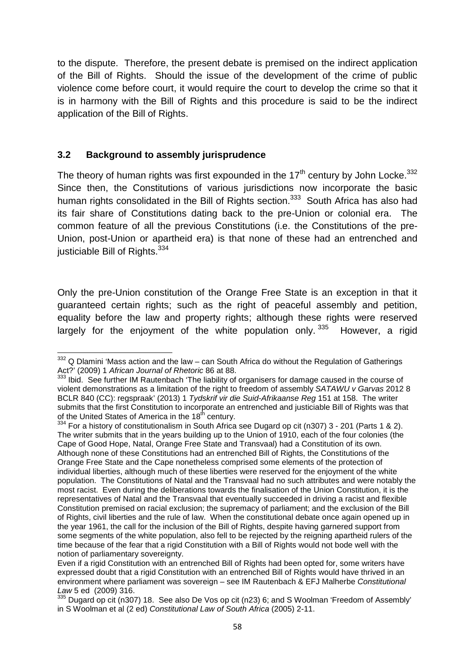to the dispute. Therefore, the present debate is premised on the indirect application of the Bill of Rights. Should the issue of the development of the crime of public violence come before court, it would require the court to develop the crime so that it is in harmony with the Bill of Rights and this procedure is said to be the indirect application of the Bill of Rights.

### **3.2 Background to assembly jurisprudence**

The theory of human rights was first expounded in the  $17<sup>th</sup>$  century by John Locke.<sup>332</sup> Since then, the Constitutions of various jurisdictions now incorporate the basic human rights consolidated in the Bill of Rights section.<sup>333</sup> South Africa has also had its fair share of Constitutions dating back to the pre-Union or colonial era. The common feature of all the previous Constitutions (i.e. the Constitutions of the pre- Union, post-Union or apartheid era) is that none of these had an entrenched and iusticiable Bill of Rights. $334$ 

Only the pre-Union constitution of the Orange Free State is an exception in that it guaranteed certain rights; such as the right of peaceful assembly and petition, equality before the law and property rights; although these rights were reserved largely for the enjoyment of the white population only. 335 However, a rigid

 $332$  Q Dlamini 'Mass action and the law – can South Africa do without the Regulation of Gatherings Act?' (2009) 1 *African Journal of Rhetoric* 86 at 88.

<sup>333</sup> Ibid. See further IM Rautenbach 'The liability of organisers for damage caused in the course of violent demonstrations as a limitation of the right to freedom of assembly *SATAWU v Garvas* 2012 8 BCLR 840 (CC): regspraak' (2013) 1 *Tydskrif vir die Suid-Afrikaanse Reg* 151 at 158. The writer submits that the first Constitution to incorporate an entrenched and justiciable Bill of Rights was that of the United States of America in the 18<sup>th</sup> century.<br><sup>334</sup> For a history of constitutionalism in South Africa see Dugard op cit (n307) 3 - 201 (Parts 1 & 2).

The writer submits that in the years building up to the Union of 1910, each of the four colonies (the Cape of Good Hope, Natal, Orange Free State and Transvaal) had a Constitution of its own. Although none of these Constitutions had an entrenched Bill of Rights, the Constitutions of the Orange Free State and the Cape nonetheless comprised some elements of the protection of individual liberties, although much of these liberties were reserved for the enjoyment of the white population. The Constitutions of Natal and the Transvaal had no such attributes and were notably the most racist. Even during the deliberations towards the finalisation of the Union Constitution, it is the representatives of Natal and the Transvaal that eventually succeeded in driving a racist and flexible Constitution premised on racial exclusion; the supremacy of parliament; and the exclusion of the Bill of Rights, civil liberties and the rule of law. When the constitutional debate once again opened up in the year 1961, the call for the inclusion of the Bill of Rights, despite having garnered support from some segments of the white population, also fell to be rejected by the reigning apartheid rulers of the time because of the fear that a rigid Constitution with a Bill of Rights would not bode well with the notion of parliamentary sovereignty.

Even if a rigid Constitution with an entrenched Bill of Rights had been opted for, some writers have expressed doubt that a rigid Constitution with an entrenched Bill of Rights would have thrived in an environment where parliament was sovereign – see IM Rautenbach & EFJ Malherbe *Constitutional*

<sup>&</sup>lt;sup>335</sup> Dugard op cit (n307) 18. See also De Vos op cit (n23) 6; and S Woolman 'Freedom of Assembly' in S Woolman et al (2 ed) *Constitutional Law of South Africa* (2005) 2-11.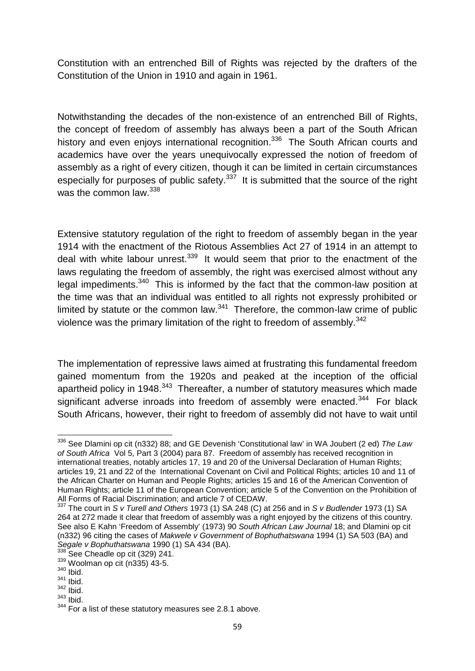Constitution with an entrenched Bill of Rights was rejected by the drafters of the Constitution of the Union in 1910 and again in 1961.

Notwithstanding the decades of the non-existence of an entrenched Bill of Rights, the concept of freedom of assembly has always been a part of the South African history and even enjoys international recognition.<sup>336</sup> The South African courts and academics have over the years unequivocally expressed the notion of freedom of assembly as a right of every citizen, though it can be limited in certain circumstances especially for purposes of public safety. $337$  It is submitted that the source of the right was the common law.<sup>338</sup>

Extensive statutory regulation of the right to freedom of assembly began in the year 1914 with the enactment of the Riotous Assemblies Act 27 of 1914 in an attempt to deal with white labour unrest.  $339$  It would seem that prior to the enactment of the laws regulating the freedom of assembly, the right was exercised almost without any legal impediments.<sup>340</sup> This is informed by the fact that the common-law position at the time was that an individual was entitled to all rights not expressly prohibited or limited by statute or the common law. $341$  Therefore, the common-law crime of public violence was the primary limitation of the right to freedom of assembly.<sup>342</sup>

The implementation of repressive laws aimed at frustrating this fundamental freedom gained momentum from the 1920s and peaked at the inception of the official apartheid policy in 1948. $343$  Thereafter, a number of statutory measures which made significant adverse inroads into freedom of assembly were enacted.<sup>344</sup> For black South Africans, however, their right to freedom of assembly did not have to wait until

<sup>336</sup> See Dlamini op cit (n332) 88; and GE Devenish 'Constitutional law' in WA Joubert (2 ed) *The Law of South Africa* Vol 5, Part 3 (2004) para 87. Freedom of assembly has received recognition in international treaties, notably articles 17, 19 and 20 of the Universal Declaration of Human Rights; articles 19, 21 and 22 of the International Covenant on Civil and Political Rights; articles 10 and 11 of the African Charter on Human and People Rights; articles 15 and 16 of the American Convention of Human Rights; article 11 of the European Convention; article 5 of the Convention on the Prohibition of All Forms of Racial Discrimination; and article 7 of CEDAW.

<sup>337</sup> The court in *S v Turell and Others* 1973 (1) SA 248 (C) at 256 and in *S v Budlender* 1973 (1) SA 264 at 272 made it clear that freedom of assembly was a right enjoyed by the citizens of this country. See also E Kahn 'Freedom of Assembly' (1973) 90 *South African Law Journal* 18; and Dlamini op cit (n332) 96 citing the cases of *Makwele v Government of Bophuthatswana* 1994 (1) SA 503 (BA) and *Segale v Bophuthatswana* 1990 (1) SA 434 (BA).<br><sup>338</sup> See Cheadle op cit (329) 241.<br><sup>339</sup> Woolman op cit (n335) 43-5.

 $340$  Ibid.

 $341$  Ibid.

 $342$  Ibid.

<sup>343</sup> Ibid.

<sup>344</sup> For a list of these statutory measures see 2.8.1 above.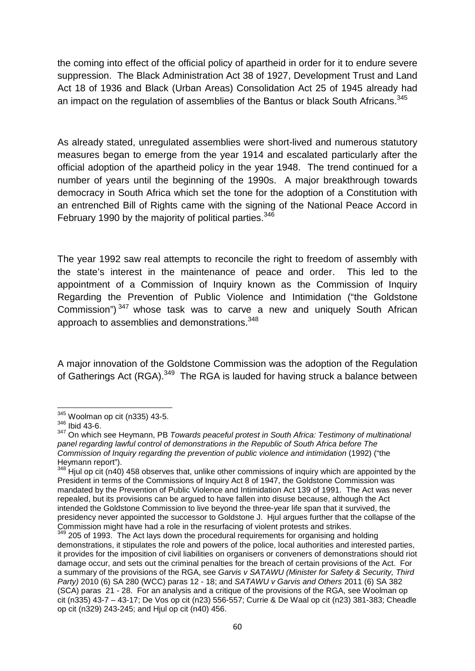the coming into effect of the official policy of apartheid in order for it to endure severe suppression. The Black Administration Act 38 of 1927, Development Trust and Land Act 18 of 1936 and Black (Urban Areas) Consolidation Act 25 of 1945 already had an impact on the regulation of assemblies of the Bantus or black South Africans.<sup>345</sup>

As already stated, unregulated assemblies were short-lived and numerous statutory measures began to emerge from the year 1914 and escalated particularly after the official adoption of the apartheid policy in the year 1948. The trend continued for a number of years until the beginning of the 1990s. A major breakthrough towards democracy in South Africa which set the tone for the adoption of a Constitution with an entrenched Bill of Rights came with the signing of the National Peace Accord in February 1990 by the majority of political parties.<sup>346</sup>

The year 1992 saw real attempts to reconcile the right to freedom of assembly with the state's interest in the maintenance of peace and order. This led to the appointment of a Commission of Inquiry known as the Commission of Inquiry Regarding the Prevention of Public Violence and Intimidation ("the Goldstone Commission") <sup>347</sup> whose task was to carve a new and uniquely South African approach to assemblies and demonstrations.<sup>348</sup>

A major innovation of the Goldstone Commission was the adoption of the Regulation of Gatherings Act (RGA).<sup>349</sup> The RGA is lauded for having struck a balance between

<sup>345</sup> Woolman op cit (n335) 43-5.

<sup>346</sup> Ibid 43-6.

<sup>347</sup> On which see Heymann, PB *Towards peaceful protest in South Africa: Testimony of multinational panel regarding lawful control of demonstrations in the Republic of South Africa before The Commission of Inquiry regarding the prevention of public violence and intimidation* (1992) ("the Heymann report").<br><sup>348</sup> Hjul op cit (n40) 458 observes that, unlike other commissions of inquiry which are appointed by the

President in terms of the Commissions of Inquiry Act 8 of 1947, the Goldstone Commission was mandated by the Prevention of Public Violence and Intimidation Act 139 of 1991. The Act was never repealed, but its provisions can be argued to have fallen into disuse because, although the Act intended the Goldstone Commission to live beyond the three-year life span that it survived, the presidency never appointed the successor to Goldstone J. Hjul argues further that the collapse of the Commission might have had a role in the resurfacing of violent protests and strikes.<br><sup>349</sup> 205 of 1993. The Act lays down the procedural requirements for organising and holding

demonstrations, it stipulates the role and powers of the police, local authorities and interested parties, it provides for the imposition of civil liabilities on organisers or conveners of demonstrations should riot damage occur, and sets out the criminal penalties for the breach of certain provisions of the Act. For a summary of the provisions of the RGA, see *Garvis v SATAWU (Minister for Safety & Security, Third Party)* 2010 (6) SA 280 (WCC) paras 12 - 18; and *SATAWU v Garvis and Others* 2011 (6) SA 382 (SCA) paras 21 - 28. For an analysis and a critique of the provisions of the RGA, see Woolman op cit (n335) 43-7 – 43-17; De Vos op cit (n23) 556-557; Currie & De Waal op cit (n23) 381-383; Cheadle op cit (n329) 243-245; and Hjul op cit (n40) 456.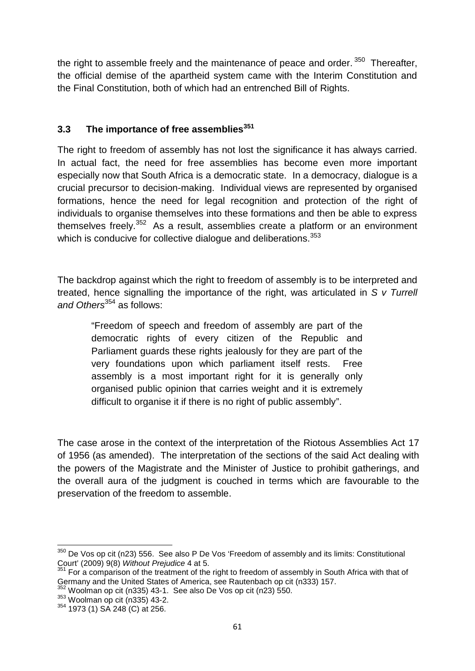the right to assemble freely and the maintenance of peace and order.  $350$  Thereafter, the official demise of the apartheid system came with the Interim Constitution and the Final Constitution, both of which had an entrenched Bill of Rights.

# **3.3 The importance of free assemblies<sup>351</sup>**

The right to freedom of assembly has not lost the significance it has always carried. In actual fact, the need for free assemblies has become even more important especially now that South Africa is a democratic state. In a democracy, dialogue is a crucial precursor to decision-making. Individual views are represented by organised formations, hence the need for legal recognition and protection of the right of individuals to organise themselves into these formations and then be able to express themselves freely.<sup>352</sup> As a result, assemblies create a platform or an environment which is conducive for collective dialogue and deliberations.<sup>353</sup>

The backdrop against which the right to freedom of assembly is to be interpreted and treated, hence signalling the importance of the right, was articulated in *S v Turrell* and Others<sup>354</sup> as follows:

"Freedom of speech and freedom of assembly are part of the democratic rights of every citizen of the Republic and Parliament guards these rights jealously for they are part of the very foundations upon which parliament itself rests. Free assembly is a most important right for it is generally only organised public opinion that carries weight and it is extremely difficult to organise it if there is no right of public assembly".

The case arose in the context of the interpretation of the Riotous Assemblies Act 17 of 1956 (as amended). The interpretation of the sections of the said Act dealing with the powers of the Magistrate and the Minister of Justice to prohibit gatherings, and the overall aura of the judgment is couched in terms which are favourable to the preservation of the freedom to assemble.

 $350$  De Vos op cit (n23) 556. See also P De Vos 'Freedom of assembly and its limits: Constitutional Court' (2009) 9(8) Without Prejudice 4 at 5.

<sup>&</sup>lt;sup>351</sup> For a comparison of the treatment of the right to freedom of assembly in South Africa with that of Germany and the United States of America, see Rautenbach op cit (n333) 157.

Woolman op cit (n335) 43-1. See also De Vos op cit (n23) 550.

<sup>353</sup> Woolman op cit (n335) 43-2.

<sup>354</sup> 1973 (1) SA 248 (C) at 256.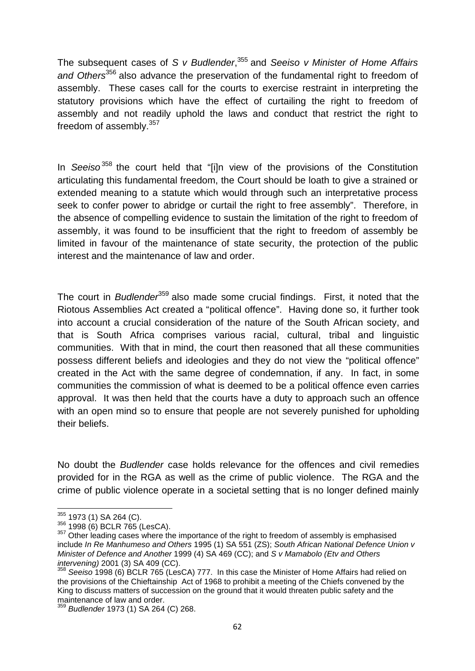The subsequent cases of *S v Budlender*,<sup>355</sup> and *Seeiso v Minister of Home Affairs and Others*<sup>356</sup> also advance the preservation of the fundamental right to freedom of assembly. These cases call for the courts to exercise restraint in interpreting the statutory provisions which have the effect of curtailing the right to freedom of assembly and not readily uphold the laws and conduct that restrict the right to freedom of assembly.<sup>357</sup>

In *Seeiso* <sup>358</sup> the court held that "[i]n view of the provisions of the Constitution articulating this fundamental freedom, the Court should be loath to give a strained or extended meaning to a statute which would through such an interpretative process seek to confer power to abridge or curtail the right to free assembly". Therefore, in the absence of compelling evidence to sustain the limitation of the right to freedom of assembly, it was found to be insufficient that the right to freedom of assembly be limited in favour of the maintenance of state security, the protection of the public interest and the maintenance of law and order.

The court in *Budlender*<sup>359</sup> also made some crucial findings. First, it noted that the Riotous Assemblies Act created a "political offence". Having done so, it further took into account a crucial consideration of the nature of the South African society, and that is South Africa comprises various racial, cultural, tribal and linguistic communities. With that in mind, the court then reasoned that all these communities possess different beliefs and ideologies and they do not view the "political offence" created in the Act with the same degree of condemnation, if any. In fact, in some communities the commission of what is deemed to be a political offence even carries approval. It was then held that the courts have a duty to approach such an offence with an open mind so to ensure that people are not severely punished for upholding their beliefs.

No doubt the *Budlender* case holds relevance for the offences and civil remedies provided for in the RGA as well as the crime of public violence. The RGA and the crime of public violence operate in a societal setting that is no longer defined mainly

 $355$  1973 (1) SA 264 (C).<br> $356$  1998 (6) BCLR 765 (LesCA).<br> $357$  Other leading cases where the importance of the right to freedom of assembly is emphasised include *In Re Manhumeso and Others* 1995 (1) SA 551 (ZS); *South African National Defence Union v Minister of Defence and Another* 1999 (4) SA 469 (CC); and *S v Mamabolo (Etv and Others*

<sup>&</sup>lt;sup>358</sup> Seeiso 1998 (6) BCLR 765 (LesCA) 777. In this case the Minister of Home Affairs had relied on the provisions of the Chieftainship Act of 1968 to prohibit a meeting of the Chiefs convened by the King to discuss matters of succession on the ground that it would threaten public safety and the maintenance of law and order.

<sup>&</sup>lt;sup>9</sup> *Budlender* 1973 (1) SA 264 (C) 268.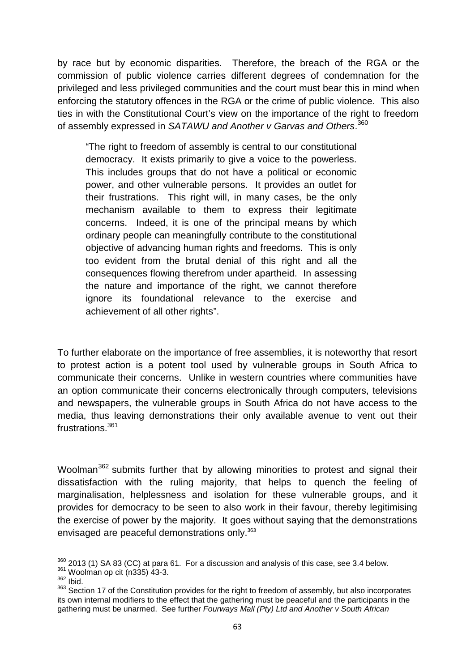by race but by economic disparities. Therefore, the breach of the RGA or the commission of public violence carries different degrees of condemnation for the privileged and less privileged communities and the court must bear this in mind when enforcing the statutory offences in the RGA or the crime of public violence. This also ties in with the Constitutional Court's view on the importance of the right to freedom of assembly expressed in *SATAWU and Another v Garvas and Others*.<sup>360</sup>

"The right to freedom of assembly is central to our constitutional democracy. It exists primarily to give a voice to the powerless. This includes groups that do not have a political or economic power, and other vulnerable persons. It provides an outlet for their frustrations. This right will, in many cases, be the only mechanism available to them to express their legitimate concerns. Indeed, it is one of the principal means by which ordinary people can meaningfully contribute to the constitutional objective of advancing human rights and freedoms. This is only too evident from the brutal denial of this right and all the consequences flowing therefrom under apartheid. In assessing the nature and importance of the right, we cannot therefore ignore its foundational relevance to the exercise and achievement of all other rights".

To further elaborate on the importance of free assemblies, it is noteworthy that resort to protest action is a potent tool used by vulnerable groups in South Africa to communicate their concerns. Unlike in western countries where communities have an option communicate their concerns electronically through computers, televisions and newspapers, the vulnerable groups in South Africa do not have access to the media, thus leaving demonstrations their only available avenue to vent out their frustrations<sup>361</sup>

Woolman<sup>362</sup> submits further that by allowing minorities to protest and signal their dissatisfaction with the ruling majority, that helps to quench the feeling of marginalisation, helplessness and isolation for these vulnerable groups, and it provides for democracy to be seen to also work in their favour, thereby legitimising the exercise of power by the majority. It goes without saying that the demonstrations envisaged are peaceful demonstrations only.<sup>363</sup>

 $360$  2013 (1) SA 83 (CC) at para 61. For a discussion and analysis of this case, see 3.4 below.  $361$  Woolman op cit (n335) 43-3.

<sup>362</sup> Ibid.

<sup>363</sup> Section 17 of the Constitution provides for the right to freedom of assembly, but also incorporates its own internal modifiers to the effect that the gathering must be peaceful and the participants in the gathering must be unarmed. See further *Fourways Mall (Pty) Ltd and Another v South African*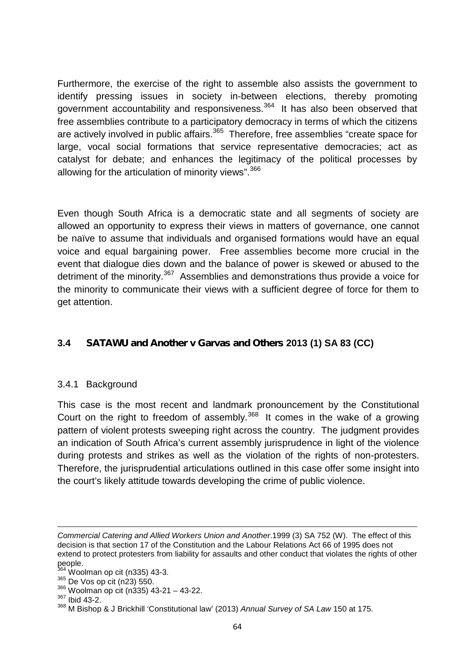Furthermore, the exercise of the right to assemble also assists the government to identify pressing issues in society in-between elections, thereby promoting government accountability and responsiveness.<sup>364</sup> It has also been observed that free assemblies contribute to a participatory democracy in terms of which the citizens are actively involved in public affairs.<sup>365</sup> Therefore, free assemblies "create space for large, vocal social formations that service representative democracies; act as catalyst for debate; and enhances the legitimacy of the political processes by allowing for the articulation of minority views".<sup>366</sup>

Even though South Africa is a democratic state and all segments of society are allowed an opportunity to express their views in matters of governance, one cannot be naïve to assume that individuals and organised formations would have an equal voice and equal bargaining power. Free assemblies become more crucial in the event that dialogue dies down and the balance of power is skewed or abused to the detriment of the minority.<sup>367</sup> Assemblies and demonstrations thus provide a voice for the minority to communicate their views with a sufficient degree of force for them to get attention.

# **3.4** *SATAWU and Another v Garvas and Others* **2013 (1) SA 83 (CC)**

## 3.4.1 Background

This case is the most recent and landmark pronouncement by the Constitutional Court on the right to freedom of assembly.<sup>368</sup> It comes in the wake of a growing pattern of violent protests sweeping right across the country. The judgment provides an indication of South Africa's current assembly jurisprudence in light of the violence during protests and strikes as well as the violation of the rights of non-protesters. Therefore, the jurisprudential articulations outlined in this case offer some insight into the court's likely attitude towards developing the crime of public violence.

<sup>366</sup> Woolman op cit (n335) 43-21 – 43-22.

*Commercial Catering and Allied Workers Union and Another*.1999 (3) SA 752 (W). The effect of this decision is that section 17 of the Constitution and the Labour Relations Act 66 of 1995 does not extend to protect protesters from liability for assaults and other conduct that violates the rights of other people.<br><sup>364</sup> Woolman op cit (n335) 43-3.

<sup>365</sup> De Vos op cit (n23) 550.

<sup>367</sup> Ibid 43-2.

<sup>368</sup> M Bishop & J Brickhill 'Constitutional law' (2013) *Annual Survey of SA Law* 150 at 175.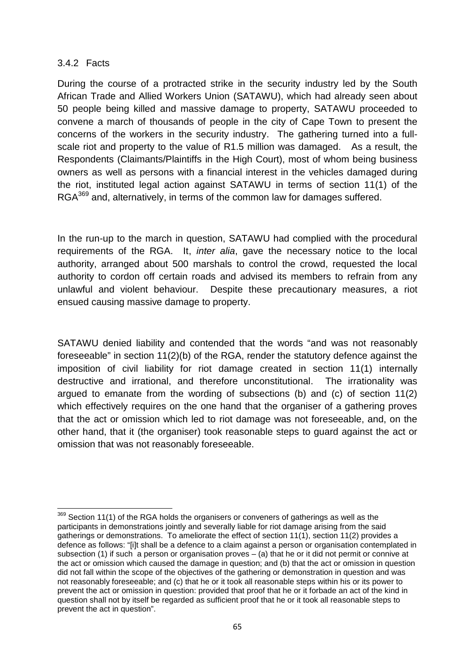#### 3.4.2 Facts

During the course of a protracted strike in the security industry led by the South African Trade and Allied Workers Union (SATAWU), which had already seen about 50 people being killed and massive damage to property, SATAWU proceeded to convene a march of thousands of people in the city of Cape Town to present the concerns of the workers in the security industry. The gathering turned into a full scale riot and property to the value of R1.5 million was damaged. As a result, the Respondents (Claimants/Plaintiffs in the High Court), most of whom being business owners as well as persons with a financial interest in the vehicles damaged during the riot, instituted legal action against SATAWU in terms of section 11(1) of the RGA<sup>369</sup> and, alternatively, in terms of the common law for damages suffered.

In the run-up to the march in question, SATAWU had complied with the procedural requirements of the RGA. It, *inter alia*, gave the necessary notice to the local authority, arranged about 500 marshals to control the crowd, requested the local authority to cordon off certain roads and advised its members to refrain from any unlawful and violent behaviour. Despite these precautionary measures, a riot ensued causing massive damage to property.

SATAWU denied liability and contended that the words "and was not reasonably foreseeable" in section 11(2)(b) of the RGA, render the statutory defence against the imposition of civil liability for riot damage created in section 11(1) internally destructive and irrational, and therefore unconstitutional. The irrationality was argued to emanate from the wording of subsections (b) and (c) of section 11(2) which effectively requires on the one hand that the organiser of a gathering proves that the act or omission which led to riot damage was not foreseeable, and, on the other hand, that it (the organiser) took reasonable steps to guard against the act or omission that was not reasonably foreseeable.

 $369$  Section 11(1) of the RGA holds the organisers or conveners of gatherings as well as the participants in demonstrations jointly and severally liable for riot damage arising from the said gatherings or demonstrations. To ameliorate the effect of section 11(1), section 11(2) provides a defence as follows: "[i]t shall be a defence to a claim against a person or organisation contemplated in subsection (1) if such a person or organisation proves – (a) that he or it did not permit or connive at the act or omission which caused the damage in question; and (b) that the act or omission in question did not fall within the scope of the objectives of the gathering or demonstration in question and was not reasonably foreseeable; and (c) that he or it took all reasonable steps within his or its power to prevent the act or omission in question: provided that proof that he or it forbade an act of the kind in question shall not by itself be regarded as sufficient proof that he or it took all reasonable steps to prevent the act in question".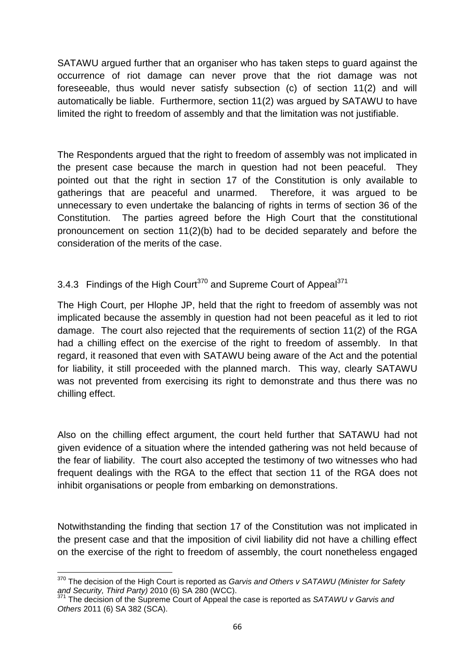SATAWU argued further that an organiser who has taken steps to guard against the occurrence of riot damage can never prove that the riot damage was not foreseeable, thus would never satisfy subsection (c) of section 11(2) and will automatically be liable. Furthermore, section 11(2) was argued by SATAWU to have limited the right to freedom of assembly and that the limitation was not justifiable.

The Respondents argued that the right to freedom of assembly was not implicated in the present case because the march in question had not been peaceful. They pointed out that the right in section 17 of the Constitution is only available to gatherings that are peaceful and unarmed. Therefore, it was argued to be unnecessary to even undertake the balancing of rights in terms of section 36 of the Constitution. The parties agreed before the High Court that the constitutional pronouncement on section 11(2)(b) had to be decided separately and before the consideration of the merits of the case.

# 3.4.3 Findings of the High Court<sup>370</sup> and Supreme Court of Appeal<sup>371</sup>

The High Court, per Hlophe JP, held that the right to freedom of assembly was not implicated because the assembly in question had not been peaceful as it led to riot damage. The court also rejected that the requirements of section 11(2) of the RGA had a chilling effect on the exercise of the right to freedom of assembly. In that regard, it reasoned that even with SATAWU being aware of the Act and the potential for liability, it still proceeded with the planned march. This way, clearly SATAWU was not prevented from exercising its right to demonstrate and thus there was no chilling effect.

Also on the chilling effect argument, the court held further that SATAWU had not given evidence of a situation where the intended gathering was not held because of the fear of liability. The court also accepted the testimony of two witnesses who had frequent dealings with the RGA to the effect that section 11 of the RGA does not inhibit organisations or people from embarking on demonstrations.

Notwithstanding the finding that section 17 of the Constitution was not implicated in the present case and that the imposition of civil liability did not have a chilling effect on the exercise of the right to freedom of assembly, the court nonetheless engaged

<sup>&</sup>lt;sup>370</sup> The decision of the High Court is reported as *Garvis and Others v SATAWU (Minister for Safety and Security, Third Party*) 2010 (6) SA 280 (WCC).

*and Security, Third Party)* 2010 (6) SA 280 (WCC). <sup>371</sup> The decision of the Supreme Court of Appeal the case is reported as *SATAWU v Garvis and Others* 2011 (6) SA 382 (SCA).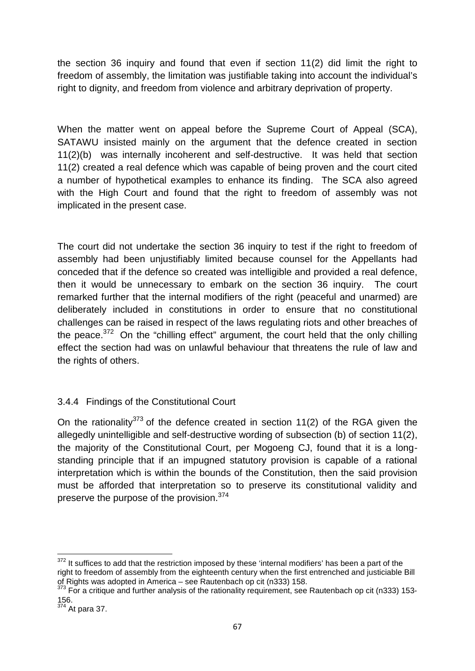the section 36 inquiry and found that even if section 11(2) did limit the right to freedom of assembly, the limitation was justifiable taking into account the individual's right to dignity, and freedom from violence and arbitrary deprivation of property.

When the matter went on appeal before the Supreme Court of Appeal (SCA), SATAWU insisted mainly on the argument that the defence created in section 11(2)(b) was internally incoherent and self-destructive. It was held that section 11(2) created a real defence which was capable of being proven and the court cited a number of hypothetical examples to enhance its finding. The SCA also agreed with the High Court and found that the right to freedom of assembly was not implicated in the present case.

The court did not undertake the section 36 inquiry to test if the right to freedom of assembly had been unjustifiably limited because counsel for the Appellants had conceded that if the defence so created was intelligible and provided a real defence, then it would be unnecessary to embark on the section 36 inquiry. The court remarked further that the internal modifiers of the right (peaceful and unarmed) are deliberately included in constitutions in order to ensure that no constitutional challenges can be raised in respect of the laws regulating riots and other breaches of the peace.<sup>372</sup> On the "chilling effect" argument, the court held that the only chilling effect the section had was on unlawful behaviour that threatens the rule of law and the rights of others.

# 3.4.4 Findings of the Constitutional Court

On the rationality<sup>373</sup> of the defence created in section 11(2) of the RGA given the allegedly unintelligible and self-destructive wording of subsection (b) of section 11(2), the majority of the Constitutional Court, per Mogoeng CJ, found that it is a long standing principle that if an impugned statutory provision is capable of a rational interpretation which is within the bounds of the Constitution, then the said provision must be afforded that interpretation so to preserve its constitutional validity and preserve the purpose of the provision.<sup>374</sup>

<sup>&</sup>lt;sup>372</sup> It suffices to add that the restriction imposed by these 'internal modifiers' has been a part of the right to freedom of assembly from the eighteenth century when the first entrenched and justiciable Bill of Rights was adopted in America – see Rautenbach op cit (n333) 158.<br><sup>373</sup> For a critique and further analysis of the rationality requirement, see Rautenbach op cit (n333) 153-

<sup>156.</sup>

 $374$  At para 37.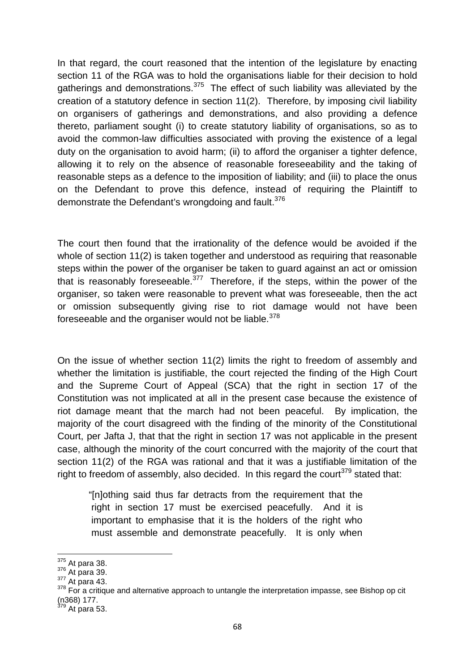In that regard, the court reasoned that the intention of the legislature by enacting section 11 of the RGA was to hold the organisations liable for their decision to hold gatherings and demonstrations.<sup>375</sup> The effect of such liability was alleviated by the creation of a statutory defence in section 11(2). Therefore, by imposing civil liability on organisers of gatherings and demonstrations, and also providing a defence thereto, parliament sought (i) to create statutory liability of organisations, so as to avoid the common-law difficulties associated with proving the existence of a legal duty on the organisation to avoid harm; (ii) to afford the organiser a tighter defence, allowing it to rely on the absence of reasonable foreseeability and the taking of reasonable steps as a defence to the imposition of liability; and (iii) to place the onus on the Defendant to prove this defence, instead of requiring the Plaintiff to demonstrate the Defendant's wrongdoing and fault.<sup>376</sup>

The court then found that the irrationality of the defence would be avoided if the whole of section 11(2) is taken together and understood as requiring that reasonable steps within the power of the organiser be taken to guard against an act or omission that is reasonably foreseeable. $377$  Therefore, if the steps, within the power of the organiser, so taken were reasonable to prevent what was foreseeable, then the act or omission subsequently giving rise to riot damage would not have been foreseeable and the organiser would not be liable.<sup>378</sup>

On the issue of whether section 11(2) limits the right to freedom of assembly and whether the limitation is justifiable, the court rejected the finding of the High Court and the Supreme Court of Appeal (SCA) that the right in section 17 of the Constitution was not implicated at all in the present case because the existence of riot damage meant that the march had not been peaceful. By implication, the majority of the court disagreed with the finding of the minority of the Constitutional Court, per Jafta J, that that the right in section 17 was not applicable in the present case, although the minority of the court concurred with the majority of the court that section 11(2) of the RGA was rational and that it was a justifiable limitation of the right to freedom of assembly, also decided. In this regard the court<sup>379</sup> stated that:

"[n]othing said thus far detracts from the requirement that the right in section 17 must be exercised peacefully. And it is important to emphasise that it is the holders of the right who must assemble and demonstrate peacefully. It is only when

<sup>&</sup>lt;sup>375</sup> At para 38.<br><sup>376</sup> At para 39.<br><sup>377</sup> At para 43.<br><sup>378</sup> For a critique and alternative approach to untangle the interpretation impasse, see Bishop op cit  $(n368) 177.$ <sup>379</sup> At para 53.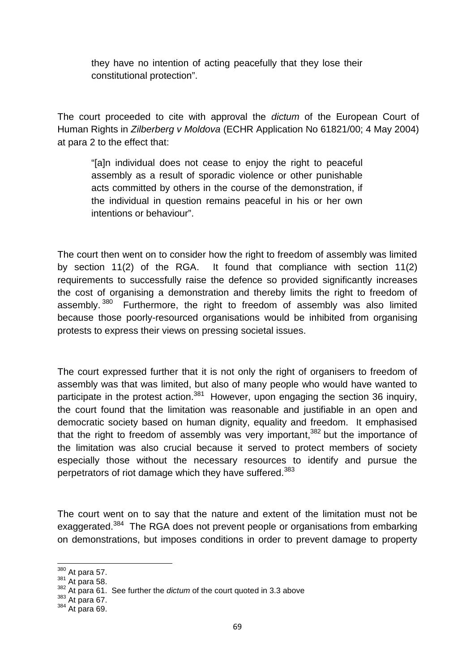they have no intention of acting peacefully that they lose their constitutional protection".

The court proceeded to cite with approval the *dictum* of the European Court of Human Rights in *Zilberberg v Moldova* (ECHR Application No 61821/00; 4 May 2004) at para 2 to the effect that:

"[a]n individual does not cease to enjoy the right to peaceful assembly as a result of sporadic violence or other punishable acts committed by others in the course of the demonstration, if the individual in question remains peaceful in his or her own intentions or behaviour".

The court then went on to consider how the right to freedom of assembly was limited by section 11(2) of the RGA. It found that compliance with section 11(2) requirements to successfully raise the defence so provided significantly increases the cost of organising a demonstration and thereby limits the right to freedom of assembly.<sup>380</sup> Furthermore, the right to freedom of assembly was also limited because those poorly-resourced organisations would be inhibited from organising protests to express their views on pressing societal issues.

The court expressed further that it is not only the right of organisers to freedom of assembly was that was limited, but also of many people who would have wanted to participate in the protest action.<sup>381</sup> However, upon engaging the section 36 inquiry, the court found that the limitation was reasonable and justifiable in an open and democratic society based on human dignity, equality and freedom. It emphasised that the right to freedom of assembly was very important,<sup>382</sup> but the importance of the limitation was also crucial because it served to protect members of society especially those without the necessary resources to identify and pursue the perpetrators of riot damage which they have suffered.<sup>383</sup>

The court went on to say that the nature and extent of the limitation must not be exaggerated.<sup>384</sup> The RGA does not prevent people or organisations from embarking on demonstrations, but imposes conditions in order to prevent damage to property

<sup>380</sup> At para 57. <sup>381</sup> At para 58. <sup>382</sup> At para 61. See further the *dictum* of the court quoted in 3.3 above

 $384$  At para 69.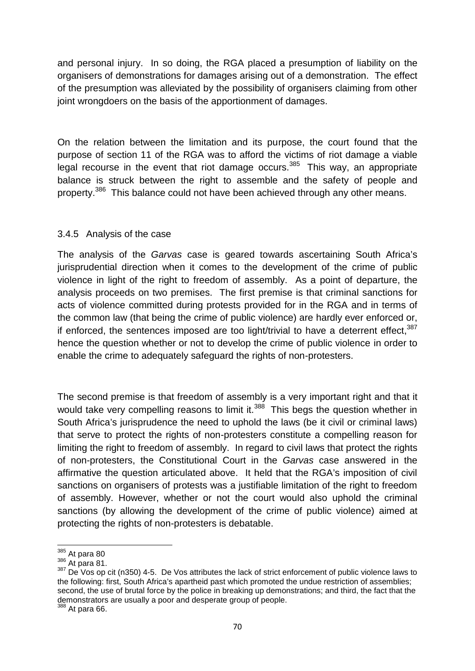and personal injury. In so doing, the RGA placed a presumption of liability on the organisers of demonstrations for damages arising out of a demonstration. The effect of the presumption was alleviated by the possibility of organisers claiming from other joint wrongdoers on the basis of the apportionment of damages.

On the relation between the limitation and its purpose, the court found that the purpose of section 11 of the RGA was to afford the victims of riot damage a viable legal recourse in the event that riot damage occurs.<sup>385</sup> This way, an appropriate balance is struck between the right to assemble and the safety of people and property.<sup>386</sup> This balance could not have been achieved through any other means.

### 3.4.5 Analysis of the case

The analysis of the *Garvas* case is geared towards ascertaining South Africa's jurisprudential direction when it comes to the development of the crime of public violence in light of the right to freedom of assembly. As a point of departure, the analysis proceeds on two premises. The first premise is that criminal sanctions for acts of violence committed during protests provided for in the RGA and in terms of the common law (that being the crime of public violence) are hardly ever enforced or, if enforced, the sentences imposed are too light/trivial to have a deterrent effect. $387$ hence the question whether or not to develop the crime of public violence in order to enable the crime to adequately safeguard the rights of non-protesters.

The second premise is that freedom of assembly is a very important right and that it would take very compelling reasons to limit it.<sup>388</sup> This begs the question whether in South Africa's jurisprudence the need to uphold the laws (be it civil or criminal laws) that serve to protect the rights of non-protesters constitute a compelling reason for limiting the right to freedom of assembly. In regard to civil laws that protect the rights of non-protesters, the Constitutional Court in the *Garvas* case answered in the affirmative the question articulated above. It held that the RGA's imposition of civil sanctions on organisers of protests was a justifiable limitation of the right to freedom of assembly. However, whether or not the court would also uphold the criminal sanctions (by allowing the development of the crime of public violence) aimed at protecting the rights of non-protesters is debatable.

 $385$  At para 80

 $386$  At para 81.

<sup>387</sup> De Vos op cit (n350) 4-5. De Vos attributes the lack of strict enforcement of public violence laws to the following: first, South Africa's apartheid past which promoted the undue restriction of assemblies; second, the use of brutal force by the police in breaking up demonstrations; and third, the fact that the demonstrators are usually a poor and desperate group of people. <sup>388</sup> At para 66.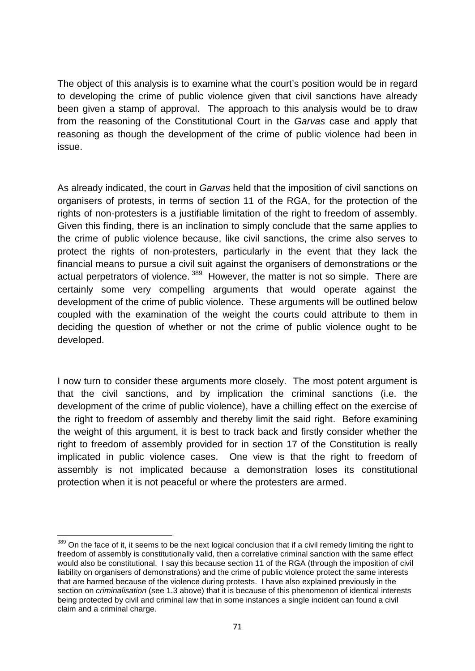The object of this analysis is to examine what the court's position would be in regard to developing the crime of public violence given that civil sanctions have already been given a stamp of approval. The approach to this analysis would be to draw from the reasoning of the Constitutional Court in the *Garvas* case and apply that reasoning as though the development of the crime of public violence had been in issue.

As already indicated, the court in *Garvas* held that the imposition of civil sanctions on organisers of protests, in terms of section 11 of the RGA, for the protection of the rights of non-protesters is a justifiable limitation of the right to freedom of assembly. Given this finding, there is an inclination to simply conclude that the same applies to the crime of public violence because, like civil sanctions, the crime also serves to protect the rights of non-protesters, particularly in the event that they lack the financial means to pursue a civil suit against the organisers of demonstrations or the actual perpetrators of violence.<sup>389</sup> However, the matter is not so simple. There are certainly some very compelling arguments that would operate against the development of the crime of public violence. These arguments will be outlined below coupled with the examination of the weight the courts could attribute to them in deciding the question of whether or not the crime of public violence ought to be developed.

I now turn to consider these arguments more closely. The most potent argument is that the civil sanctions, and by implication the criminal sanctions (i.e. the development of the crime of public violence), have a chilling effect on the exercise of the right to freedom of assembly and thereby limit the said right. Before examining the weight of this argument, it is best to track back and firstly consider whether the right to freedom of assembly provided for in section 17 of the Constitution is really implicated in public violence cases. One view is that the right to freedom of assembly is not implicated because a demonstration loses its constitutional protection when it is not peaceful or where the protesters are armed.

<sup>389</sup> On the face of it, it seems to be the next logical conclusion that if a civil remedy limiting the right to freedom of assembly is constitutionally valid, then a correlative criminal sanction with the same effect would also be constitutional. I say this because section 11 of the RGA (through the imposition of civil liability on organisers of demonstrations) and the crime of public violence protect the same interests that are harmed because of the violence during protests. I have also explained previously in the section on *criminalisation* (see 1.3 above) that it is because of this phenomenon of identical interests being protected by civil and criminal law that in some instances a single incident can found a civil claim and a criminal charge.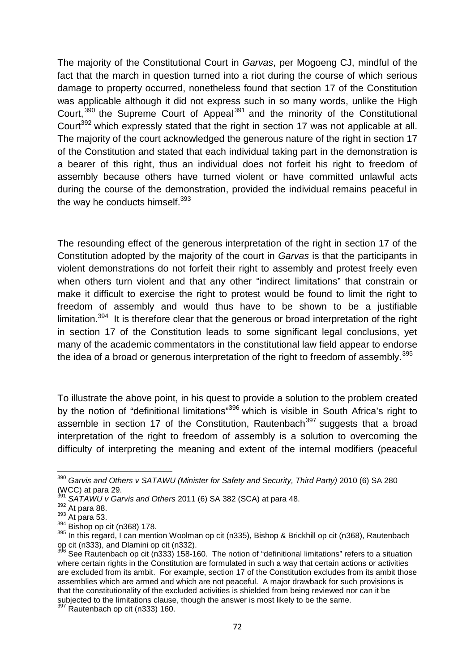The majority of the Constitutional Court in *Garvas*, per Mogoeng CJ, mindful of the fact that the march in question turned into a riot during the course of which serious damage to property occurred, nonetheless found that section 17 of the Constitution was applicable although it did not express such in so many words, unlike the High Court,<sup>390</sup> the Supreme Court of Appeal<sup>391</sup> and the minority of the Constitutional Court<sup>392</sup> which expressly stated that the right in section 17 was not applicable at all. The majority of the court acknowledged the generous nature of the right in section 17 of the Constitution and stated that each individual taking part in the demonstration is a bearer of this right, thus an individual does not forfeit his right to freedom of assembly because others have turned violent or have committed unlawful acts during the course of the demonstration, provided the individual remains peaceful in the way he conducts himself.<sup>393</sup>

The resounding effect of the generous interpretation of the right in section 17 of the Constitution adopted by the majority of the court in *Garvas* is that the participants in violent demonstrations do not forfeit their right to assembly and protest freely even when others turn violent and that any other "indirect limitations" that constrain or make it difficult to exercise the right to protest would be found to limit the right to freedom of assembly and would thus have to be shown to be a justifiable limitation.<sup>394</sup> It is therefore clear that the generous or broad interpretation of the right in section 17 of the Constitution leads to some significant legal conclusions, yet many of the academic commentators in the constitutional law field appear to endorse the idea of a broad or generous interpretation of the right to freedom of assembly.<sup>395</sup>

To illustrate the above point, in his quest to provide a solution to the problem created by the notion of "definitional limitations"<sup>396</sup> which is visible in South Africa's right to assemble in section 17 of the Constitution, Rautenbach<sup>397</sup> suggests that a broad interpretation of the right to freedom of assembly is a solution to overcoming the difficulty of interpreting the meaning and extent of the internal modifiers (peaceful

<sup>390</sup> *Garvis and Others v SATAWU (Minister for Safety and Security, Third Party)* 2010 (6) SA 280

<sup>(</sup>WCC) at para 29.<br>  $394$  SATAWU v Garvis and Others 2011 (6) SA 382 (SCA) at para 48.<br>  $394$  SATAWU v Garvis and Others 2011 (6) SA 382 (SCA) at para 48.<br>  $394$  Rishop op cit (n368) 178.<br>  $394$  Bishop op cit (n368) 178.<br>

See Rautenbach op cit (n333) 158-160. The notion of "definitional limitations" refers to a situation where certain rights in the Constitution are formulated in such a way that certain actions or activities are excluded from its ambit. For example, section 17 of the Constitution excludes from its ambit those assemblies which are armed and which are not peaceful. A major drawback for such provisions is that the constitutionality of the excluded activities is shielded from being reviewed nor can it be subjected to the limitations clause, though the answer is most likely to be the same. <sup>397</sup> Rautenbach op cit (n333) 160.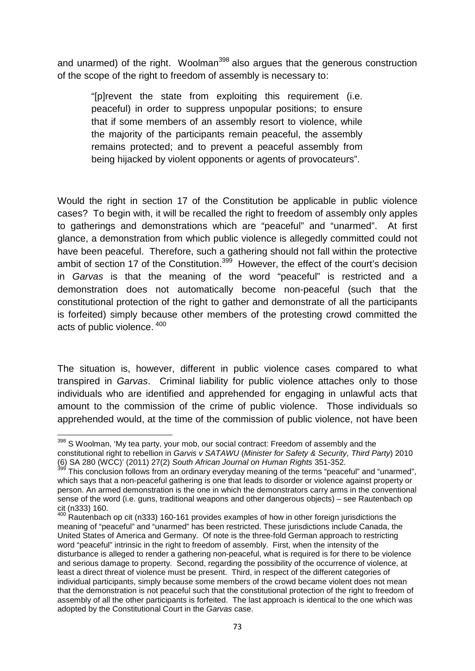and unarmed) of the right. Woolman<sup>398</sup> also argues that the generous construction of the scope of the right to freedom of assembly is necessary to:

"[p]revent the state from exploiting this requirement (i.e. peaceful) in order to suppress unpopular positions; to ensure that if some members of an assembly resort to violence, while the majority of the participants remain peaceful, the assembly remains protected; and to prevent a peaceful assembly from being hijacked by violent opponents or agents of provocateurs".

Would the right in section 17 of the Constitution be applicable in public violence cases? To begin with, it will be recalled the right to freedom of assembly only apples to gatherings and demonstrations which are "peaceful" and "unarmed". At first glance, a demonstration from which public violence is allegedly committed could not have been peaceful. Therefore, such a gathering should not fall within the protective ambit of section 17 of the Constitution.<sup>399</sup> However, the effect of the court's decision in *Garvas* is that the meaning of the word "peaceful" is restricted and a demonstration does not automatically become non-peaceful (such that the constitutional protection of the right to gather and demonstrate of all the participants is forfeited) simply because other members of the protesting crowd committed the acts of public violence. <sup>400</sup>

The situation is, however, different in public violence cases compared to what transpired in *Garvas*. Criminal liability for public violence attaches only to those individuals who are identified and apprehended for engaging in unlawful acts that amount to the commission of the crime of public violence. Those individuals so apprehended would, at the time of the commission of public violence, not have been

<sup>&</sup>lt;sup>398</sup> S Woolman, 'My tea party, your mob, our social contract: Freedom of assembly and the constitutional right to rebellion in *Garvis v SATAWU* (*Minister for Safety & Security, Third Party*) 2010 (6) SA 280 (WCC)' (2011) 27(2) *South African Journal on Human Rights* 351-352.

This conclusion follows from an ordinary everyday meaning of the terms "peaceful" and "unarmed", which says that a non-peaceful gathering is one that leads to disorder or violence against property or person. An armed demonstration is the one in which the demonstrators carry arms in the conventional sense of the word (i.e. guns, traditional weapons and other dangerous objects) – see Rautenbach op

cit (n333) 160.<br><sup>400</sup> Rautenbach op cit (n333) 160-161 provides examples of how in other foreign jurisdictions the meaning of "peaceful" and "unarmed" has been restricted. These jurisdictions include Canada, the United States of America and Germany. Of note is the three-fold German approach to restricting word "peaceful" intrinsic in the right to freedom of assembly. First, when the intensity of the disturbance is alleged to render a gathering non-peaceful, what is required is for there to be violence and serious damage to property. Second, regarding the possibility of the occurrence of violence, at least a direct threat of violence must be present. Third, in respect of the different categories of individual participants, simply because some members of the crowd became violent does not mean that the demonstration is not peaceful such that the constitutional protection of the right to freedom of assembly of all the other participants is forfeited. The last approach is identical to the one which was adopted by the Constitutional Court in the *Garvas* case.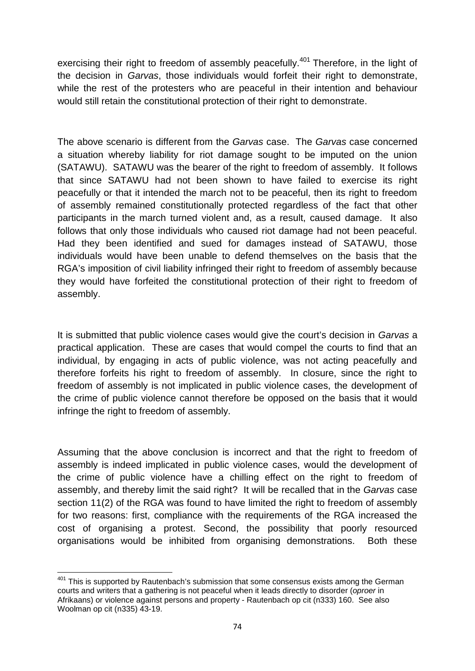exercising their right to freedom of assembly peacefully.<sup>401</sup> Therefore, in the light of the decision in *Garvas*, those individuals would forfeit their right to demonstrate, while the rest of the protesters who are peaceful in their intention and behaviour would still retain the constitutional protection of their right to demonstrate.

The above scenario is different from the *Garvas* case. The *Garvas* case concerned a situation whereby liability for riot damage sought to be imputed on the union (SATAWU). SATAWU was the bearer of the right to freedom of assembly. It follows that since SATAWU had not been shown to have failed to exercise its right peacefully or that it intended the march not to be peaceful, then its right to freedom of assembly remained constitutionally protected regardless of the fact that other participants in the march turned violent and, as a result, caused damage. It also follows that only those individuals who caused riot damage had not been peaceful. Had they been identified and sued for damages instead of SATAWU, those individuals would have been unable to defend themselves on the basis that the RGA's imposition of civil liability infringed their right to freedom of assembly because they would have forfeited the constitutional protection of their right to freedom of assembly.

It is submitted that public violence cases would give the court's decision in *Garvas* a practical application. These are cases that would compel the courts to find that an individual, by engaging in acts of public violence, was not acting peacefully and therefore forfeits his right to freedom of assembly. In closure, since the right to freedom of assembly is not implicated in public violence cases, the development of the crime of public violence cannot therefore be opposed on the basis that it would infringe the right to freedom of assembly.

Assuming that the above conclusion is incorrect and that the right to freedom of assembly is indeed implicated in public violence cases, would the development of the crime of public violence have a chilling effect on the right to freedom of assembly, and thereby limit the said right? It will be recalled that in the *Garvas* case section 11(2) of the RGA was found to have limited the right to freedom of assembly for two reasons: first, compliance with the requirements of the RGA increased the cost of organising a protest. Second, the possibility that poorly resourced organisations would be inhibited from organising demonstrations. Both these

 $401$  This is supported by Rautenbach's submission that some consensus exists among the German courts and writers that a gathering is not peaceful when it leads directly to disorder (*oproer* in Afrikaans) or violence against persons and property - Rautenbach op cit (n333) 160. See also Woolman op cit (n335) 43-19.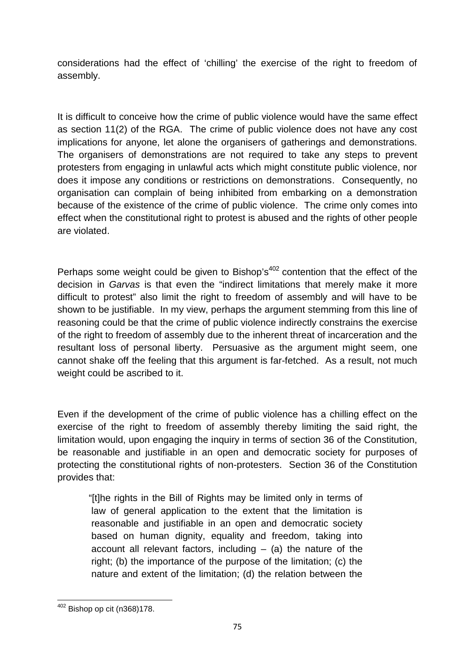considerations had the effect of 'chilling' the exercise of the right to freedom of assembly.

It is difficult to conceive how the crime of public violence would have the same effect as section 11(2) of the RGA. The crime of public violence does not have any cost implications for anyone, let alone the organisers of gatherings and demonstrations. The organisers of demonstrations are not required to take any steps to prevent protesters from engaging in unlawful acts which might constitute public violence, nor does it impose any conditions or restrictions on demonstrations. Consequently, no organisation can complain of being inhibited from embarking on a demonstration because of the existence of the crime of public violence. The crime only comes into effect when the constitutional right to protest is abused and the rights of other people are violated.

Perhaps some weight could be given to Bishop's $402$  contention that the effect of the decision in *Garvas* is that even the "indirect limitations that merely make it more difficult to protest" also limit the right to freedom of assembly and will have to be shown to be justifiable. In my view, perhaps the argument stemming from this line of reasoning could be that the crime of public violence indirectly constrains the exercise of the right to freedom of assembly due to the inherent threat of incarceration and the resultant loss of personal liberty. Persuasive as the argument might seem, one cannot shake off the feeling that this argument is far-fetched. As a result, not much weight could be ascribed to it.

Even if the development of the crime of public violence has a chilling effect on the exercise of the right to freedom of assembly thereby limiting the said right, the limitation would, upon engaging the inquiry in terms of section 36 of the Constitution, be reasonable and justifiable in an open and democratic society for purposes of protecting the constitutional rights of non-protesters. Section 36 of the Constitution provides that:

"[t]he rights in the Bill of Rights may be limited only in terms of law of general application to the extent that the limitation is reasonable and justifiable in an open and democratic society based on human dignity, equality and freedom, taking into account all relevant factors, including  $-$  (a) the nature of the right; (b) the importance of the purpose of the limitation; (c) the nature and extent of the limitation; (d) the relation between the

<sup>402</sup> Bishop op cit (n368)178.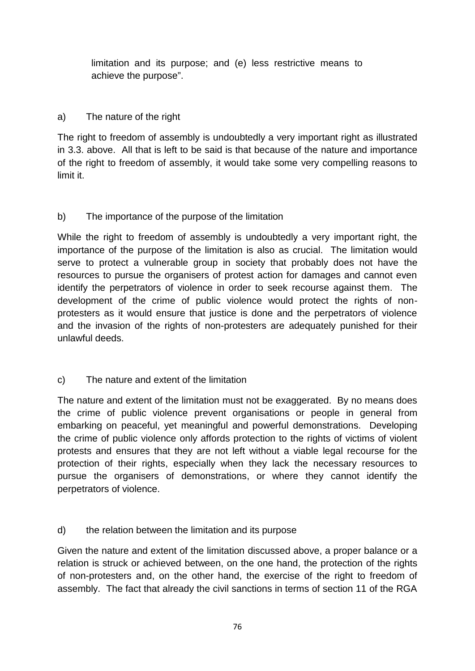limitation and its purpose; and (e) less restrictive means to achieve the purpose".

## a) The nature of the right

The right to freedom of assembly is undoubtedly a very important right as illustrated in 3.3. above. All that is left to be said is that because of the nature and importance of the right to freedom of assembly, it would take some very compelling reasons to limit it.

## b) The importance of the purpose of the limitation

While the right to freedom of assembly is undoubtedly a very important right, the importance of the purpose of the limitation is also as crucial. The limitation would serve to protect a vulnerable group in society that probably does not have the resources to pursue the organisers of protest action for damages and cannot even identify the perpetrators of violence in order to seek recourse against them. The development of the crime of public violence would protect the rights of non protesters as it would ensure that justice is done and the perpetrators of violence and the invasion of the rights of non-protesters are adequately punished for their unlawful deeds.

c) The nature and extent of the limitation

The nature and extent of the limitation must not be exaggerated. By no means does the crime of public violence prevent organisations or people in general from embarking on peaceful, yet meaningful and powerful demonstrations. Developing the crime of public violence only affords protection to the rights of victims of violent protests and ensures that they are not left without a viable legal recourse for the protection of their rights, especially when they lack the necessary resources to pursue the organisers of demonstrations, or where they cannot identify the perpetrators of violence.

## d) the relation between the limitation and its purpose

Given the nature and extent of the limitation discussed above, a proper balance or a relation is struck or achieved between, on the one hand, the protection of the rights of non-protesters and, on the other hand, the exercise of the right to freedom of assembly. The fact that already the civil sanctions in terms of section 11 of the RGA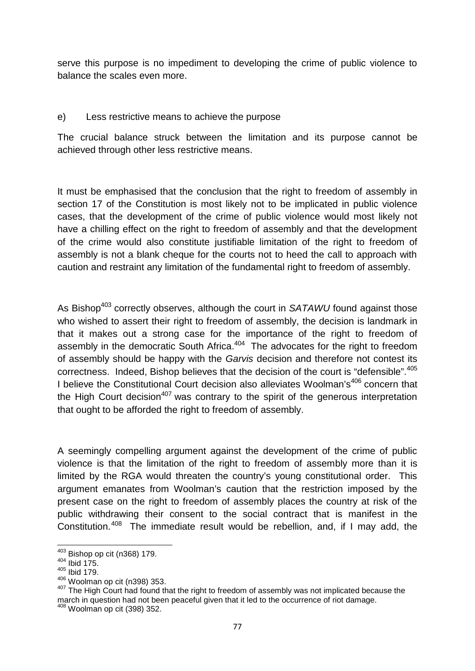serve this purpose is no impediment to developing the crime of public violence to balance the scales even more.

### e) Less restrictive means to achieve the purpose

The crucial balance struck between the limitation and its purpose cannot be achieved through other less restrictive means.

It must be emphasised that the conclusion that the right to freedom of assembly in section 17 of the Constitution is most likely not to be implicated in public violence cases, that the development of the crime of public violence would most likely not have a chilling effect on the right to freedom of assembly and that the development of the crime would also constitute justifiable limitation of the right to freedom of assembly is not a blank cheque for the courts not to heed the call to approach with caution and restraint any limitation of the fundamental right to freedom of assembly.

As Bishop<sup>403</sup> correctly observes, although the court in *SATAWU* found against those who wished to assert their right to freedom of assembly, the decision is landmark in that it makes out a strong case for the importance of the right to freedom of assembly in the democratic South Africa.<sup>404</sup> The advocates for the right to freedom of assembly should be happy with the *Garvis* decision and therefore not contest its correctness. Indeed, Bishop believes that the decision of the court is "defensible".<sup>405</sup> I believe the Constitutional Court decision also alleviates Woolman's<sup>406</sup> concern that the High Court decision<sup>407</sup> was contrary to the spirit of the generous interpretation that ought to be afforded the right to freedom of assembly.

A seemingly compelling argument against the development of the crime of public violence is that the limitation of the right to freedom of assembly more than it is limited by the RGA would threaten the country's young constitutional order. This argument emanates from Woolman's caution that the restriction imposed by the present case on the right to freedom of assembly places the country at risk of the public withdrawing their consent to the social contract that is manifest in the Constitution.<sup>408</sup> The immediate result would be rebellion, and, if I may add, the

 $^{403}$  Bishop op cit (n368) 179.<br> $^{404}$  Ibid 175.

 $405$  Ibid 179.<br> $406$  Woolman op cit (n398) 353.

<sup>407</sup> The High Court had found that the right to freedom of assembly was not implicated because the march in question had not been peaceful given that it led to the occurrence of riot damage.<br><sup>408</sup> Woolman op cit (398) 352.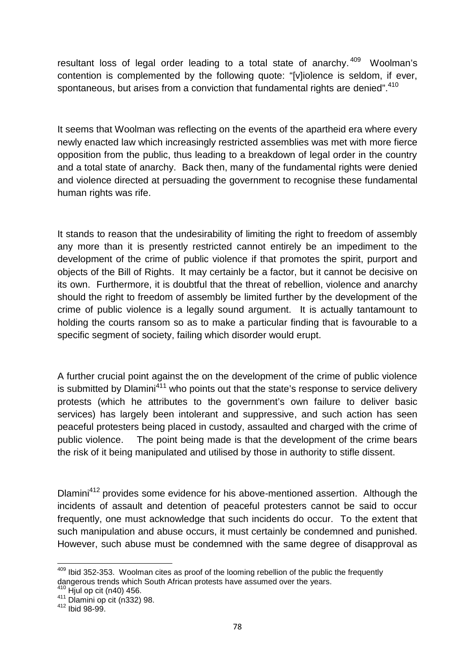resultant loss of legal order leading to a total state of anarchy.<sup>409</sup> Woolman's contention is complemented by the following quote: "[v]iolence is seldom, if ever, spontaneous, but arises from a conviction that fundamental rights are denied".<sup>410</sup>

It seems that Woolman was reflecting on the events of the apartheid era where every newly enacted law which increasingly restricted assemblies was met with more fierce opposition from the public, thus leading to a breakdown of legal order in the country and a total state of anarchy. Back then, many of the fundamental rights were denied and violence directed at persuading the government to recognise these fundamental human rights was rife.

It stands to reason that the undesirability of limiting the right to freedom of assembly any more than it is presently restricted cannot entirely be an impediment to the development of the crime of public violence if that promotes the spirit, purport and objects of the Bill of Rights. It may certainly be a factor, but it cannot be decisive on its own. Furthermore, it is doubtful that the threat of rebellion, violence and anarchy should the right to freedom of assembly be limited further by the development of the crime of public violence is a legally sound argument. It is actually tantamount to holding the courts ransom so as to make a particular finding that is favourable to a specific segment of society, failing which disorder would erupt.

A further crucial point against the on the development of the crime of public violence is submitted by Dlamini<sup>411</sup> who points out that the state's response to service delivery protests (which he attributes to the government's own failure to deliver basic services) has largely been intolerant and suppressive, and such action has seen peaceful protesters being placed in custody, assaulted and charged with the crime of public violence. The point being made is that the development of the crime bears the risk of it being manipulated and utilised by those in authority to stifle dissent.

Dlamini<sup>412</sup> provides some evidence for his above-mentioned assertion. Although the incidents of assault and detention of peaceful protesters cannot be said to occur frequently, one must acknowledge that such incidents do occur. To the extent that such manipulation and abuse occurs, it must certainly be condemned and punished. However, such abuse must be condemned with the same degree of disapproval as

 $409$  Ibid 352-353. Woolman cites as proof of the looming rebellion of the public the frequently dangerous trends which South African protests have assumed over the years.<br>
<sup>410</sup> Hjul op cit (n40) 456.<br>
<sup>411</sup> Dlamini op cit (n332) 98.<br>
<sup>412</sup> Ibid 98-99.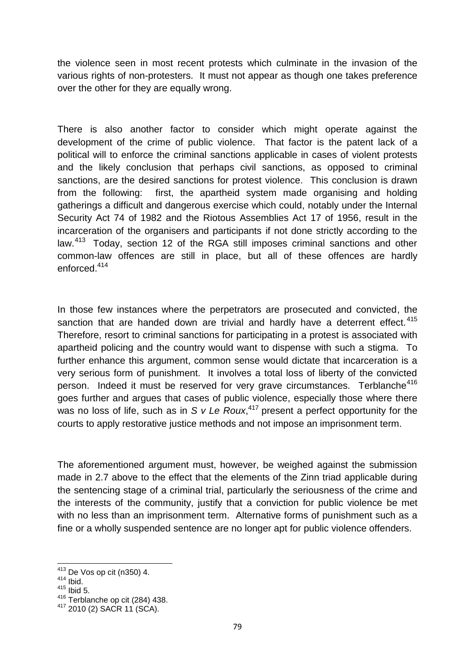the violence seen in most recent protests which culminate in the invasion of the various rights of non-protesters. It must not appear as though one takes preference over the other for they are equally wrong.

There is also another factor to consider which might operate against the development of the crime of public violence. That factor is the patent lack of a political will to enforce the criminal sanctions applicable in cases of violent protests and the likely conclusion that perhaps civil sanctions, as opposed to criminal sanctions, are the desired sanctions for protest violence. This conclusion is drawn from the following: first, the apartheid system made organising and holding gatherings a difficult and dangerous exercise which could, notably under the Internal Security Act 74 of 1982 and the Riotous Assemblies Act 17 of 1956, result in the incarceration of the organisers and participants if not done strictly according to the law.<sup>413</sup> Today, section 12 of the RGA still imposes criminal sanctions and other common-law offences are still in place, but all of these offences are hardly enforced.<sup>414</sup>

In those few instances where the perpetrators are prosecuted and convicted, the sanction that are handed down are trivial and hardly have a deterrent effect.  $415$ Therefore, resort to criminal sanctions for participating in a protest is associated with apartheid policing and the country would want to dispense with such a stigma. To further enhance this argument, common sense would dictate that incarceration is a very serious form of punishment. It involves a total loss of liberty of the convicted person. Indeed it must be reserved for very grave circumstances. Terblanche<sup>416</sup> goes further and argues that cases of public violence, especially those where there was no loss of life, such as in *S v Le Roux*,<sup>417</sup> present a perfect opportunity for the courts to apply restorative justice methods and not impose an imprisonment term.

The aforementioned argument must, however, be weighed against the submission made in 2.7 above to the effect that the elements of the Zinn triad applicable during the sentencing stage of a criminal trial, particularly the seriousness of the crime and the interests of the community, justify that a conviction for public violence be met with no less than an imprisonment term. Alternative forms of punishment such as a fine or a wholly suspended sentence are no longer apt for public violence offenders.

 $^{413}$  De Vos op cit (n350) 4.<br> $^{414}$  Ibid.

 $415$  Ibid 5.

<sup>416</sup> Terblanche op cit (284) 438.

<sup>417</sup> 2010 (2) SACR 11 (SCA).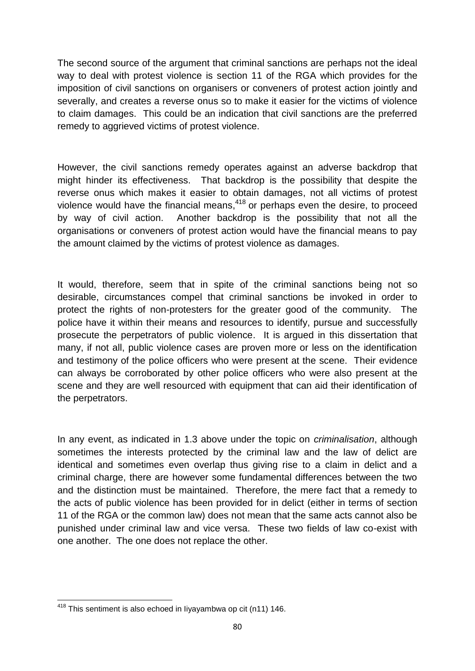The second source of the argument that criminal sanctions are perhaps not the ideal way to deal with protest violence is section 11 of the RGA which provides for the imposition of civil sanctions on organisers or conveners of protest action jointly and severally, and creates a reverse onus so to make it easier for the victims of violence to claim damages. This could be an indication that civil sanctions are the preferred remedy to aggrieved victims of protest violence.

However, the civil sanctions remedy operates against an adverse backdrop that might hinder its effectiveness. That backdrop is the possibility that despite the reverse onus which makes it easier to obtain damages, not all victims of protest violence would have the financial means. $418$  or perhaps even the desire, to proceed by way of civil action. Another backdrop is the possibility that not all the organisations or conveners of protest action would have the financial means to pay the amount claimed by the victims of protest violence as damages.

It would, therefore, seem that in spite of the criminal sanctions being not so desirable, circumstances compel that criminal sanctions be invoked in order to protect the rights of non-protesters for the greater good of the community. The police have it within their means and resources to identify, pursue and successfully prosecute the perpetrators of public violence. It is argued in this dissertation that many, if not all, public violence cases are proven more or less on the identification and testimony of the police officers who were present at the scene. Their evidence can always be corroborated by other police officers who were also present at the scene and they are well resourced with equipment that can aid their identification of the perpetrators.

In any event, as indicated in 1.3 above under the topic on *criminalisation*, although sometimes the interests protected by the criminal law and the law of delict are identical and sometimes even overlap thus giving rise to a claim in delict and a criminal charge, there are however some fundamental differences between the two and the distinction must be maintained. Therefore, the mere fact that a remedy to the acts of public violence has been provided for in delict (either in terms of section 11 of the RGA or the common law) does not mean that the same acts cannot also be punished under criminal law and vice versa. These two fields of law co-exist with one another. The one does not replace the other.

<sup>418</sup> This sentiment is also echoed in Iiyayambwa op cit (n11) 146.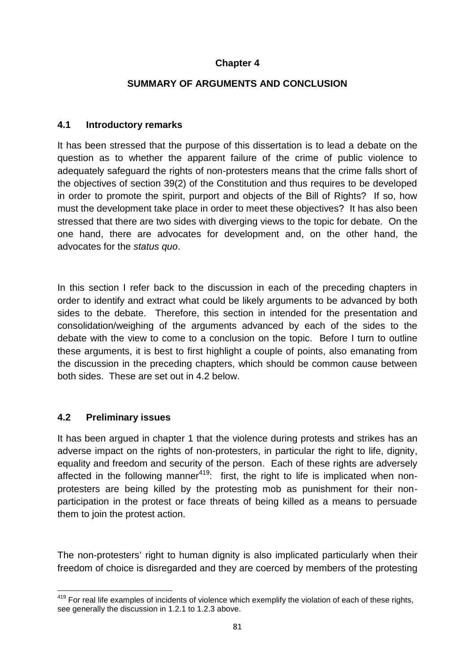### **Chapter 4**

#### **SUMMARY OF ARGUMENTS AND CONCLUSION**

#### **4.1 Introductory remarks**

It has been stressed that the purpose of this dissertation is to lead a debate on the question as to whether the apparent failure of the crime of public violence to adequately safeguard the rights of non-protesters means that the crime falls short of the objectives of section 39(2) of the Constitution and thus requires to be developed in order to promote the spirit, purport and objects of the Bill of Rights? If so, how must the development take place in order to meet these objectives? It has also been stressed that there are two sides with diverging views to the topic for debate. On the one hand, there are advocates for development and, on the other hand, the advocates for the *status quo*.

In this section I refer back to the discussion in each of the preceding chapters in order to identify and extract what could be likely arguments to be advanced by both sides to the debate. Therefore, this section in intended for the presentation and consolidation/weighing of the arguments advanced by each of the sides to the debate with the view to come to a conclusion on the topic. Before I turn to outline these arguments, it is best to first highlight a couple of points, also emanating from the discussion in the preceding chapters, which should be common cause between both sides. These are set out in 4.2 below.

#### **4.2 Preliminary issues**

It has been argued in chapter 1 that the violence during protests and strikes has an adverse impact on the rights of non-protesters, in particular the right to life, dignity, equality and freedom and security of the person. Each of these rights are adversely affected in the following manner<sup>419</sup>: first, the right to life is implicated when nonprotesters are being killed by the protesting mob as punishment for their non participation in the protest or face threats of being killed as a means to persuade them to join the protest action.

The non-protesters' right to human dignity is also implicated particularly when their freedom of choice is disregarded and they are coerced by members of the protesting

<sup>&</sup>lt;sup>419</sup> For real life examples of incidents of violence which exemplify the violation of each of these rights, see generally the discussion in 1.2.1 to 1.2.3 above.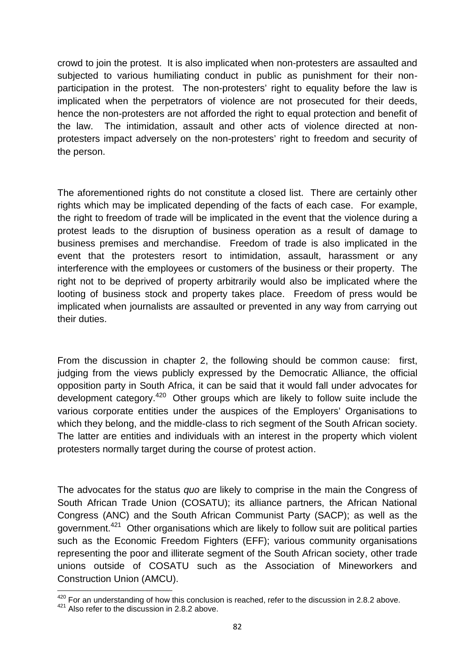crowd to join the protest. It is also implicated when non-protesters are assaulted and subjected to various humiliating conduct in public as punishment for their non participation in the protest. The non-protesters' right to equality before the law is implicated when the perpetrators of violence are not prosecuted for their deeds, hence the non-protesters are not afforded the right to equal protection and benefit of the law. The intimidation, assault and other acts of violence directed at non protesters impact adversely on the non-protesters' right to freedom and security of the person.

The aforementioned rights do not constitute a closed list. There are certainly other rights which may be implicated depending of the facts of each case. For example, the right to freedom of trade will be implicated in the event that the violence during a protest leads to the disruption of business operation as a result of damage to business premises and merchandise. Freedom of trade is also implicated in the event that the protesters resort to intimidation, assault, harassment or any interference with the employees or customers of the business or their property. The right not to be deprived of property arbitrarily would also be implicated where the looting of business stock and property takes place. Freedom of press would be implicated when journalists are assaulted or prevented in any way from carrying out their duties.

From the discussion in chapter 2, the following should be common cause: first, judging from the views publicly expressed by the Democratic Alliance, the official opposition party in South Africa, it can be said that it would fall under advocates for development category.<sup>420</sup> Other groups which are likely to follow suite include the various corporate entities under the auspices of the Employers' Organisations to which they belong, and the middle-class to rich segment of the South African society. The latter are entities and individuals with an interest in the property which violent protesters normally target during the course of protest action.

The advocates for the status *quo* are likely to comprise in the main the Congress of South African Trade Union (COSATU); its alliance partners, the African National Congress (ANC) and the South African Communist Party (SACP); as well as the government.<sup>421</sup> Other organisations which are likely to follow suit are political parties such as the Economic Freedom Fighters (EFF); various community organisations representing the poor and illiterate segment of the South African society, other trade unions outside of COSATU such as the Association of Mineworkers and Construction Union (AMCU).

 $^{420}$  For an understanding of how this conclusion is reached, refer to the discussion in 2.8.2 above.<br> $^{421}$  Also refer to the discussion in 2.8.2 above.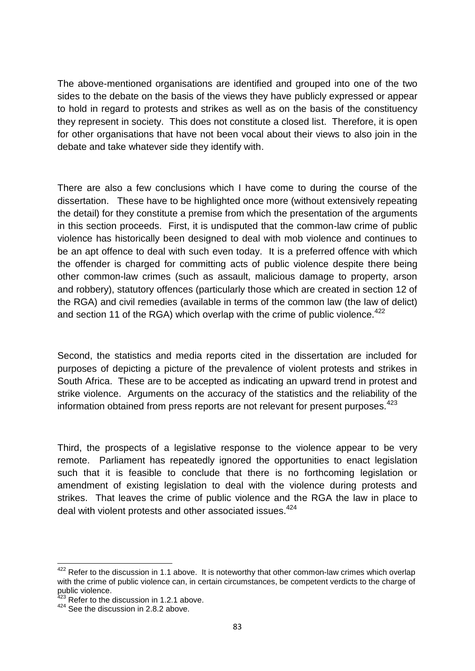The above-mentioned organisations are identified and grouped into one of the two sides to the debate on the basis of the views they have publicly expressed or appear to hold in regard to protests and strikes as well as on the basis of the constituency they represent in society. This does not constitute a closed list. Therefore, it is open for other organisations that have not been vocal about their views to also join in the debate and take whatever side they identify with.

There are also a few conclusions which I have come to during the course of the dissertation. These have to be highlighted once more (without extensively repeating the detail) for they constitute a premise from which the presentation of the arguments in this section proceeds. First, it is undisputed that the common-law crime of public violence has historically been designed to deal with mob violence and continues to be an apt offence to deal with such even today. It is a preferred offence with which the offender is charged for committing acts of public violence despite there being other common-law crimes (such as assault, malicious damage to property, arson and robbery), statutory offences (particularly those which are created in section 12 of the RGA) and civil remedies (available in terms of the common law (the law of delict) and section 11 of the RGA) which overlap with the crime of public violence.<sup>422</sup>

Second, the statistics and media reports cited in the dissertation are included for purposes of depicting a picture of the prevalence of violent protests and strikes in South Africa. These are to be accepted as indicating an upward trend in protest and strike violence. Arguments on the accuracy of the statistics and the reliability of the information obtained from press reports are not relevant for present purposes.<sup>423</sup>

Third, the prospects of a legislative response to the violence appear to be very remote. Parliament has repeatedly ignored the opportunities to enact legislation such that it is feasible to conclude that there is no forthcoming legislation or amendment of existing legislation to deal with the violence during protests and strikes. That leaves the crime of public violence and the RGA the law in place to deal with violent protests and other associated issues.<sup>424</sup>

<sup>&</sup>lt;sup>422</sup> Refer to the discussion in 1.1 above. It is noteworthy that other common-law crimes which overlap with the crime of public violence can, in certain circumstances, be competent verdicts to the charge of public violence.<br><sup>423</sup> Refer to the discussion in 1.2.1 above.

<sup>424</sup> See the discussion in 2.8.2 above.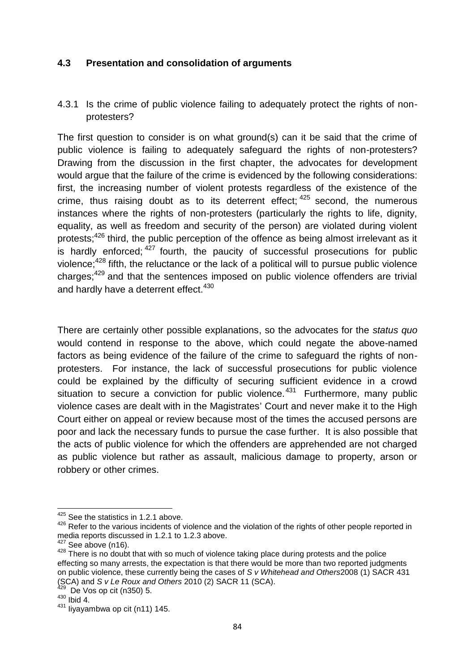### **4.3 Presentation and consolidation of arguments**

## 4.3.1 Is the crime of public violence failing to adequately protect the rights of non protesters?

The first question to consider is on what ground(s) can it be said that the crime of public violence is failing to adequately safeguard the rights of non-protesters? Drawing from the discussion in the first chapter, the advocates for development would argue that the failure of the crime is evidenced by the following considerations: first, the increasing number of violent protests regardless of the existence of the crime, thus raising doubt as to its deterrent effect;  $425$  second, the numerous instances where the rights of non-protesters (particularly the rights to life, dignity, equality, as well as freedom and security of the person) are violated during violent protests;<sup>426</sup> third, the public perception of the offence as being almost irrelevant as it is hardly enforced;  $427$  fourth, the paucity of successful prosecutions for public violence; $428$  fifth, the reluctance or the lack of a political will to pursue public violence charges;<sup>429</sup> and that the sentences imposed on public violence offenders are trivial and hardly have a deterrent effect.<sup>430</sup>

There are certainly other possible explanations, so the advocates for the *status quo* would contend in response to the above, which could negate the above-named factors as being evidence of the failure of the crime to safeguard the rights of non protesters. For instance, the lack of successful prosecutions for public violence could be explained by the difficulty of securing sufficient evidence in a crowd situation to secure a conviction for public violence.<sup>431</sup> Furthermore, many public violence cases are dealt with in the Magistrates' Court and never make it to the High Court either on appeal or review because most of the times the accused persons are poor and lack the necessary funds to pursue the case further. It is also possible that the acts of public violence for which the offenders are apprehended are not charged as public violence but rather as assault, malicious damage to property, arson or robbery or other crimes.

<sup>&</sup>lt;sup>425</sup> See the statistics in 1.2.1 above.

 $426$  Refer to the various incidents of violence and the violation of the rights of other people reported in media reports discussed in 1.2.1 to 1.2.3 above.

 $\frac{427}{428}$  See above (n16).<br> $\frac{428}{428}$  There is no doubt that with so much of violence taking place during protests and the police effecting so many arrests, the expectation is that there would be more than two reported judgments on public violence, these currently being the cases of *S v Whitehead and Others*2008 (1) SACR 431 (SCA) and *S v Le Roux and Others* 2010 (2) SACR 11 (SCA). <sup>429</sup> De Vos op cit (n350) 5.

 $430$  Ibid 4.

<sup>431</sup> Iiyayambwa op cit (n11) 145.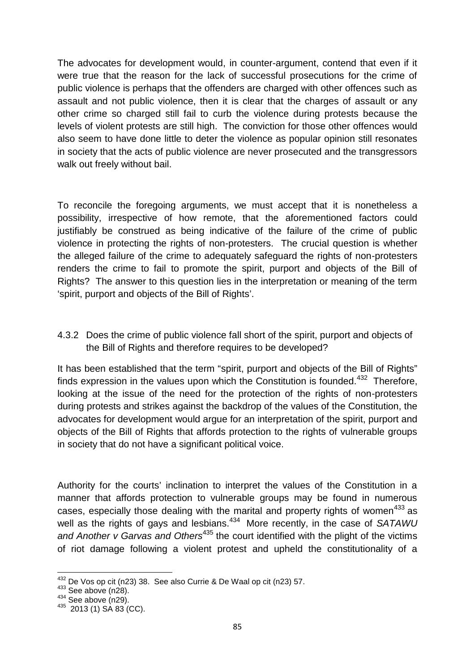The advocates for development would, in counter-argument, contend that even if it were true that the reason for the lack of successful prosecutions for the crime of public violence is perhaps that the offenders are charged with other offences such as assault and not public violence, then it is clear that the charges of assault or any other crime so charged still fail to curb the violence during protests because the levels of violent protests are still high. The conviction for those other offences would also seem to have done little to deter the violence as popular opinion still resonates in society that the acts of public violence are never prosecuted and the transgressors walk out freely without bail.

To reconcile the foregoing arguments, we must accept that it is nonetheless a possibility, irrespective of how remote, that the aforementioned factors could justifiably be construed as being indicative of the failure of the crime of public violence in protecting the rights of non-protesters. The crucial question is whether the alleged failure of the crime to adequately safeguard the rights of non-protesters renders the crime to fail to promote the spirit, purport and objects of the Bill of Rights? The answer to this question lies in the interpretation or meaning of the term 'spirit, purport and objects of the Bill of Rights'.

4.3.2 Does the crime of public violence fall short of the spirit, purport and objects of the Bill of Rights and therefore requires to be developed?

It has been established that the term "spirit, purport and objects of the Bill of Rights" finds expression in the values upon which the Constitution is founded.<sup>432</sup> Therefore, looking at the issue of the need for the protection of the rights of non-protesters during protests and strikes against the backdrop of the values of the Constitution, the advocates for development would argue for an interpretation of the spirit, purport and objects of the Bill of Rights that affords protection to the rights of vulnerable groups in society that do not have a significant political voice.

Authority for the courts' inclination to interpret the values of the Constitution in a manner that affords protection to vulnerable groups may be found in numerous cases, especially those dealing with the marital and property rights of women<sup>433</sup> as well as the rights of gays and lesbians.<sup>434</sup> More recently, in the case of SATAWU and Another v Garvas and Others<sup>435</sup> the court identified with the plight of the victims of riot damage following a violent protest and upheld the constitutionality of a

<sup>&</sup>lt;sup>432</sup> De Vos op cit (n23) 38. See also Currie & De Waal op cit (n23) 57.<br><sup>433</sup> See above (n28).<br><sup>434</sup> See above (n29).<br><sup>435</sup> 2013 (1) SA 83 (CC).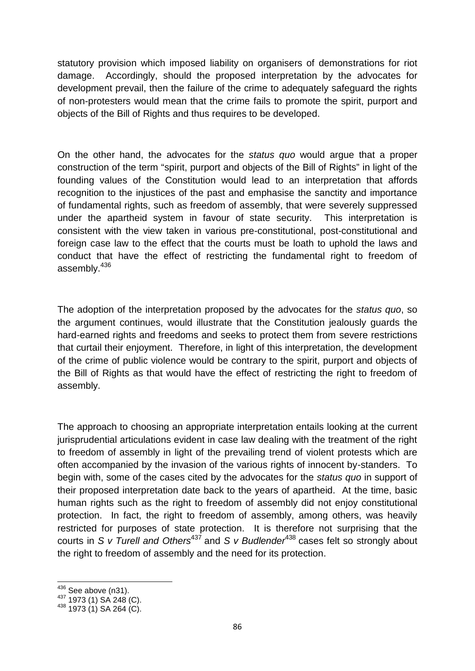statutory provision which imposed liability on organisers of demonstrations for riot damage. Accordingly, should the proposed interpretation by the advocates for development prevail, then the failure of the crime to adequately safeguard the rights of non-protesters would mean that the crime fails to promote the spirit, purport and objects of the Bill of Rights and thus requires to be developed.

On the other hand, the advocates for the *status quo* would argue that a proper construction of the term "spirit, purport and objects of the Bill of Rights" in light of the founding values of the Constitution would lead to an interpretation that affords recognition to the injustices of the past and emphasise the sanctity and importance of fundamental rights, such as freedom of assembly, that were severely suppressed under the apartheid system in favour of state security. This interpretation is consistent with the view taken in various pre-constitutional, post-constitutional and foreign case law to the effect that the courts must be loath to uphold the laws and conduct that have the effect of restricting the fundamental right to freedom of assembly.<sup>436</sup>

The adoption of the interpretation proposed by the advocates for the *status quo*, so the argument continues, would illustrate that the Constitution jealously guards the hard-earned rights and freedoms and seeks to protect them from severe restrictions that curtail their enjoyment. Therefore, in light of this interpretation, the development of the crime of public violence would be contrary to the spirit, purport and objects of the Bill of Rights as that would have the effect of restricting the right to freedom of assembly.

The approach to choosing an appropriate interpretation entails looking at the current jurisprudential articulations evident in case law dealing with the treatment of the right to freedom of assembly in light of the prevailing trend of violent protests which are often accompanied by the invasion of the various rights of innocent by-standers. To begin with, some of the cases cited by the advocates for the *status quo* in support of their proposed interpretation date back to the years of apartheid. At the time, basic human rights such as the right to freedom of assembly did not enjoy constitutional protection. In fact, the right to freedom of assembly, among others, was heavily restricted for purposes of state protection. It is therefore not surprising that the courts in *S v Turell and Others*<sup>437</sup> and *S v Budlender*<sup>438</sup> cases felt so strongly about the right to freedom of assembly and the need for its protection.

<sup>436</sup> See above (n31).<br><sup>437</sup> 1973 (1) SA 248 (C).<br><sup>438</sup> 1973 (1) SA 264 (C).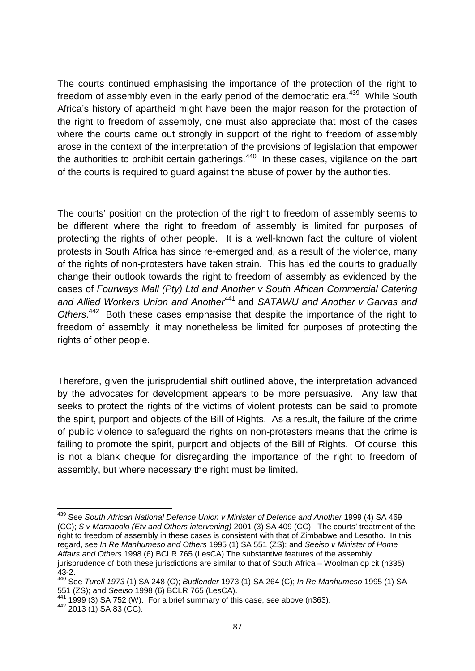The courts continued emphasising the importance of the protection of the right to freedom of assembly even in the early period of the democratic era.<sup>439</sup> While South Africa's history of apartheid might have been the major reason for the protection of the right to freedom of assembly, one must also appreciate that most of the cases where the courts came out strongly in support of the right to freedom of assembly arose in the context of the interpretation of the provisions of legislation that empower the authorities to prohibit certain gatherings.<sup>440</sup> In these cases, vigilance on the part of the courts is required to guard against the abuse of power by the authorities.

The courts' position on the protection of the right to freedom of assembly seems to be different where the right to freedom of assembly is limited for purposes of protecting the rights of other people. It is a well-known fact the culture of violent protests in South Africa has since re-emerged and, as a result of the violence, many of the rights of non-protesters have taken strain. This has led the courts to gradually change their outlook towards the right to freedom of assembly as evidenced by the cases of *Fourways Mall (Pty) Ltd and Another v South African Commercial Catering and Allied Workers Union and Another*<sup>441</sup> and *SATAWU and Another v Garvas and Others*.<sup>442</sup> Both these cases emphasise that despite the importance of the right to freedom of assembly, it may nonetheless be limited for purposes of protecting the rights of other people.

Therefore, given the jurisprudential shift outlined above, the interpretation advanced by the advocates for development appears to be more persuasive. Any law that seeks to protect the rights of the victims of violent protests can be said to promote the spirit, purport and objects of the Bill of Rights. As a result, the failure of the crime of public violence to safeguard the rights on non-protesters means that the crime is failing to promote the spirit, purport and objects of the Bill of Rights. Of course, this is not a blank cheque for disregarding the importance of the right to freedom of assembly, but where necessary the right must be limited.

<sup>439</sup> See *South African National Defence Union v Minister of Defence and Another* 1999 (4) SA 469 (CC); *S v Mamabolo (Etv and Others intervening)* 2001 (3) SA 409 (CC). The courts' treatment of the right to freedom of assembly in these cases is consistent with that of Zimbabwe and Lesotho. In this regard, see *In Re Manhumeso and Others* 1995 (1) SA 551 (ZS); and *Seeiso v Minister of Home Affairs and Others* 1998 (6) BCLR 765 (LesCA).The substantive features of the assembly jurisprudence of both these jurisdictions are similar to that of South Africa – Woolman op cit (n335) 43-2.

<sup>440</sup> See *Turell 1973* (1) SA 248 (C); *Budlender* 1973 (1) SA 264 (C); *In Re Manhumeso* 1995 (1) SA

<sup>551 (</sup>ZS); and *Seeiso* 1998 (6) BCLR 765 (LesCA).<br><sup>441</sup> 1999 (3) SA 752 (W). For a brief summary of this case, see above (n363).<br><sup>442</sup> 2013 (1) SA 83 (CC).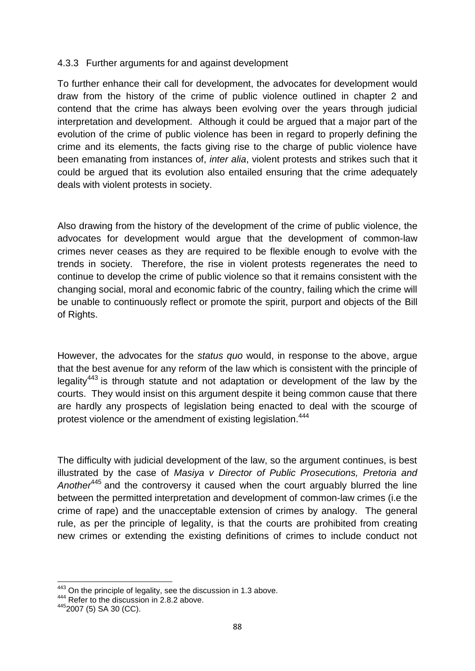### 4.3.3 Further arguments for and against development

To further enhance their call for development, the advocates for development would draw from the history of the crime of public violence outlined in chapter 2 and contend that the crime has always been evolving over the years through judicial interpretation and development. Although it could be argued that a major part of the evolution of the crime of public violence has been in regard to properly defining the crime and its elements, the facts giving rise to the charge of public violence have been emanating from instances of, *inter alia*, violent protests and strikes such that it could be argued that its evolution also entailed ensuring that the crime adequately deals with violent protests in society.

Also drawing from the history of the development of the crime of public violence, the advocates for development would argue that the development of common-law crimes never ceases as they are required to be flexible enough to evolve with the trends in society. Therefore, the rise in violent protests regenerates the need to continue to develop the crime of public violence so that it remains consistent with the changing social, moral and economic fabric of the country, failing which the crime will be unable to continuously reflect or promote the spirit, purport and objects of the Bill of Rights.

However, the advocates for the *status quo* would, in response to the above, argue that the best avenue for any reform of the law which is consistent with the principle of legality<sup>443</sup> is through statute and not adaptation or development of the law by the courts. They would insist on this argument despite it being common cause that there are hardly any prospects of legislation being enacted to deal with the scourge of protest violence or the amendment of existing legislation.<sup>444</sup>

The difficulty with judicial development of the law, so the argument continues, is best illustrated by the case of *Masiya v Director of Public Prosecutions, Pretoria and Another*<sup>445</sup> and the controversy it caused when the court arguably blurred the line between the permitted interpretation and development of common-law crimes (i.e the crime of rape) and the unacceptable extension of crimes by analogy. The general rule, as per the principle of legality, is that the courts are prohibited from creating new crimes or extending the existing definitions of crimes to include conduct not

 $443$  On the principle of legality, see the discussion in 1.3 above.<br> $444$  Refer to the discussion in 2.8.2 above.

<sup>445 2007 (5)</sup> SA 30 (CC).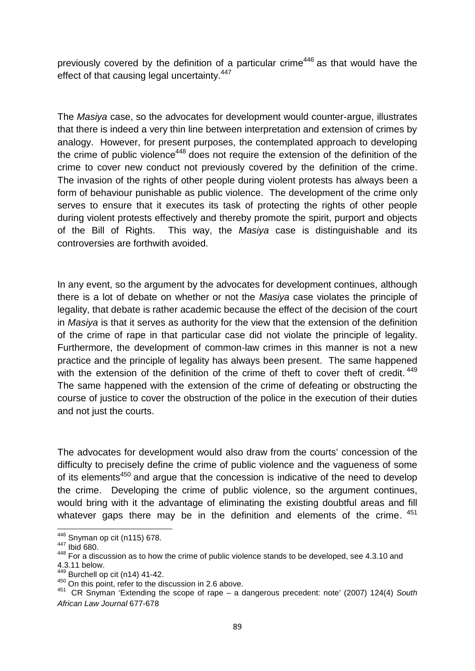previously covered by the definition of a particular crime<sup>446</sup> as that would have the effect of that causing legal uncertainty.<sup>447</sup>

The *Masiya* case, so the advocates for development would counter-argue, illustrates that there is indeed a very thin line between interpretation and extension of crimes by analogy. However, for present purposes, the contemplated approach to developing the crime of public violence<sup>448</sup> does not require the extension of the definition of the crime to cover new conduct not previously covered by the definition of the crime. The invasion of the rights of other people during violent protests has always been a form of behaviour punishable as public violence. The development of the crime only serves to ensure that it executes its task of protecting the rights of other people during violent protests effectively and thereby promote the spirit, purport and objects of the Bill of Rights. This way, the *Masiya* case is distinguishable and its controversies are forthwith avoided.

In any event, so the argument by the advocates for development continues, although there is a lot of debate on whether or not the *Masiya* case violates the principle of legality, that debate is rather academic because the effect of the decision of the court in *Masiya* is that it serves as authority for the view that the extension of the definition of the crime of rape in that particular case did not violate the principle of legality. Furthermore, the development of common-law crimes in this manner is not a new practice and the principle of legality has always been present. The same happened with the extension of the definition of the crime of theft to cover theft of credit.<sup>449</sup> The same happened with the extension of the crime of defeating or obstructing the course of justice to cover the obstruction of the police in the execution of their duties and not just the courts.

The advocates for development would also draw from the courts' concession of the difficulty to precisely define the crime of public violence and the vagueness of some of its elements<sup>450</sup> and argue that the concession is indicative of the need to develop the crime. Developing the crime of public violence, so the argument continues, would bring with it the advantage of eliminating the existing doubtful areas and fill whatever gaps there may be in the definition and elements of the crime.  $451$ 

<sup>&</sup>lt;sup>446</sup> Snyman op cit (n115) 678.<br><sup>447</sup> Ibid 680.

<sup>448</sup> For a discussion as to how the crime of public violence stands to be developed, see 4.3.10 and  $4.3.11$  below.

Burchell op cit (n14) 41-42.

<sup>450</sup> On this point, refer to the discussion in 2.6 above.

<sup>451</sup> CR Snyman 'Extending the scope of rape – a dangerous precedent: note' (2007) 124(4) *South African Law Journal* 677-678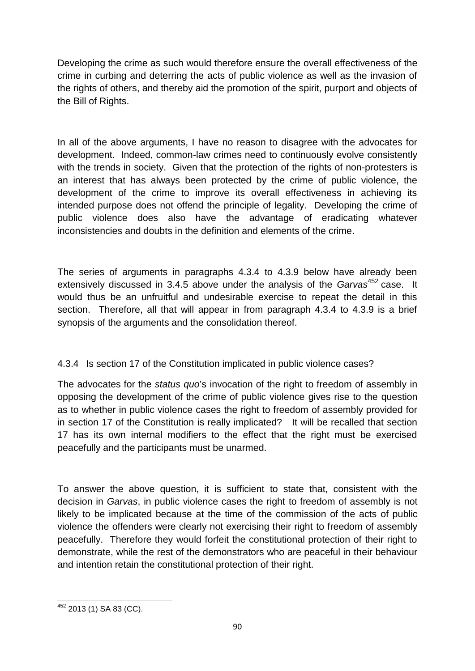Developing the crime as such would therefore ensure the overall effectiveness of the crime in curbing and deterring the acts of public violence as well as the invasion of the rights of others, and thereby aid the promotion of the spirit, purport and objects of the Bill of Rights.

In all of the above arguments, I have no reason to disagree with the advocates for development. Indeed, common-law crimes need to continuously evolve consistently with the trends in society. Given that the protection of the rights of non-protesters is an interest that has always been protected by the crime of public violence, the development of the crime to improve its overall effectiveness in achieving its intended purpose does not offend the principle of legality. Developing the crime of public violence does also have the advantage of eradicating whatever inconsistencies and doubts in the definition and elements of the crime.

The series of arguments in paragraphs 4.3.4 to 4.3.9 below have already been extensively discussed in 3.4.5 above under the analysis of the *Garvas*<sup>452</sup> case. It would thus be an unfruitful and undesirable exercise to repeat the detail in this section. Therefore, all that will appear in from paragraph 4.3.4 to 4.3.9 is a brief synopsis of the arguments and the consolidation thereof.

# 4.3.4 Is section 17 of the Constitution implicated in public violence cases?

The advocates for the *status quo*'s invocation of the right to freedom of assembly in opposing the development of the crime of public violence gives rise to the question as to whether in public violence cases the right to freedom of assembly provided for in section 17 of the Constitution is really implicated? It will be recalled that section 17 has its own internal modifiers to the effect that the right must be exercised peacefully and the participants must be unarmed.

To answer the above question, it is sufficient to state that, consistent with the decision in *Garvas*, in public violence cases the right to freedom of assembly is not likely to be implicated because at the time of the commission of the acts of public violence the offenders were clearly not exercising their right to freedom of assembly peacefully. Therefore they would forfeit the constitutional protection of their right to demonstrate, while the rest of the demonstrators who are peaceful in their behaviour and intention retain the constitutional protection of their right.

<sup>452</sup> 2013 (1) SA 83 (CC).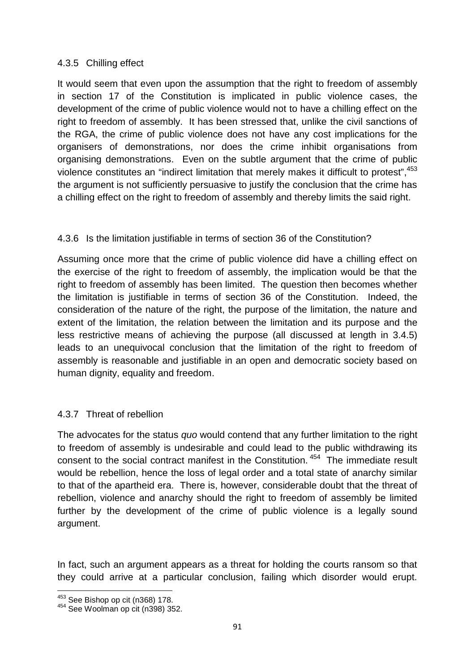### 4.3.5 Chilling effect

It would seem that even upon the assumption that the right to freedom of assembly in section 17 of the Constitution is implicated in public violence cases, the development of the crime of public violence would not to have a chilling effect on the right to freedom of assembly. It has been stressed that, unlike the civil sanctions of the RGA, the crime of public violence does not have any cost implications for the organisers of demonstrations, nor does the crime inhibit organisations from organising demonstrations. Even on the subtle argument that the crime of public violence constitutes an "indirect limitation that merely makes it difficult to protest",  $453$ the argument is not sufficiently persuasive to justify the conclusion that the crime has a chilling effect on the right to freedom of assembly and thereby limits the said right.

## 4.3.6 Is the limitation justifiable in terms of section 36 of the Constitution?

Assuming once more that the crime of public violence did have a chilling effect on the exercise of the right to freedom of assembly, the implication would be that the right to freedom of assembly has been limited. The question then becomes whether the limitation is justifiable in terms of section 36 of the Constitution. Indeed, the consideration of the nature of the right, the purpose of the limitation, the nature and extent of the limitation, the relation between the limitation and its purpose and the less restrictive means of achieving the purpose (all discussed at length in 3.4.5) leads to an unequivocal conclusion that the limitation of the right to freedom of assembly is reasonable and justifiable in an open and democratic society based on human dignity, equality and freedom.

## 4.3.7 Threat of rebellion

The advocates for the status *quo* would contend that any further limitation to the right to freedom of assembly is undesirable and could lead to the public withdrawing its consent to the social contract manifest in the Constitution. <sup>454</sup> The immediate result would be rebellion, hence the loss of legal order and a total state of anarchy similar to that of the apartheid era. There is, however, considerable doubt that the threat of rebellion, violence and anarchy should the right to freedom of assembly be limited further by the development of the crime of public violence is a legally sound argument.

In fact, such an argument appears as a threat for holding the courts ransom so that they could arrive at a particular conclusion, failing which disorder would erupt.

 $453$  See Bishop op cit (n368) 178.<br> $454$  See Woolman op cit (n398) 352.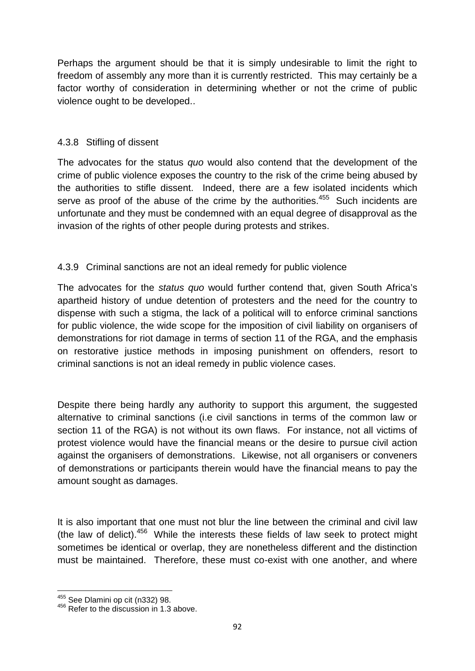Perhaps the argument should be that it is simply undesirable to limit the right to freedom of assembly any more than it is currently restricted. This may certainly be a factor worthy of consideration in determining whether or not the crime of public violence ought to be developed..

## 4.3.8 Stifling of dissent

The advocates for the status *quo* would also contend that the development of the crime of public violence exposes the country to the risk of the crime being abused by the authorities to stifle dissent. Indeed, there are a few isolated incidents which serve as proof of the abuse of the crime by the authorities.<sup>455</sup> Such incidents are unfortunate and they must be condemned with an equal degree of disapproval as the invasion of the rights of other people during protests and strikes.

## 4.3.9 Criminal sanctions are not an ideal remedy for public violence

The advocates for the *status quo* would further contend that, given South Africa's apartheid history of undue detention of protesters and the need for the country to dispense with such a stigma, the lack of a political will to enforce criminal sanctions for public violence, the wide scope for the imposition of civil liability on organisers of demonstrations for riot damage in terms of section 11 of the RGA, and the emphasis on restorative justice methods in imposing punishment on offenders, resort to criminal sanctions is not an ideal remedy in public violence cases.

Despite there being hardly any authority to support this argument, the suggested alternative to criminal sanctions (i.e civil sanctions in terms of the common law or section 11 of the RGA) is not without its own flaws. For instance, not all victims of protest violence would have the financial means or the desire to pursue civil action against the organisers of demonstrations. Likewise, not all organisers or conveners of demonstrations or participants therein would have the financial means to pay the amount sought as damages.

It is also important that one must not blur the line between the criminal and civil law (the law of delict). $456$  While the interests these fields of law seek to protect might sometimes be identical or overlap, they are nonetheless different and the distinction must be maintained. Therefore, these must co-exist with one another, and where

<sup>455</sup> See Dlamini op cit (n332) 98.<br><sup>456</sup> Refer to the discussion in 1.3 above.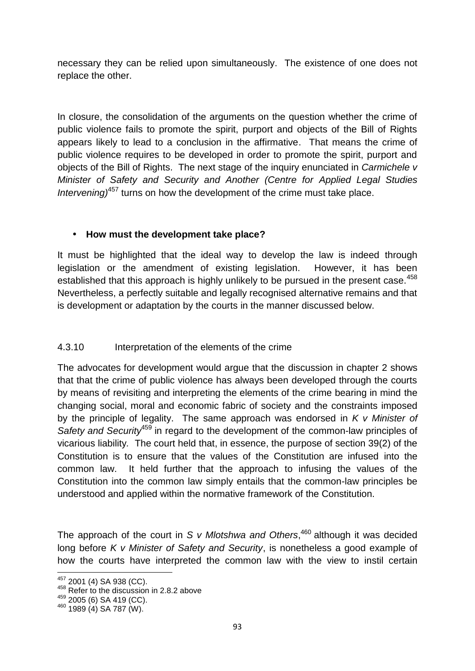necessary they can be relied upon simultaneously. The existence of one does not replace the other.

In closure, the consolidation of the arguments on the question whether the crime of public violence fails to promote the spirit, purport and objects of the Bill of Rights appears likely to lead to a conclusion in the affirmative. That means the crime of public violence requires to be developed in order to promote the spirit, purport and objects of the Bill of Rights. The next stage of the inquiry enunciated in *Carmichele v Minister of Safety and Security and Another (Centre for Applied Legal Studies Intervening)*<sup>457</sup> turns on how the development of the crime must take place.

## **How must the development take place?**

It must be highlighted that the ideal way to develop the law is indeed through legislation or the amendment of existing legislation. However, it has been established that this approach is highly unlikely to be pursued in the present case.<sup>458</sup> Nevertheless, a perfectly suitable and legally recognised alternative remains and that is development or adaptation by the courts in the manner discussed below.

# 4.3.10 Interpretation of the elements of the crime

The advocates for development would argue that the discussion in chapter 2 shows that that the crime of public violence has always been developed through the courts by means of revisiting and interpreting the elements of the crime bearing in mind the changing social, moral and economic fabric of society and the constraints imposed by the principle of legality. The same approach was endorsed in *K v Minister of* Safety and Security<sup>459</sup> in regard to the development of the common-law principles of vicarious liability*.* The court held that, in essence, the purpose of section 39(2) of the Constitution is to ensure that the values of the Constitution are infused into the common law. It held further that the approach to infusing the values of the Constitution into the common law simply entails that the common-law principles be understood and applied within the normative framework of the Constitution.

The approach of the court in *S v Mlotshwa and Others*<sup>460</sup> although it was decided long before *K v Minister of Safety and Security*, is nonetheless a good example of how the courts have interpreted the common law with the view to instil certain

 $^{457}_{458}$  Refer to the discussion in 2.8.2 above  $^{458}_{459}$  2005 (6) SA 419 (CC).

 $460$  1989 (4) SA 787 (W).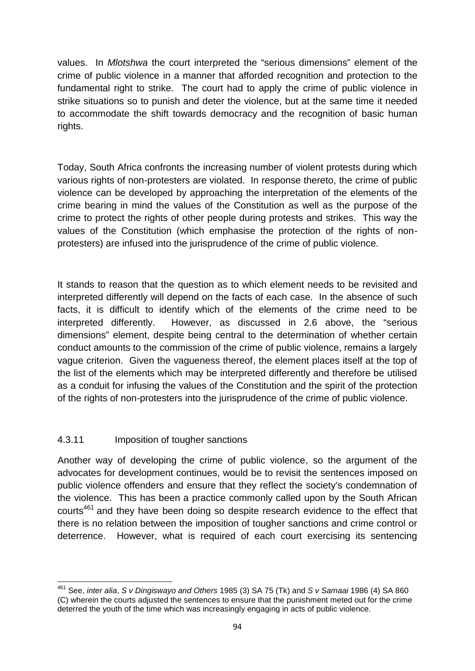values. In *Mlotshwa* the court interpreted the "serious dimensions" element of the crime of public violence in a manner that afforded recognition and protection to the fundamental right to strike. The court had to apply the crime of public violence in strike situations so to punish and deter the violence, but at the same time it needed to accommodate the shift towards democracy and the recognition of basic human rights.

Today, South Africa confronts the increasing number of violent protests during which various rights of non-protesters are violated. In response thereto, the crime of public violence can be developed by approaching the interpretation of the elements of the crime bearing in mind the values of the Constitution as well as the purpose of the crime to protect the rights of other people during protests and strikes. This way the values of the Constitution (which emphasise the protection of the rights of non protesters) are infused into the jurisprudence of the crime of public violence.

It stands to reason that the question as to which element needs to be revisited and interpreted differently will depend on the facts of each case. In the absence of such facts, it is difficult to identify which of the elements of the crime need to be interpreted differently. However, as discussed in 2.6 above, the "serious dimensions" element, despite being central to the determination of whether certain conduct amounts to the commission of the crime of public violence, remains a largely vague criterion. Given the vagueness thereof, the element places itself at the top of the list of the elements which may be interpreted differently and therefore be utilised as a conduit for infusing the values of the Constitution and the spirit of the protection of the rights of non-protesters into the jurisprudence of the crime of public violence.

## 4.3.11 Imposition of tougher sanctions

Another way of developing the crime of public violence, so the argument of the advocates for development continues, would be to revisit the sentences imposed on public violence offenders and ensure that they reflect the society's condemnation of the violence. This has been a practice commonly called upon by the South African courts<sup>461</sup> and they have been doing so despite research evidence to the effect that there is no relation between the imposition of tougher sanctions and crime control or deterrence. However, what is required of each court exercising its sentencing

<sup>461</sup> See, *inter alia*, *S v Dingiswayo and Others* 1985 (3) SA 75 (Tk) and *S v Samaai* 1986 (4) SA 860 (C) wherein the courts adjusted the sentences to ensure that the punishment meted out for the crime deterred the youth of the time which was increasingly engaging in acts of public violence.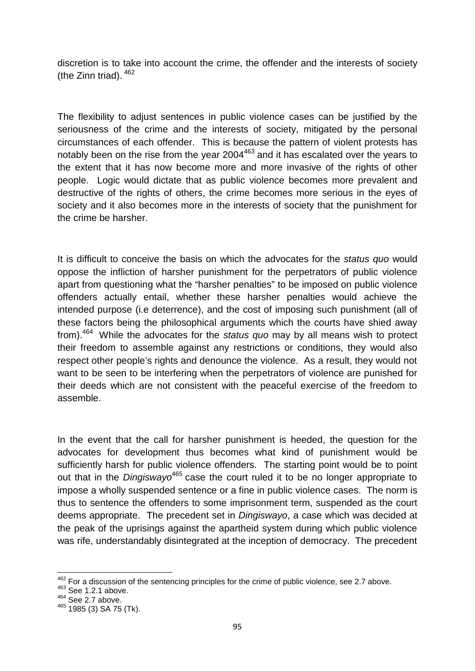discretion is to take into account the crime, the offender and the interests of society (the Zinn triad). <sup>462</sup>

The flexibility to adjust sentences in public violence cases can be justified by the seriousness of the crime and the interests of society, mitigated by the personal circumstances of each offender. This is because the pattern of violent protests has notably been on the rise from the year 2004<sup>463</sup> and it has escalated over the years to the extent that it has now become more and more invasive of the rights of other people. Logic would dictate that as public violence becomes more prevalent and destructive of the rights of others, the crime becomes more serious in the eyes of society and it also becomes more in the interests of society that the punishment for the crime be harsher.

It is difficult to conceive the basis on which the advocates for the *status quo* would oppose the infliction of harsher punishment for the perpetrators of public violence apart from questioning what the "harsher penalties" to be imposed on public violence offenders actually entail, whether these harsher penalties would achieve the intended purpose (i.e deterrence), and the cost of imposing such punishment (all of these factors being the philosophical arguments which the courts have shied away from).<sup>464</sup> While the advocates for the *status quo* may by all means wish to protect their freedom to assemble against any restrictions or conditions, they would also respect other people's rights and denounce the violence. As a result, they would not want to be seen to be interfering when the perpetrators of violence are punished for their deeds which are not consistent with the peaceful exercise of the freedom to assemble.

In the event that the call for harsher punishment is heeded, the question for the advocates for development thus becomes what kind of punishment would be sufficiently harsh for public violence offenders. The starting point would be to point out that in the *Dingiswayo*<sup>465</sup> case the court ruled it to be no longer appropriate to impose a wholly suspended sentence or a fine in public violence cases. The norm is thus to sentence the offenders to some imprisonment term, suspended as the court deems appropriate. The precedent set in *Dingiswayo*, a case which was decided at the peak of the uprisings against the apartheid system during which public violence was rife, understandably disintegrated at the inception of democracy. The precedent

 $^{462}$  For a discussion of the sentencing principles for the crime of public violence, see 2.7 above.  $^{463}$  See 1.2.1 above.

 $^{464}_{\phantom{42\phantom{1}}\phantom{1}}$  See 2.7 above.

<sup>&</sup>lt;sup>465</sup> 1985 (3) SA 75 (Tk).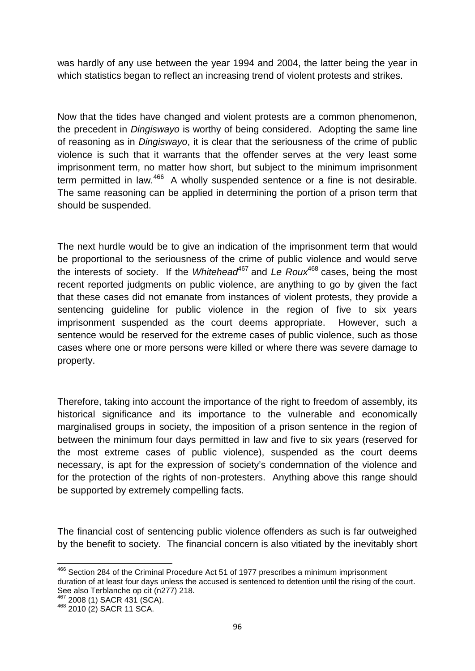was hardly of any use between the year 1994 and 2004, the latter being the year in which statistics began to reflect an increasing trend of violent protests and strikes.

Now that the tides have changed and violent protests are a common phenomenon, the precedent in *Dingiswayo* is worthy of being considered. Adopting the same line of reasoning as in *Dingiswayo*, it is clear that the seriousness of the crime of public violence is such that it warrants that the offender serves at the very least some imprisonment term, no matter how short, but subject to the minimum imprisonment term permitted in law.<sup>466</sup> A wholly suspended sentence or a fine is not desirable. The same reasoning can be applied in determining the portion of a prison term that should be suspended.

The next hurdle would be to give an indication of the imprisonment term that would be proportional to the seriousness of the crime of public violence and would serve the interests of society. If the *Whitehead*<sup>467</sup> and *Le Roux*<sup>468</sup> cases, being the most recent reported judgments on public violence, are anything to go by given the fact that these cases did not emanate from instances of violent protests, they provide a sentencing guideline for public violence in the region of five to six years imprisonment suspended as the court deems appropriate. However, such a sentence would be reserved for the extreme cases of public violence, such as those cases where one or more persons were killed or where there was severe damage to property.

Therefore, taking into account the importance of the right to freedom of assembly, its historical significance and its importance to the vulnerable and economically marginalised groups in society, the imposition of a prison sentence in the region of between the minimum four days permitted in law and five to six years (reserved for the most extreme cases of public violence), suspended as the court deems necessary, is apt for the expression of society's condemnation of the violence and for the protection of the rights of non-protesters. Anything above this range should be supported by extremely compelling facts.

The financial cost of sentencing public violence offenders as such is far outweighed by the benefit to society. The financial concern is also vitiated by the inevitably short

<sup>&</sup>lt;sup>466</sup> Section 284 of the Criminal Procedure Act 51 of 1977 prescribes a minimum imprisonment duration of at least four days unless the accused is sentenced to detention until the rising of the court. See also Terblanche op cit (n277) 218.<br><sup>467</sup> 2008 (1) SACR 431 (SCA).

<sup>468 2010 (1)</sup> SACR 11 SCA.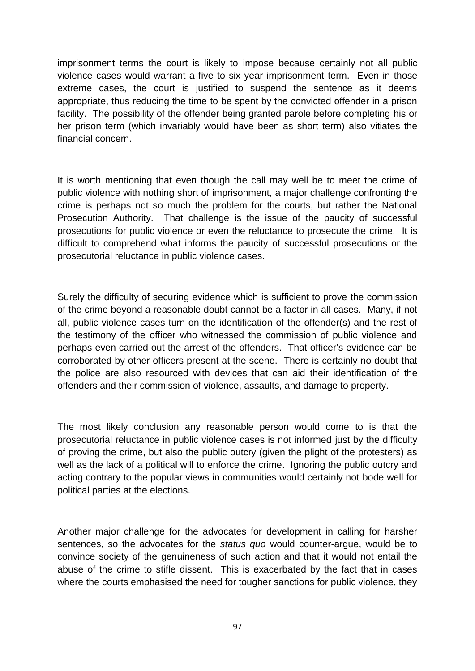imprisonment terms the court is likely to impose because certainly not all public violence cases would warrant a five to six year imprisonment term. Even in those extreme cases, the court is justified to suspend the sentence as it deems appropriate, thus reducing the time to be spent by the convicted offender in a prison facility. The possibility of the offender being granted parole before completing his or her prison term (which invariably would have been as short term) also vitiates the financial concern.

It is worth mentioning that even though the call may well be to meet the crime of public violence with nothing short of imprisonment, a major challenge confronting the crime is perhaps not so much the problem for the courts, but rather the National Prosecution Authority. That challenge is the issue of the paucity of successful prosecutions for public violence or even the reluctance to prosecute the crime. It is difficult to comprehend what informs the paucity of successful prosecutions or the prosecutorial reluctance in public violence cases.

Surely the difficulty of securing evidence which is sufficient to prove the commission of the crime beyond a reasonable doubt cannot be a factor in all cases. Many, if not all, public violence cases turn on the identification of the offender(s) and the rest of the testimony of the officer who witnessed the commission of public violence and perhaps even carried out the arrest of the offenders. That officer's evidence can be corroborated by other officers present at the scene. There is certainly no doubt that the police are also resourced with devices that can aid their identification of the offenders and their commission of violence, assaults, and damage to property.

The most likely conclusion any reasonable person would come to is that the prosecutorial reluctance in public violence cases is not informed just by the difficulty of proving the crime, but also the public outcry (given the plight of the protesters) as well as the lack of a political will to enforce the crime. Ignoring the public outcry and acting contrary to the popular views in communities would certainly not bode well for political parties at the elections.

Another major challenge for the advocates for development in calling for harsher sentences, so the advocates for the *status quo* would counter-argue, would be to convince society of the genuineness of such action and that it would not entail the abuse of the crime to stifle dissent. This is exacerbated by the fact that in cases where the courts emphasised the need for tougher sanctions for public violence, they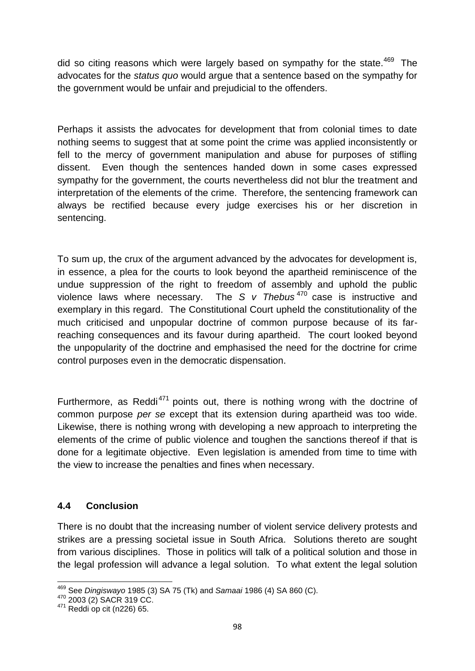did so citing reasons which were largely based on sympathy for the state.<sup>469</sup> The advocates for the *status quo* would argue that a sentence based on the sympathy for the government would be unfair and prejudicial to the offenders.

Perhaps it assists the advocates for development that from colonial times to date nothing seems to suggest that at some point the crime was applied inconsistently or fell to the mercy of government manipulation and abuse for purposes of stifling dissent. Even though the sentences handed down in some cases expressed sympathy for the government, the courts nevertheless did not blur the treatment and interpretation of the elements of the crime. Therefore, the sentencing framework can always be rectified because every judge exercises his or her discretion in sentencing.

To sum up, the crux of the argument advanced by the advocates for development is, in essence, a plea for the courts to look beyond the apartheid reminiscence of the undue suppression of the right to freedom of assembly and uphold the public violence laws where necessary. The *S v Thebus* <sup>470</sup> case is instructive and exemplary in this regard. The Constitutional Court upheld the constitutionality of the much criticised and unpopular doctrine of common purpose because of its farreaching consequences and its favour during apartheid. The court looked beyond the unpopularity of the doctrine and emphasised the need for the doctrine for crime control purposes even in the democratic dispensation.

Furthermore, as Reddi<sup>471</sup> points out, there is nothing wrong with the doctrine of common purpose *per se* except that its extension during apartheid was too wide. Likewise, there is nothing wrong with developing a new approach to interpreting the elements of the crime of public violence and toughen the sanctions thereof if that is done for a legitimate objective. Even legislation is amended from time to time with the view to increase the penalties and fines when necessary.

## **4.4 Conclusion**

There is no doubt that the increasing number of violent service delivery protests and strikes are a pressing societal issue in South Africa. Solutions thereto are sought from various disciplines. Those in politics will talk of a political solution and those in the legal profession will advance a legal solution. To what extent the legal solution

<sup>469</sup> See *Dingiswayo* 1985 (3) SA 75 (Tk) and *Samaai* 1986 (4) SA 860 (C). <sup>470</sup> 2003 (2) SACR 319 CC. <sup>471</sup> Reddi op cit (n226) 65.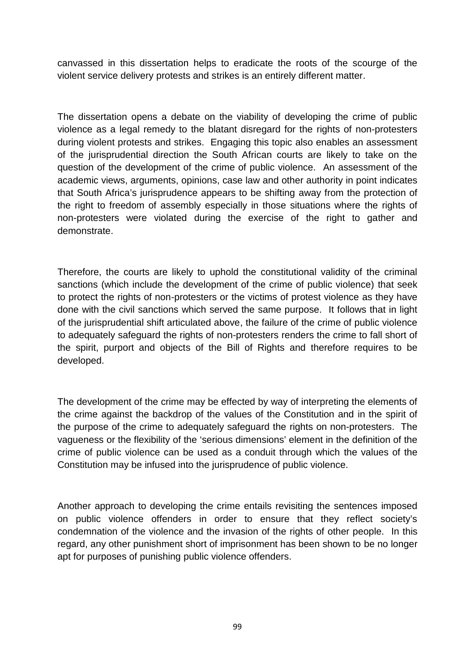canvassed in this dissertation helps to eradicate the roots of the scourge of the violent service delivery protests and strikes is an entirely different matter.

The dissertation opens a debate on the viability of developing the crime of public violence as a legal remedy to the blatant disregard for the rights of non-protesters during violent protests and strikes. Engaging this topic also enables an assessment of the jurisprudential direction the South African courts are likely to take on the question of the development of the crime of public violence. An assessment of the academic views, arguments, opinions, case law and other authority in point indicates that South Africa's jurisprudence appears to be shifting away from the protection of the right to freedom of assembly especially in those situations where the rights of non-protesters were violated during the exercise of the right to gather and demonstrate.

Therefore, the courts are likely to uphold the constitutional validity of the criminal sanctions (which include the development of the crime of public violence) that seek to protect the rights of non-protesters or the victims of protest violence as they have done with the civil sanctions which served the same purpose. It follows that in light of the jurisprudential shift articulated above, the failure of the crime of public violence to adequately safeguard the rights of non-protesters renders the crime to fall short of the spirit, purport and objects of the Bill of Rights and therefore requires to be developed.

The development of the crime may be effected by way of interpreting the elements of the crime against the backdrop of the values of the Constitution and in the spirit of the purpose of the crime to adequately safeguard the rights on non-protesters. The vagueness or the flexibility of the 'serious dimensions' element in the definition of the crime of public violence can be used as a conduit through which the values of the Constitution may be infused into the jurisprudence of public violence.

Another approach to developing the crime entails revisiting the sentences imposed on public violence offenders in order to ensure that they reflect society's condemnation of the violence and the invasion of the rights of other people. In this regard, any other punishment short of imprisonment has been shown to be no longer apt for purposes of punishing public violence offenders.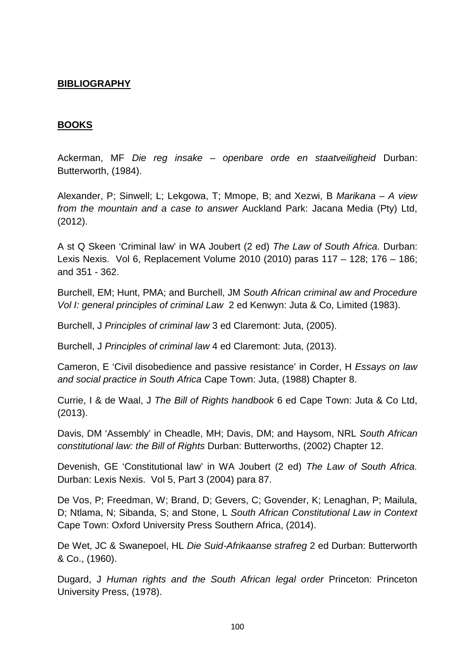### **BIBLIOGRAPHY**

#### **BOOKS**

Ackerman, MF *Die reg insake – openbare orde en staatveiligheid* Durban: Butterworth, (1984).

Alexander, P; Sinwell; L; Lekgowa, T; Mmope, B; and Xezwi, B *Marikana – A view from the mountain and a case to answer* Auckland Park: Jacana Media (Pty) Ltd, (2012).

A st Q Skeen 'Criminal law' in WA Joubert (2 ed) *The Law of South Africa.* Durban: Lexis Nexis. Vol 6, Replacement Volume 2010 (2010) paras 117 – 128; 176 – 186; and 351 - 362.

Burchell, EM; Hunt, PMA; and Burchell, JM *South African criminal aw and Procedure Vol I: general principles of criminal Law* 2 ed Kenwyn: Juta & Co, Limited (1983).

Burchell, J *Principles of criminal law* 3 ed Claremont: Juta, (2005).

Burchell, J *Principles of criminal law* 4 ed Claremont: Juta, (2013).

Cameron, E 'Civil disobedience and passive resistance' in Corder, H *Essays on law and social practice in South Africa* Cape Town: Juta, (1988) Chapter 8.

Currie, I & de Waal, J *The Bill of Rights handbook* 6 ed Cape Town: Juta & Co Ltd, (2013).

Davis, DM 'Assembly' in Cheadle, MH; Davis, DM; and Haysom, NRL *South African constitutional law: the Bill of Rights* Durban: Butterworths, (2002) Chapter 12.

Devenish, GE 'Constitutional law' in WA Joubert (2 ed) *The Law of South Africa.* Durban: Lexis Nexis. Vol 5, Part 3 (2004) para 87.

De Vos, P; Freedman, W; Brand, D; Gevers, C; Govender, K; Lenaghan, P; Mailula, D; Ntlama, N; Sibanda, S; and Stone, L *South African Constitutional Law in Context* Cape Town: Oxford University Press Southern Africa, (2014).

De Wet, JC & Swanepoel, HL *Die Suid-Afrikaanse strafreg* 2 ed Durban: Butterworth & Co., (1960).

Dugard, J *Human rights and the South African legal order* Princeton: Princeton University Press, (1978).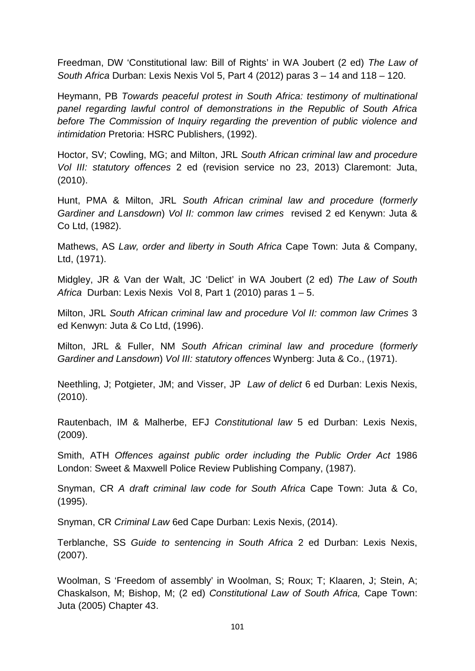Freedman, DW 'Constitutional law: Bill of Rights' in WA Joubert (2 ed) *The Law of South Africa* Durban: Lexis Nexis Vol 5, Part 4 (2012) paras 3 – 14 and 118 – 120.

Heymann, PB *Towards peaceful protest in South Africa: testimony of multinational panel regarding lawful control of demonstrations in the Republic of South Africa before The Commission of Inquiry regarding the prevention of public violence and intimidation* Pretoria: HSRC Publishers, (1992).

Hoctor, SV; Cowling, MG; and Milton, JRL *South African criminal law and procedure Vol III: statutory offences* 2 ed (revision service no 23, 2013) Claremont: Juta, (2010).

Hunt, PMA & Milton, JRL *South African criminal law and procedure* (*formerly Gardiner and Lansdown*) *Vol II: common law crimes* revised 2 ed Kenywn: Juta & Co Ltd, (1982).

Mathews, AS *Law, order and liberty in South Africa* Cape Town: Juta & Company, Ltd, (1971).

Midgley, JR & Van der Walt, JC 'Delict' in WA Joubert (2 ed) *The Law of South Africa* Durban: Lexis Nexis Vol 8, Part 1 (2010) paras 1 – 5.

Milton, JRL *South African criminal law and procedure Vol II: common law Crimes* 3 ed Kenwyn: Juta & Co Ltd, (1996).

Milton, JRL & Fuller, NM *South African criminal law and procedure* (*formerly Gardiner and Lansdown*) *Vol III: statutory offences* Wynberg: Juta & Co., (1971).

Neethling, J; Potgieter, JM; and Visser, JP *Law of delict* 6 ed Durban: Lexis Nexis, (2010).

Rautenbach, IM & Malherbe, EFJ *Constitutional law* 5 ed Durban: Lexis Nexis, (2009).

Smith, ATH *Offences against public order including the Public Order Act* 1986 London: Sweet & Maxwell Police Review Publishing Company, (1987).

Snyman, CR *A draft criminal law code for South Africa* Cape Town: Juta & Co, (1995).

Snyman, CR *Criminal Law* 6ed Cape Durban: Lexis Nexis, (2014).

Terblanche, SS *Guide to sentencing in South Africa* 2 ed Durban: Lexis Nexis, (2007).

Woolman, S 'Freedom of assembly' in Woolman, S; Roux; T; Klaaren, J; Stein, A; Chaskalson, M; Bishop, M; (2 ed) *Constitutional Law of South Africa,* Cape Town: Juta (2005) Chapter 43.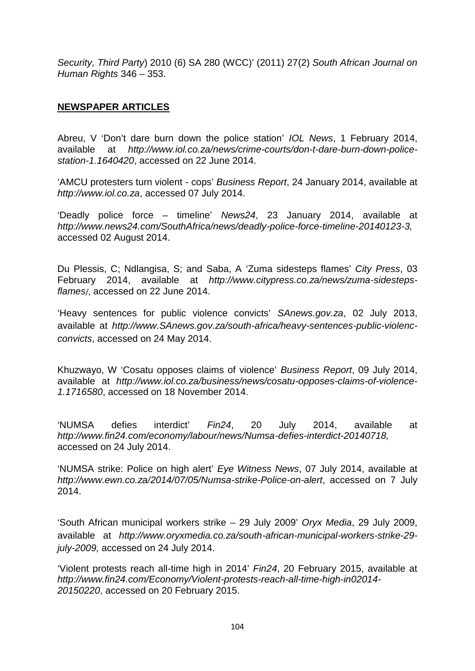*Security, Third Party*) 2010 (6) SA 280 (WCC)' (2011) 27(2) *South African Journal on Human Rights* 346 – 353.

### **NEWSPAPER ARTICLES**

Abreu, V 'Don't dare burn down the police station' *IOL News*, 1 February 2014, available at *http://www.iol.co.za/news/crime-courts/don-t-dare-burn-down-police station-1.1640420*, accessed on 22 June 2014.

'AMCU protesters turn violent - cops' *Business Report*, 24 January 2014, available at *http://www.iol.co.za*, accessed 07 July 2014.

'Deadly police force – timeline' *News24*, 23 January 2014, available at *http://www.news24.com/SouthAfrica/news/deadly-police-force-timeline-20140123-3,* accessed 02 August 2014.

Du Plessis, C; Ndlangisa, S; and Saba, A 'Zuma sidesteps flames' *City Press*, 03 February 2014, available at *http://www.citypress.co.za/news/zuma-sidestepsflames*/, accessed on 22 June 2014.

'Heavy sentences for public violence convicts' *SAnews.gov.za*, 02 July 2013, available at *http://www.SAnews.gov.za/south-africa/heavy-sentences-public-violenc convicts*, accessed on 24 May 2014.

Khuzwayo, W 'Cosatu opposes claims of violence' *Business Report*, 09 July 2014, available at *http://www.iol.co.za/business/news/cosatu-opposes-claims-of-violence- 1.1716580*, accessed on 18 November 2014.

'NUMSA defies interdict' *Fin24*, 20 July 2014, available at *http://www.fin24.com/economy/labour/news/Numsa-defies-interdict-20140718,* accessed on 24 July 2014.

'NUMSA strike: Police on high alert' *Eye Witness News*, 07 July 2014, available at *http://www.ewn.co.za/2014/07/05/Numsa-strike-Police-on-alert*, accessed on 7 July 2014.

'South African municipal workers strike – 29 July 2009' *Oryx Media*, 29 July 2009, available at *http://www.oryxmedia.co.za/south-african-municipal-workers-strike-29 july-2009,* accessed on 24 July 2014.

'Violent protests reach all-time high in 2014' *Fin24*, 20 February 2015, available at *http://www.fin24.com/Economy/Violent-protests-reach-all-time-high-in02014- 20150220*, accessed on 20 February 2015.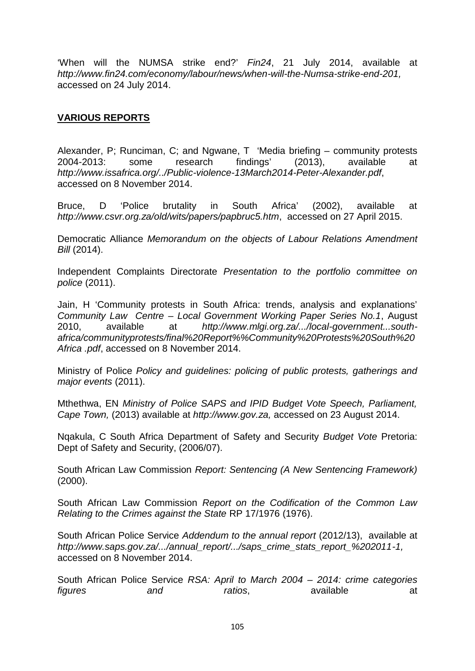'When will the NUMSA strike end?' *Fin24*, 21 July 2014, available at *http://www.fin24.com/economy/labour/news/when-will-the-Numsa-strike-end-201,* accessed on 24 July 2014.

## **VARIOUS REPORTS**

Alexander, P; Runciman, C; and Ngwane, T 'Media briefing – community protests<br>2004-2013: some research findings' (2013). available at 2004-2013: some research findings' (2013), available at *http://www.issafrica.org/../Public-violence-13March2014-Peter-Alexander.pdf*, accessed on 8 November 2014.

Bruce, D 'Police brutality in South Africa' (2002), available at *http://www.csvr.org.za/old/wits/papers/papbruc5.htm*, accessed on 27 April 2015.

Democratic Alliance *Memorandum on the objects of Labour Relations Amendment Bill* (2014).

Independent Complaints Directorate *Presentation to the portfolio committee on police* (2011).

Jain, H 'Community protests in South Africa: trends, analysis and explanations' *Community Law Centre – Local Government Working Paper Series No.1*, August 2010, available at *http://www.mlgi.org.za/.../local-government...south africa/communityprotests/final%20Report%%Community%20Protests%20South%20 Africa .pdf*, accessed on 8 November 2014.

Ministry of Police *Policy and guidelines: policing of public protests, gatherings and major events* (2011).

Mthethwa, EN *Ministry of Police SAPS and IPID Budget Vote Speech, Parliament, Cape Town,* (2013) available at *http://www.gov.za,* accessed on 23 August 2014.

Nqakula, C South Africa Department of Safety and Security *Budget Vote* Pretoria: Dept of Safety and Security, (2006/07).

South African Law Commission *Report: Sentencing (A New Sentencing Framework)* (2000).

South African Law Commission *Report on the Codification of the Common Law Relating to the Crimes against the State* RP 17/1976 (1976).

South African Police Service *Addendum to the annual report* (2012/13), available at *http://www.saps.gov.za/.../annual\_report/.../saps\_crime\_stats\_report\_%202011-1,* accessed on 8 November 2014.

South African Police Service *RSA: April to March 2004 – 2014: crime categories figures* and *ratios*, available at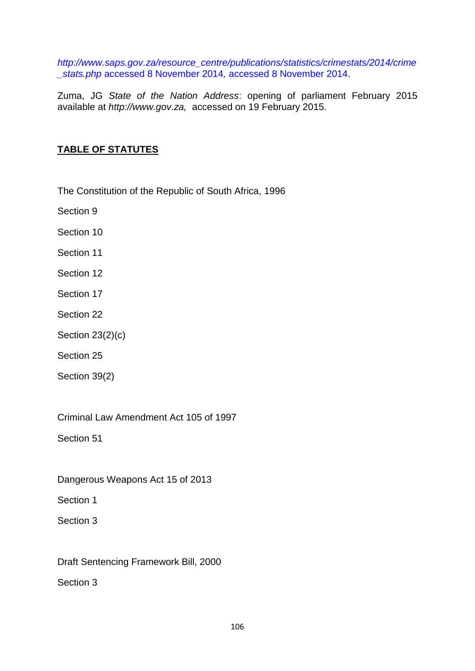*http://www.saps.gov.za/resource\_centre/publications/statistics/crimestats/2014/crime \_stats.php* accessed 8 November 2014*,* accessed 8 November 2014.

Zuma, JG *State of the Nation Address*: opening of parliament February 2015 available at *http://www.gov.za,* accessed on 19 February 2015.

# **TABLE OF STATUTES**

The Constitution of the Republic of South Africa, 1996

Section 9

Section 10

Section 11

Section 12

- Section 17
- Section 22
- Section 23(2)(c)
- Section 25

Section 39(2)

Criminal Law Amendment Act 105 of 1997

Section 51

Dangerous Weapons Act 15 of 2013

Section 1

Section 3

Draft Sentencing Framework Bill, 2000

Section 3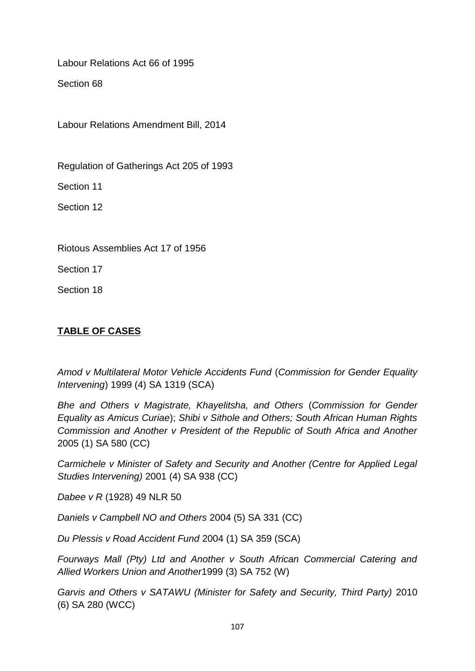Labour Relations Act 66 of 1995

Section 68

Labour Relations Amendment Bill, 2014

Regulation of Gatherings Act 205 of 1993

Section 11

Section 12

Riotous Assemblies Act 17 of 1956

Section 17

Section 18

# **TABLE OF CASES**

*Amod v Multilateral Motor Vehicle Accidents Fund* (*Commission for Gender Equality Intervening*) 1999 (4) SA 1319 (SCA)

*Bhe and Others v Magistrate, Khayelitsha, and Others* (*Commission for Gender Equality as Amicus Curiae*); *Shibi v Sithole and Others; South African Human Rights Commission and Another v President of the Republic of South Africa and Another* 2005 (1) SA 580 (CC)

*Carmichele v Minister of Safety and Security and Another (Centre for Applied Legal Studies Intervening)* 2001 (4) SA 938 (CC)

*Dabee v R* (1928) 49 NLR 50

*Daniels v Campbell NO and Others* 2004 (5) SA 331 (CC)

*Du Plessis v Road Accident Fund* 2004 (1) SA 359 (SCA)

*Fourways Mall (Pty) Ltd and Another v South African Commercial Catering and Allied Workers Union and Another*1999 (3) SA 752 (W)

*Garvis and Others v SATAWU (Minister for Safety and Security, Third Party)* 2010 (6) SA 280 (WCC)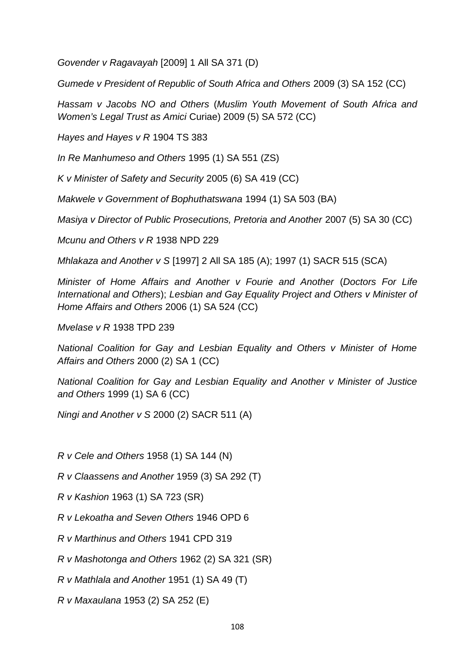*Govender v Ragavayah* [2009] 1 All SA 371 (D)

*Gumede v President of Republic of South Africa and Others* 2009 (3) SA 152 (CC)

*Hassam v Jacobs NO and Others* (*Muslim Youth Movement of South Africa and Women's Legal Trust as Amici* Curiae) 2009 (5) SA 572 (CC)

*Hayes and Hayes v R* 1904 TS 383

*In Re Manhumeso and Others* 1995 (1) SA 551 (ZS)

*K v Minister of Safety and Security* 2005 (6) SA 419 (CC)

*Makwele v Government of Bophuthatswana* 1994 (1) SA 503 (BA)

*Masiya v Director of Public Prosecutions, Pretoria and Another* 2007 (5) SA 30 (CC)

*Mcunu and Others v R* 1938 NPD 229

*Mhlakaza and Another v S* [1997] 2 All SA 185 (A); 1997 (1) SACR 515 (SCA)

*Minister of Home Affairs and Another v Fourie and Another* (*Doctors For Life International and Others*); *Lesbian and Gay Equality Project and Others v Minister of Home Affairs and Others* 2006 (1) SA 524 (CC)

*Mvelase v R* 1938 TPD 239

*National Coalition for Gay and Lesbian Equality and Others v Minister of Home Affairs and Others* 2000 (2) SA 1 (CC)

*National Coalition for Gay and Lesbian Equality and Another v Minister of Justice and Others* 1999 (1) SA 6 (CC)

*Ningi and Another v S* 2000 (2) SACR 511 (A)

*R v Cele and Others* 1958 (1) SA 144 (N)

*R v Claassens and Another* 1959 (3) SA 292 (T)

*R v Kashion* 1963 (1) SA 723 (SR)

*R v Lekoatha and Seven Others* 1946 OPD 6

*R v Marthinus and Others* 1941 CPD 319

*R v Mashotonga and Others* 1962 (2) SA 321 (SR)

*R v Mathlala and Another* 1951 (1) SA 49 (T)

*R v Maxaulana* 1953 (2) SA 252 (E)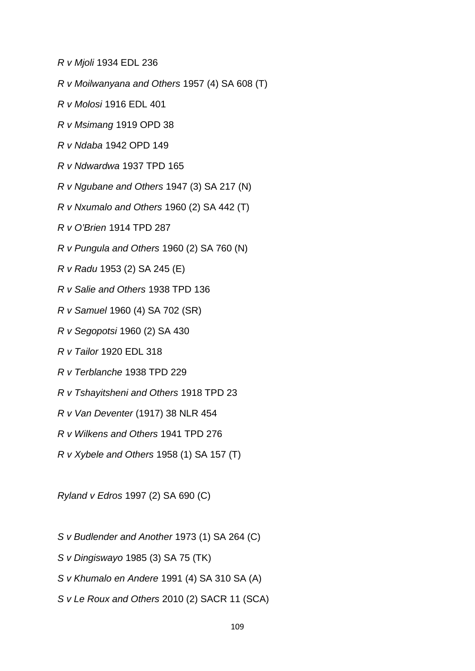*R v Mjoli* 1934 EDL 236

- *R v Moilwanyana and Others* 1957 (4) SA 608 (T)
- *R v Molosi* 1916 EDL 401
- *R v Msimang* 1919 OPD 38
- *R v Ndaba* 1942 OPD 149
- *R v Ndwardwa* 1937 TPD 165
- *R v Ngubane and Others* 1947 (3) SA 217 (N)
- *R v Nxumalo and Others* 1960 (2) SA 442 (T)
- *R v O'Brien* 1914 TPD 287
- *R v Pungula and Others* 1960 (2) SA 760 (N)
- *R v Radu* 1953 (2) SA 245 (E)
- *R v Salie and Others* 1938 TPD 136
- *R v Samuel* 1960 (4) SA 702 (SR)
- *R v Segopotsi* 1960 (2) SA 430
- *R v Tailor* 1920 EDL 318
- *R v Terblanche* 1938 TPD 229
- *R v Tshayitsheni and Others* 1918 TPD 23
- *R v Van Deventer* (1917) 38 NLR 454
- *R v Wilkens and Others* 1941 TPD 276
- *R v Xybele and Others* 1958 (1) SA 157 (T)

*Ryland v Edros* 1997 (2) SA 690 (C)

- *S v Budlender and Another* 1973 (1) SA 264 (C)
- *S v Dingiswayo* 1985 (3) SA 75 (TK)
- *S v Khumalo en Andere* 1991 (4) SA 310 SA (A)
- *S v Le Roux and Others* 2010 (2) SACR 11 (SCA)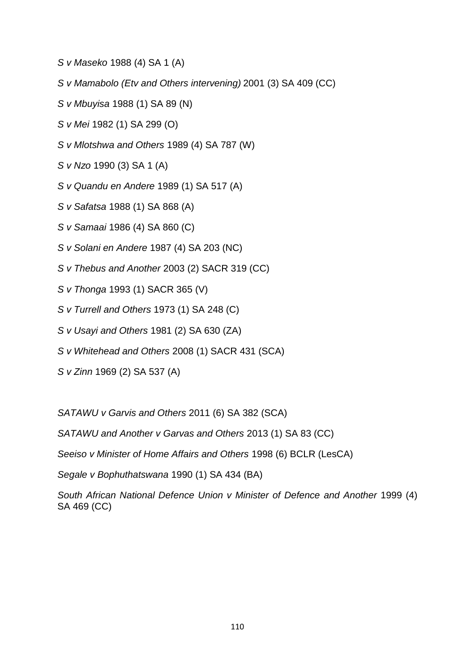- *S v Maseko* 1988 (4) SA 1 (A)
- *S v Mamabolo (Etv and Others intervening)* 2001 (3) SA 409 (CC)
- *S v Mbuyisa* 1988 (1) SA 89 (N)
- *S v Mei* 1982 (1) SA 299 (O)
- *S v Mlotshwa and Others* 1989 (4) SA 787 (W)
- *S v Nzo* 1990 (3) SA 1 (A)
- *S v Quandu en Andere* 1989 (1) SA 517 (A)
- *S v Safatsa* 1988 (1) SA 868 (A)
- *S v Samaai* 1986 (4) SA 860 (C)
- *S v Solani en Andere* 1987 (4) SA 203 (NC)
- *S v Thebus and Another* 2003 (2) SACR 319 (CC)
- *S v Thonga* 1993 (1) SACR 365 (V)
- *S v Turrell and Others* 1973 (1) SA 248 (C)
- *S v Usayi and Others* 1981 (2) SA 630 (ZA)
- *S v Whitehead and Others* 2008 (1) SACR 431 (SCA)
- *S v Zinn* 1969 (2) SA 537 (A)

*SATAWU v Garvis and Others* 2011 (6) SA 382 (SCA)

*SATAWU and Another v Garvas and Others* 2013 (1) SA 83 (CC)

*Seeiso v Minister of Home Affairs and Others* 1998 (6) BCLR (LesCA)

*Segale v Bophuthatswana* 1990 (1) SA 434 (BA)

*South African National Defence Union v Minister of Defence and Another* 1999 (4) SA 469 (CC)